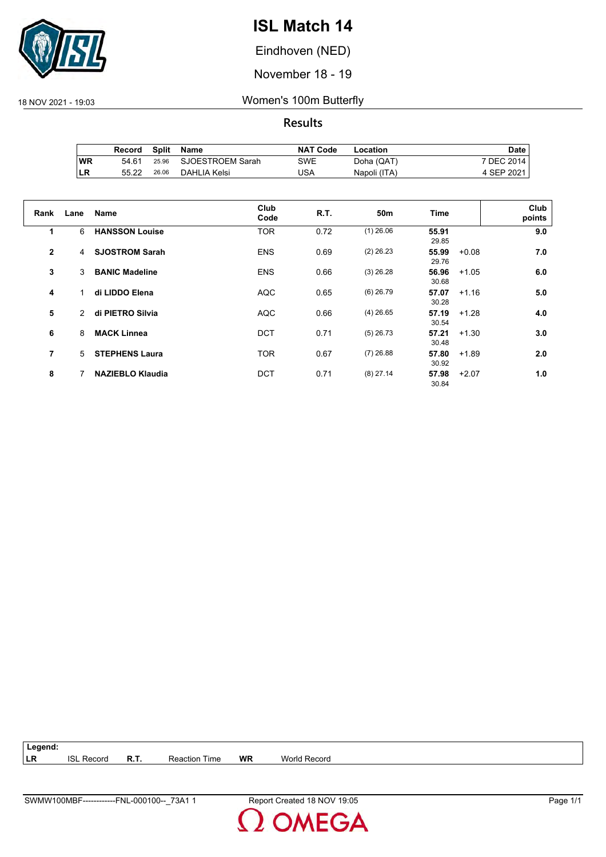

Eindhoven (NED)

November 18 - 19

18 NOV 2021 - 19:03 Women's 100m Butterfly

**Results**

|     | Record | Split | Name             | <b>NAT Code</b> | Location     | Date       |
|-----|--------|-------|------------------|-----------------|--------------|------------|
| ∣WR | 54.61  | 25.96 | SJOESTROEM Sarah | SWE             | Doha (QAT)   | 7 DEC 2014 |
| ILR | 55.22  | 26.06 | DAHLIA Kelsi     | JSA             | Napoli (ITA) | 4 SEP 2021 |

| Rank           | Lane | <b>Name</b>             | Club<br>Code | <b>R.T.</b> | 50 <sub>m</sub> | <b>Time</b>    |         | Club<br>points |
|----------------|------|-------------------------|--------------|-------------|-----------------|----------------|---------|----------------|
| 1              | 6    | <b>HANSSON Louise</b>   | <b>TOR</b>   | 0.72        | $(1)$ 26.06     | 55.91<br>29.85 |         | 9.0            |
| $\overline{2}$ | 4    | <b>SJOSTROM Sarah</b>   | <b>ENS</b>   | 0.69        | $(2)$ 26.23     | 55.99<br>29.76 | $+0.08$ | 7.0            |
| 3              | 3    | <b>BANIC Madeline</b>   | <b>ENS</b>   | 0.66        | $(3)$ 26.28     | 56.96<br>30.68 | $+1.05$ | 6.0            |
| 4              |      | di LIDDO Elena          | <b>AQC</b>   | 0.65        | $(6)$ 26.79     | 57.07<br>30.28 | $+1.16$ | 5.0            |
| 5              | 2    | di PIETRO Silvia        | <b>AQC</b>   | 0.66        | $(4)$ 26.65     | 57.19<br>30.54 | $+1.28$ | 4.0            |
| 6              | 8    | <b>MACK Linnea</b>      | <b>DCT</b>   | 0.71        | $(5)$ 26.73     | 57.21<br>30.48 | $+1.30$ | 3.0            |
| 7              | 5    | <b>STEPHENS Laura</b>   | <b>TOR</b>   | 0.67        | $(7)$ 26.88     | 57.80<br>30.92 | $+1.89$ | 2.0            |
| 8              |      | <b>NAZIEBLO Klaudia</b> | <b>DCT</b>   | 0.71        | $(8)$ 27.14     | 57.98<br>30.84 | $+2.07$ | 1.0            |

**Legend: LR** ISL Record **R.T.** Reaction Time **WR** World Record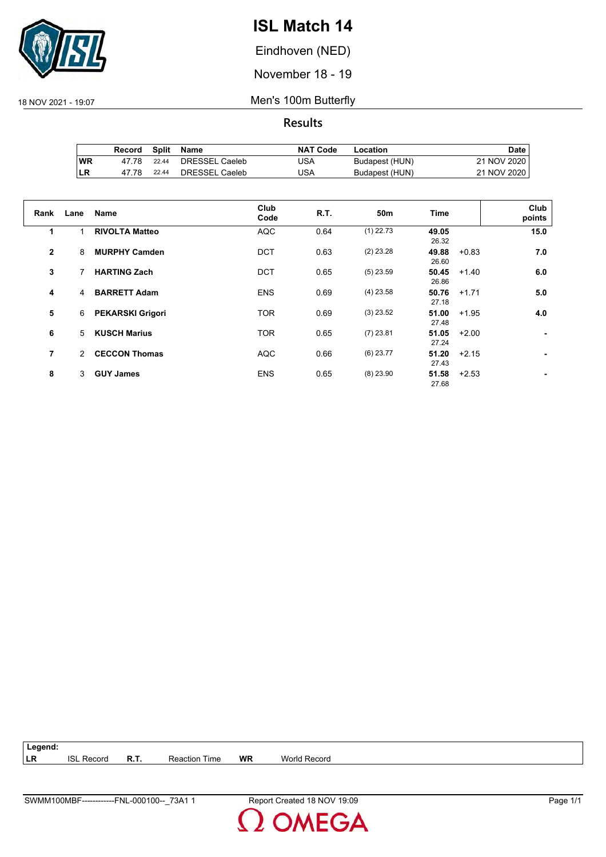

Eindhoven (NED)

November 18 - 19

18 NOV 2021 - 19:07 Men's 100m Butterfly

**Results**

|           | Record | Split | Name           | <b>NAT Code</b> | Location       | Date l      |
|-----------|--------|-------|----------------|-----------------|----------------|-------------|
| ∣WR       | 47.78  | 22.44 | DRESSEL Caeleb | USA             | Budapest (HUN) | 21 NOV 2020 |
| <b>LR</b> | 47 78  | 22.44 | DRESSEL Caeleb | USA             | Budapest (HUN) | 21 NOV 2020 |

| Rank         | Lane          | <b>Name</b>             | Club<br>Code | R.T. | 50 <sub>m</sub> | Time           | Club<br>points |
|--------------|---------------|-------------------------|--------------|------|-----------------|----------------|----------------|
| 1            |               | <b>RIVOLTA Matteo</b>   | <b>AQC</b>   | 0.64 | $(1)$ 22.73     | 49.05<br>26.32 | 15.0           |
| $\mathbf{2}$ | 8             | <b>MURPHY Camden</b>    | <b>DCT</b>   | 0.63 | $(2)$ 23.28     | 49.88<br>26.60 | 7.0<br>$+0.83$ |
| 3            |               | <b>HARTING Zach</b>     | <b>DCT</b>   | 0.65 | $(5)$ 23.59     | 50.45<br>26.86 | 6.0<br>$+1.40$ |
| 4            | 4             | <b>BARRETT Adam</b>     | <b>ENS</b>   | 0.69 | $(4)$ 23.58     | 50.76<br>27.18 | 5.0<br>$+1.71$ |
| 5            | 6             | <b>PEKARSKI Grigori</b> | <b>TOR</b>   | 0.69 | $(3)$ 23.52     | 51.00<br>27.48 | $+1.95$<br>4.0 |
| 6            | 5             | <b>KUSCH Marius</b>     | <b>TOR</b>   | 0.65 | $(7)$ 23.81     | 51.05<br>27.24 | $+2.00$        |
| 7            | $\mathcal{P}$ | <b>CECCON Thomas</b>    | <b>AQC</b>   | 0.66 | $(6)$ 23.77     | 51.20<br>27.43 | $+2.15$        |
| 8            | 3             | <b>GUY James</b>        | <b>ENS</b>   | 0.65 | $(8)$ 23.90     | 51.58<br>27.68 | $+2.53$        |

**Legend: LR** ISL Record **R.T.** Reaction Time **WR** World Record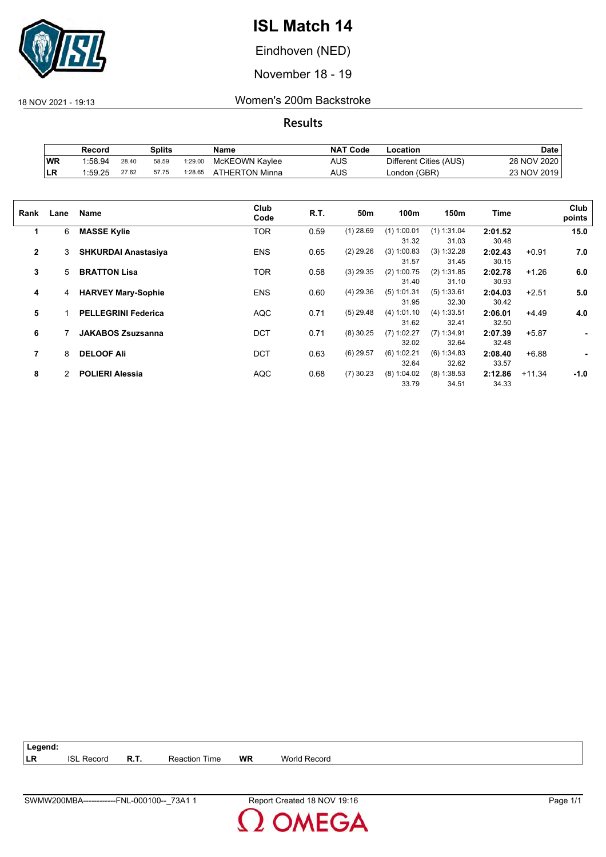

Eindhoven (NED)

November 18 - 19

18 NOV 2021 - 19:13 Women's 200m Backstroke

|           | Record  |       | Splits |         | Name           | <b>NAT Code</b> | Location               | Date        |
|-----------|---------|-------|--------|---------|----------------|-----------------|------------------------|-------------|
| WR        | 1:58.94 | 28.40 | 58.59  | 1:29.00 | McKEOWN Kaylee | <b>AUS</b>      | Different Cities (AUS) | 28 NOV 2020 |
| <b>LR</b> | 1:59.25 | 27.62 | 57.75  | 1:28.65 | ATHERTON Minna | <b>AUS</b>      | London (GBR)           | 23 NOV 2019 |

| Rank         | Lane | Name                       | Club<br>Code | R.T. | 50m         | 100m          | 150m          | Time    |          | Club<br>points |
|--------------|------|----------------------------|--------------|------|-------------|---------------|---------------|---------|----------|----------------|
| 1            | 6    | <b>MASSE Kylie</b>         | TOR          | 0.59 | $(1)$ 28.69 | $(1)$ 1:00.01 | $(1)$ 1:31.04 | 2:01.52 |          | 15.0           |
|              |      |                            |              |      |             | 31.32         | 31.03         | 30.48   |          |                |
| $\mathbf{2}$ | 3    | <b>SHKURDAI Anastasiya</b> | <b>ENS</b>   | 0.65 | $(2)$ 29.26 | (3) 1:00.83   | (3) 1:32.28   | 2:02.43 | $+0.91$  | 7.0            |
|              |      |                            |              |      |             | 31.57         | 31.45         | 30.15   |          |                |
| 3            | 5    | <b>BRATTON Lisa</b>        | TOR          | 0.58 | $(3)$ 29.35 | $(2)$ 1:00.75 | (2) 1:31.85   | 2:02.78 | $+1.26$  | 6.0            |
|              |      |                            |              |      |             | 31.40         | 31.10         | 30.93   |          |                |
| 4            | 4    | <b>HARVEY Mary-Sophie</b>  | <b>ENS</b>   | 0.60 | $(4)$ 29.36 | $(5)$ 1:01.31 | (5) 1:33.61   | 2:04.03 | $+2.51$  | 5.0            |
|              |      |                            |              |      |             | 31.95         | 32.30         | 30.42   |          |                |
| 5            |      | <b>PELLEGRINI Federica</b> | <b>AQC</b>   | 0.71 | $(5)$ 29.48 | (4) 1:01.10   | (4) 1:33.51   | 2:06.01 | $+4.49$  | 4.0            |
|              |      |                            |              |      |             | 31.62         | 32.41         | 32.50   |          |                |
| 6            |      | <b>JAKABOS Zsuzsanna</b>   | <b>DCT</b>   | 0.71 | $(8)$ 30.25 | $(7)$ 1:02.27 | $(7)$ 1:34.91 | 2:07.39 | $+5.87$  | ٠              |
|              |      |                            |              |      |             | 32.02         | 32.64         | 32.48   |          |                |
| 7            | 8    | <b>DELOOF Ali</b>          | <b>DCT</b>   | 0.63 | $(6)$ 29.57 | (6) 1:02.21   | (6) 1:34.83   | 2:08.40 | $+6.88$  | ۰              |
|              |      |                            |              |      |             | 32.64         | 32.62         | 33.57   |          |                |
| 8            | 2    | <b>POLIERI Alessia</b>     | <b>AQC</b>   | 0.68 | $(7)$ 30.23 | $(8)$ 1:04.02 | $(8)$ 1:38.53 | 2:12.86 | $+11.34$ | $-1.0$         |
|              |      |                            |              |      |             | 33.79         | 34.51         | 34.33   |          |                |
|              |      |                            |              |      |             |               |               |         |          |                |

| Legend:   |                   |                      |    |              |
|-----------|-------------------|----------------------|----|--------------|
| <b>LR</b> | <b>ISL Record</b> | <b>Reaction Time</b> | WR | World Record |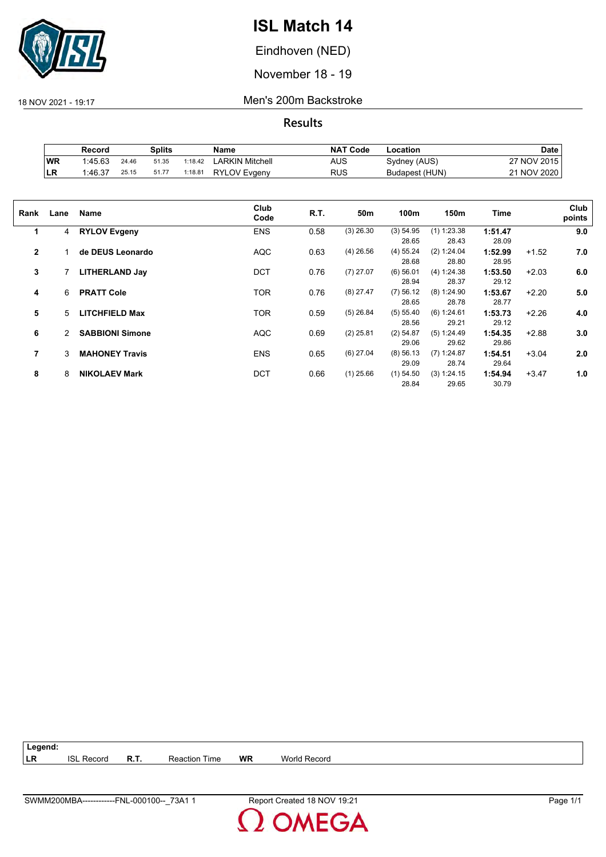

Eindhoven (NED)

November 18 - 19

18 NOV 2021 - 19:17 Men's 200m Backstroke

**Results**

|           | Record  |       | Splits |         | Name                | <b>NAT Code</b> | ∟ocation       | Date        |
|-----------|---------|-------|--------|---------|---------------------|-----------------|----------------|-------------|
| WR        | 1:45.63 | 24.46 | 51.35  | 1:18.42 | ∟ARKIN Mitchell     | AUS             | Sydney (AUS)   | 27 NOV 2015 |
| <b>LR</b> | 1:46.37 | 25.15 | 51.77  | 1:18.81 | <b>RYLOV Evgeny</b> | RUS             | Budapest (HUN) | 21 NOV 2020 |

| Rank           | Lane | Name                   | Club<br>Code | R.T. | 50m         | 100m        | 150m          | Time    |         | Club<br>points |
|----------------|------|------------------------|--------------|------|-------------|-------------|---------------|---------|---------|----------------|
| 1              | 4    | <b>RYLOV Evgeny</b>    | <b>ENS</b>   | 0.58 | $(3)$ 26.30 | (3) 54.95   | $(1)$ 1:23.38 | 1:51.47 |         | 9.0            |
|                |      |                        |              |      |             | 28.65       | 28.43         | 28.09   |         |                |
| $\overline{2}$ |      | de DEUS Leonardo       | <b>AQC</b>   | 0.63 | $(4)$ 26.56 | $(4)$ 55.24 | (2) 1:24.04   | 1:52.99 | $+1.52$ | 7.0            |
|                |      |                        |              |      |             | 28.68       | 28.80         | 28.95   |         |                |
| 3              |      | <b>LITHERLAND Jay</b>  | <b>DCT</b>   | 0.76 | $(7)$ 27.07 | $(6)$ 56.01 | (4) 1:24.38   | 1:53.50 | $+2.03$ | 6.0            |
|                |      |                        |              |      |             | 28.94       | 28.37         | 29.12   |         |                |
| 4              | 6    | <b>PRATT Cole</b>      | <b>TOR</b>   | 0.76 | $(8)$ 27.47 | $(7)$ 56.12 | (8) 1:24.90   | 1:53.67 | $+2.20$ | 5.0            |
|                |      |                        |              |      |             | 28.65       | 28.78         | 28.77   |         |                |
| 5              | 5    | <b>LITCHFIELD Max</b>  | <b>TOR</b>   | 0.59 | $(5)$ 26.84 | (5) 55.40   | (6) 1:24.61   | 1:53.73 | $+2.26$ | 4.0            |
|                |      |                        |              |      |             | 28.56       | 29.21         | 29.12   |         |                |
| 6              | 2    | <b>SABBIONI Simone</b> | <b>AQC</b>   | 0.69 | $(2)$ 25.81 | $(2)$ 54.87 | (5) 1:24.49   | 1:54.35 | $+2.88$ | 3.0            |
|                |      |                        |              |      |             | 29.06       | 29.62         | 29.86   |         |                |
| 7              | 3    | <b>MAHONEY Travis</b>  | <b>ENS</b>   | 0.65 | $(6)$ 27.04 | $(8)$ 56.13 | $(7)$ 1:24.87 | 1:54.51 | $+3.04$ | 2.0            |
|                |      |                        |              |      |             | 29.09       | 28.74         | 29.64   |         |                |
| 8              | 8    | <b>NIKOLAEV Mark</b>   | <b>DCT</b>   | 0.66 | $(1)$ 25.66 | $(1)$ 54.50 | (3) 1:24.15   | 1:54.94 | $+3.47$ | 1.0            |
|                |      |                        |              |      |             | 28.84       | 29.65         | 30.79   |         |                |

**Legend: LR** ISL Record **R.T.** Reaction Time **WR** World Record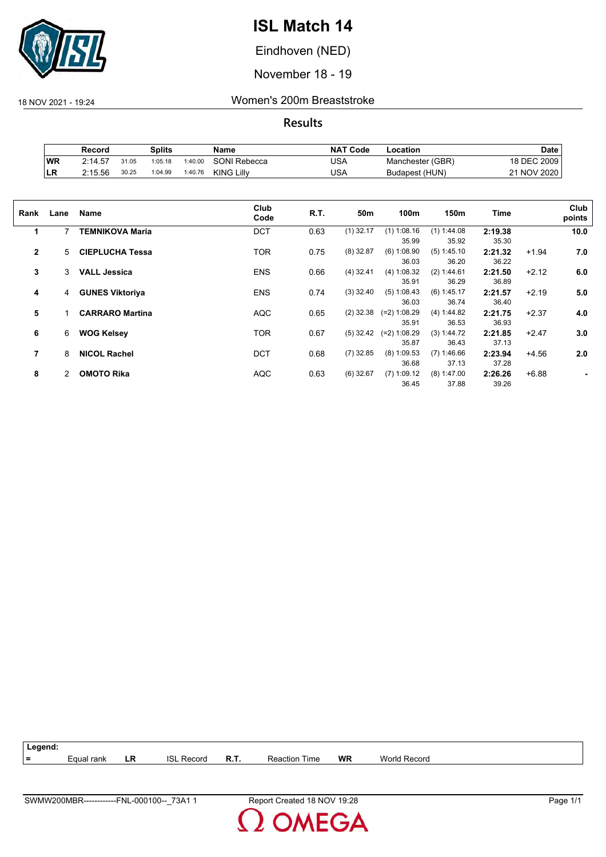

Eindhoven (NED)

November 18 - 19

18 NOV 2021 - 19:24 Women's 200m Breaststroke

|     | Record  |       | Splits  |         | Name              | <b>NAT Code</b> | Location         | Date        |
|-----|---------|-------|---------|---------|-------------------|-----------------|------------------|-------------|
| WR  | 2:14.57 | 31.05 | 1:05.18 | 1:40.00 | SONI Rebecca      | USA             | Manchester (GBR) | 18 DEC 2009 |
| ∣LR | 2:15.56 | 30.25 | 1:04.99 | 1:40.76 | <b>KING Lilly</b> | USA             | Budapest (HUN)   | 21 NOV 2020 |

| Rank         | Lane | <b>Name</b>            | Club<br>Code | R.T. | 50m         | 100m                    | 150m                   | Time             |         | Club<br>points |
|--------------|------|------------------------|--------------|------|-------------|-------------------------|------------------------|------------------|---------|----------------|
| 1            | 7    | TEMNIKOVA Maria        | <b>DCT</b>   | 0.63 | $(1)$ 32.17 | $(1)$ 1:08.16<br>35.99  | $(1)$ 1:44.08<br>35.92 | 2:19.38<br>35.30 |         | 10.0           |
| $\mathbf{2}$ | 5    | <b>CIEPLUCHA Tessa</b> | <b>TOR</b>   | 0.75 | $(8)$ 32.87 | $(6)$ 1:08.90<br>36.03  | $(5)$ 1:45.10<br>36.20 | 2:21.32<br>36.22 | $+1.94$ | 7.0            |
| 3            | 3    | <b>VALL Jessica</b>    | <b>ENS</b>   | 0.66 | $(4)$ 32.41 | (4) 1:08.32<br>35.91    | (2) 1:44.61<br>36.29   | 2:21.50<br>36.89 | $+2.12$ | 6.0            |
| 4            | 4    | <b>GUNES Viktoriya</b> | <b>ENS</b>   | 0.74 | $(3)$ 32.40 | (5) 1:08.43<br>36.03    | $(6)$ 1:45.17<br>36.74 | 2:21.57<br>36.40 | $+2.19$ | 5.0            |
| 5            |      | <b>CARRARO Martina</b> | <b>AQC</b>   | 0.65 | $(2)$ 32.38 | $(=2)$ 1:08.29<br>35.91 | (4) 1:44.82<br>36.53   | 2:21.75<br>36.93 | $+2.37$ | 4.0            |
| 6            | 6    | <b>WOG Kelsey</b>      | <b>TOR</b>   | 0.67 | $(5)$ 32.42 | $(=2)$ 1:08.29<br>35.87 | (3) 1:44.72<br>36.43   | 2:21.85<br>37.13 | $+2.47$ | 3.0            |
| 7            | 8    | <b>NICOL Rachel</b>    | <b>DCT</b>   | 0.68 | $(7)$ 32.85 | $(8)$ 1:09.53<br>36.68  | $(7)$ 1:46.66<br>37.13 | 2:23.94<br>37.28 | $+4.56$ | 2.0            |
| 8            | 2    | <b>OMOTO Rika</b>      | <b>AQC</b>   | 0.63 | $(6)$ 32.67 | $(7)$ 1:09.12<br>36.45  | $(8)$ 1:47.00<br>37.88 | 2:26.26<br>39.26 | $+6.88$ |                |

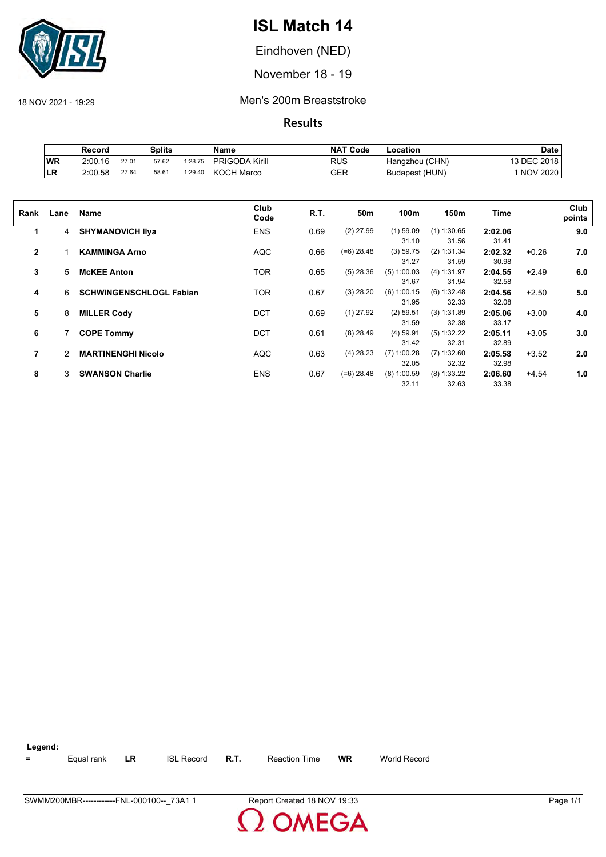

Eindhoven (NED)

November 18 - 19

18 NOV 2021 - 19:29 Men's 200m Breaststroke

|     | Record  |       | Splits |         | Name                  | <b>NAT Code</b> | Location       | Date        |
|-----|---------|-------|--------|---------|-----------------------|-----------------|----------------|-------------|
| WR  | 2:00.16 | 27.01 | 57.62  | 1:28.75 | <b>PRIGODA Kirill</b> | RUS             | Hangzhou (CHN) | 13 DEC 2018 |
| ILR | 2.00.58 | 27.64 | 58.61  | 1:29.40 | <b>KOCH Marco</b>     | GER             | Budapest (HUN) | 1 NOV 2020  |

| Rank         | Lane | <b>Name</b>                    | Club<br>Code | R.T. | 50m          | 100m                   | 150m                   | Time             |         | Club<br>points |
|--------------|------|--------------------------------|--------------|------|--------------|------------------------|------------------------|------------------|---------|----------------|
| 1            | 4    | <b>SHYMANOVICH IIva</b>        | <b>ENS</b>   | 0.69 | $(2)$ 27.99  | $(1)$ 59.09<br>31.10   | $(1)$ 1:30.65<br>31.56 | 2:02.06<br>31.41 |         | 9.0            |
| $\mathbf{2}$ |      | <b>KAMMINGA Arno</b>           | <b>AQC</b>   | 0.66 | $(=6)$ 28.48 | (3) 59.75<br>31.27     | (2) 1:31.34<br>31.59   | 2:02.32<br>30.98 | $+0.26$ | 7.0            |
| 3            | 5    | <b>McKEE Anton</b>             | <b>TOR</b>   | 0.65 | $(5)$ 28.36  | $(5)$ 1:00.03<br>31.67 | (4) 1:31.97<br>31.94   | 2:04.55<br>32.58 | $+2.49$ | 6.0            |
| 4            | 6    | <b>SCHWINGENSCHLOGL Fabian</b> | <b>TOR</b>   | 0.67 | $(3)$ 28.20  | $(6)$ 1:00.15<br>31.95 | (6) 1:32.48<br>32.33   | 2:04.56<br>32.08 | $+2.50$ | 5.0            |
| 5            | 8    | <b>MILLER Cody</b>             | <b>DCT</b>   | 0.69 | $(1)$ 27.92  | $(2)$ 59.51<br>31.59   | (3) 1:31.89<br>32.38   | 2:05.06<br>33.17 | $+3.00$ | 4.0            |
| 6            |      | <b>COPE Tommy</b>              | <b>DCT</b>   | 0.61 | $(8)$ 28.49  | $(4)$ 59.91<br>31.42   | (5) 1:32.22<br>32.31   | 2:05.11<br>32.89 | $+3.05$ | 3.0            |
| 7            | 2    | <b>MARTINENGHI Nicolo</b>      | <b>AQC</b>   | 0.63 | $(4)$ 28.23  | $(7)$ 1:00.28<br>32.05 | $(7)$ 1:32.60<br>32.32 | 2:05.58<br>32.98 | $+3.52$ | 2.0            |
| 8            | 3    | <b>SWANSON Charlie</b>         | <b>ENS</b>   | 0.67 | $(=6)$ 28.48 | $(8)$ 1:00.59<br>32.11 | $(8)$ 1:33.22<br>32.63 | 2:06.60<br>33.38 | $+4.54$ | 1.0            |

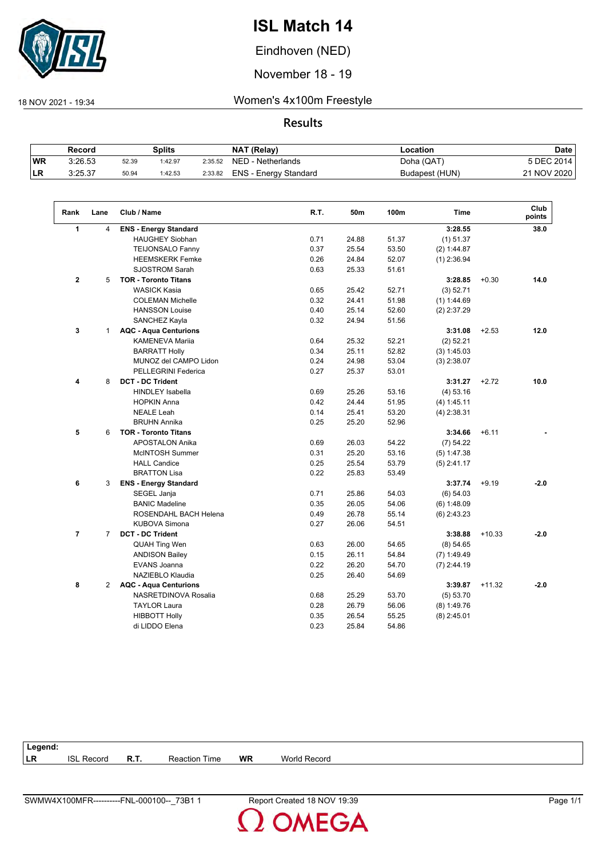

Eindhoven (NED)

November 18 - 19

 $\sqrt{ }$ 

18 NOV 2021 - 19:34 Women's 4x100m Freestyle

**Results**

|           | Record  |       | Splits |         | <b>NAT (Relay)</b>    | Location       | <b>Date</b> |
|-----------|---------|-------|--------|---------|-----------------------|----------------|-------------|
| <b>WR</b> | 3:26.53 | 52.39 | :42.97 | 2:35.52 | NED - Netherlands     | Doha (QAT)     | 5 DEC 2014  |
| <b>LR</b> | 3:25.37 | 50.94 | :42.53 | 2:33.82 | ENS - Energy Standard | Budapest (HUN) | 21 NOV 2020 |

| Rank           | Lane           | Club / Name                  | R.T. | 50m   | 100m  | <b>Time</b>   |          | Club<br>points |
|----------------|----------------|------------------------------|------|-------|-------|---------------|----------|----------------|
| $\mathbf{1}$   | $\overline{4}$ | <b>ENS - Energy Standard</b> |      |       |       | 3:28.55       |          | 38.0           |
|                |                | <b>HAUGHEY Siobhan</b>       | 0.71 | 24.88 | 51.37 | (1) 51.37     |          |                |
|                |                | <b>TEIJONSALO Fanny</b>      | 0.37 | 25.54 | 53.50 | (2) 1:44.87   |          |                |
|                |                | <b>HEEMSKERK Femke</b>       | 0.26 | 24.84 | 52.07 | $(1)$ 2:36.94 |          |                |
|                |                | <b>SJOSTROM Sarah</b>        | 0.63 | 25.33 | 51.61 |               |          |                |
| $\mathbf{2}$   | 5              | <b>TOR - Toronto Titans</b>  |      |       |       | 3:28.85       | $+0.30$  | 14.0           |
|                |                | <b>WASICK Kasia</b>          | 0.65 | 25.42 | 52.71 | (3) 52.71     |          |                |
|                |                | <b>COLEMAN Michelle</b>      | 0.32 | 24.41 | 51.98 | (1) 1:44.69   |          |                |
|                |                | <b>HANSSON Louise</b>        | 0.40 | 25.14 | 52.60 | $(2)$ 2:37.29 |          |                |
|                |                | SANCHEZ Kayla                | 0.32 | 24.94 | 51.56 |               |          |                |
| 3              | $\mathbf{1}$   | <b>AQC - Aqua Centurions</b> |      |       |       | 3:31.08       | $+2.53$  | 12.0           |
|                |                | <b>KAMENEVA Marija</b>       | 0.64 | 25.32 | 52.21 | $(2)$ 52.21   |          |                |
|                |                | <b>BARRATT Holly</b>         | 0.34 | 25.11 | 52.82 | (3) 1:45.03   |          |                |
|                |                | MUNOZ del CAMPO Lidon        | 0.24 | 24.98 | 53.04 | $(3)$ 2:38.07 |          |                |
|                |                | PELLEGRINI Federica          | 0.27 | 25.37 | 53.01 |               |          |                |
| 4              | 8              | <b>DCT - DC Trident</b>      |      |       |       | 3:31.27       | $+2.72$  | 10.0           |
|                |                | <b>HINDLEY Isabella</b>      | 0.69 | 25.26 | 53.16 | (4) 53.16     |          |                |
|                |                | <b>HOPKIN Anna</b>           | 0.42 | 24.44 | 51.95 | (4) 1:45.11   |          |                |
|                |                | <b>NEALE Leah</b>            | 0.14 | 25.41 | 53.20 | $(4)$ 2:38.31 |          |                |
|                |                | <b>BRUHN Annika</b>          | 0.25 | 25.20 | 52.96 |               |          |                |
| 5              | 6              | <b>TOR - Toronto Titans</b>  |      |       |       | 3:34.66       | $+6.11$  |                |
|                |                | <b>APOSTALON Anika</b>       | 0.69 | 26.03 | 54.22 | (7) 54.22     |          |                |
|                |                | McINTOSH Summer              | 0.31 | 25.20 | 53.16 | (5) 1:47.38   |          |                |
|                |                | <b>HALL Candice</b>          | 0.25 | 25.54 | 53.79 | $(5)$ 2:41.17 |          |                |
|                |                | <b>BRATTON Lisa</b>          | 0.22 | 25.83 | 53.49 |               |          |                |
| 6              | 3              | <b>ENS - Energy Standard</b> |      |       |       | 3:37.74       | $+9.19$  | $-2.0$         |
|                |                | SEGEL Janja                  | 0.71 | 25.86 | 54.03 | (6) 54.03     |          |                |
|                |                | <b>BANIC Madeline</b>        | 0.35 | 26.05 | 54.06 | (6) 1:48.09   |          |                |
|                |                | ROSENDAHL BACH Helena        | 0.49 | 26.78 | 55.14 | $(6)$ 2:43.23 |          |                |
|                |                | <b>KUBOVA Simona</b>         | 0.27 | 26.06 | 54.51 |               |          |                |
| $\overline{7}$ | $\overline{7}$ | <b>DCT - DC Trident</b>      |      |       |       | 3:38.88       | $+10.33$ | $-2.0$         |
|                |                | <b>QUAH Ting Wen</b>         | 0.63 | 26.00 | 54.65 | (8) 54.65     |          |                |
|                |                | <b>ANDISON Bailey</b>        | 0.15 | 26.11 | 54.84 | $(7)$ 1:49.49 |          |                |
|                |                | EVANS Joanna                 | 0.22 | 26.20 | 54.70 | $(7)$ 2:44.19 |          |                |
|                |                | NAZIEBLO Klaudia             | 0.25 | 26.40 | 54.69 |               |          |                |
| 8              | 2              | <b>AQC - Aqua Centurions</b> |      |       |       | 3:39.87       | $+11.32$ | $-2.0$         |
|                |                | NASRETDINOVA Rosalia         | 0.68 | 25.29 | 53.70 | (5) 53.70     |          |                |
|                |                | <b>TAYLOR Laura</b>          | 0.28 | 26.79 | 56.06 | $(8)$ 1:49.76 |          |                |
|                |                | <b>HIBBOTT Holly</b>         | 0.35 | 26.54 | 55.25 | $(8)$ 2:45.01 |          |                |
|                |                | di LIDDO Elena               | 0.23 | 25.84 | 54.86 |               |          |                |
|                |                |                              |      |       |       |               |          |                |

| Legend:   |                      |             |                  |           |                     |  |
|-----------|----------------------|-------------|------------------|-----------|---------------------|--|
| <b>LR</b> | <b>ISL</b><br>Record | <b>R.T.</b> | Reaction<br>Time | <b>WR</b> | <b>World Record</b> |  |
|           |                      |             |                  |           |                     |  |

**OMEGA**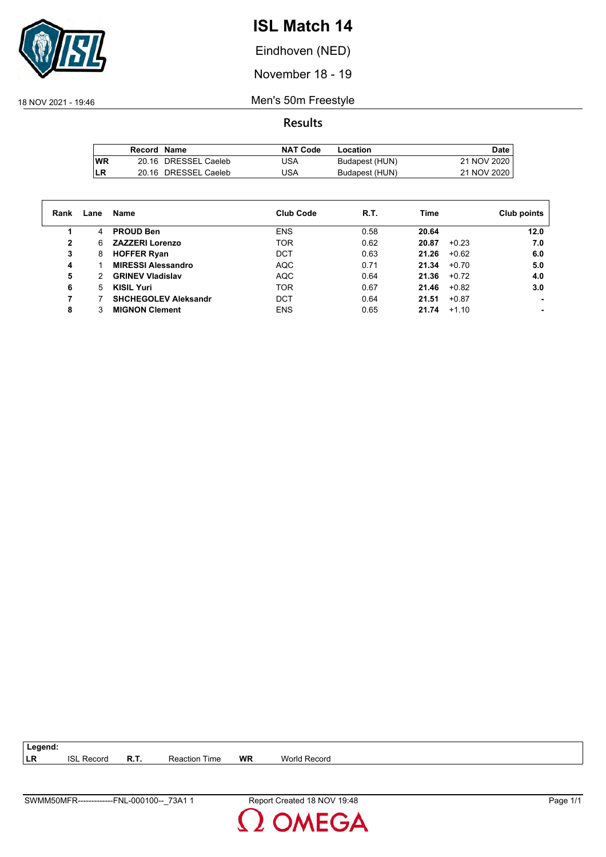

Eindhoven (NED)

November 18 - 19

18 NOV 2021 - 19:46 Men's 50m Freestyle

|            | Record Name |                      | <b>NAT Code</b> | Location       | <b>Date</b> |
|------------|-------------|----------------------|-----------------|----------------|-------------|
| <b>IWR</b> |             | 20.16 DRESSEL Caeleb | USA             | Budapest (HUN) | 21 NOV 2020 |
| LR         |             | 20.16 DRESSEL Caeleb | USA             | Budapest (HUN) | 21 NOV 2020 |

| Rank | Lane | Name                        | <b>Club Code</b> | R.T. | Time             | Club points |
|------|------|-----------------------------|------------------|------|------------------|-------------|
|      | 4    | <b>PROUD Ben</b>            | <b>ENS</b>       | 0.58 | 20.64            | 12.0        |
| 2    | 6    | <b>ZAZZERI Lorenzo</b>      | <b>TOR</b>       | 0.62 | $+0.23$<br>20.87 | 7.0         |
| 3    | 8    | <b>HOFFER Ryan</b>          | DCT              | 0.63 | 21.26<br>$+0.62$ | 6.0         |
| 4    |      | <b>MIRESSI Alessandro</b>   | <b>AQC</b>       | 0.71 | 21.34<br>$+0.70$ | 5.0         |
| 5    | 2    | <b>GRINEV Vladislav</b>     | <b>AQC</b>       | 0.64 | 21.36<br>$+0.72$ | 4.0         |
| 6    | 5    | <b>KISIL Yuri</b>           | <b>TOR</b>       | 0.67 | 21.46<br>$+0.82$ | 3.0         |
|      |      | <b>SHCHEGOLEV Aleksandr</b> | DCT              | 0.64 | $+0.87$<br>21.51 |             |
| 8    |      | <b>MIGNON Clement</b>       | <b>ENS</b>       | 0.65 | 21.74<br>$+1.10$ |             |

| $\vert$ Legend: |                   |             |                      |           |                     |
|-----------------|-------------------|-------------|----------------------|-----------|---------------------|
| LR              | <b>ISL Record</b> | <b>R.T.</b> | <b>Reaction Time</b> | <b>WR</b> | <b>World Record</b> |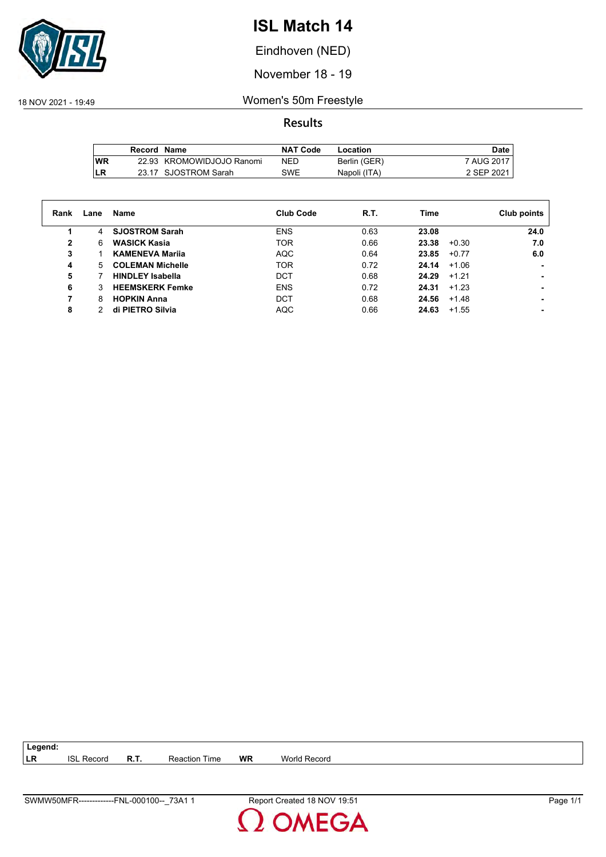

Eindhoven (NED)

November 18 - 19

18 NOV 2021 - 19:49 Women's 50m Freestyle

**Results**

|      | Record Name |                           | <b>NAT Code</b> | Location     | Date,      |
|------|-------------|---------------------------|-----------------|--------------|------------|
| l WR |             | 22.93 KROMOWIDJOJO Ranomi | NED             | Berlin (GER) | 7 AUG 2017 |
| LR   |             | 23.17 SJOSTROM Sarah      | <b>SWE</b>      | Napoli (ITA) | 2 SEP 2021 |

| Rank | Lane | Name                    | <b>Club Code</b> | <b>R.T.</b> | Time  |         | Club points |
|------|------|-------------------------|------------------|-------------|-------|---------|-------------|
| 1    | 4    | <b>SJOSTROM Sarah</b>   | <b>ENS</b>       | 0.63        | 23.08 |         | 24.0        |
| 2    | 6    | <b>WASICK Kasia</b>     | <b>TOR</b>       | 0.66        | 23.38 | $+0.30$ | 7.0         |
| 3    |      | <b>KAMENEVA Marija</b>  | <b>AQC</b>       | 0.64        | 23.85 | $+0.77$ | 6.0         |
| 4    | 5.   | <b>COLEMAN Michelle</b> | <b>TOR</b>       | 0.72        | 24.14 | $+1.06$ |             |
| 5    |      | <b>HINDLEY Isabella</b> | DCT              | 0.68        | 24.29 | $+1.21$ |             |
| 6    | 3    | <b>HEEMSKERK Femke</b>  | <b>ENS</b>       | 0.72        | 24.31 | $+1.23$ |             |
| 7    | 8    | <b>HOPKIN Anna</b>      | <b>DCT</b>       | 0.68        | 24.56 | $+1.48$ |             |
| 8    |      | di PIETRO Silvia        | <b>AQC</b>       | 0.66        | 24.63 | $+1.55$ |             |

**LR** ISL Record **R.T.** Reaction Time **WR** World Record

**Legend:**

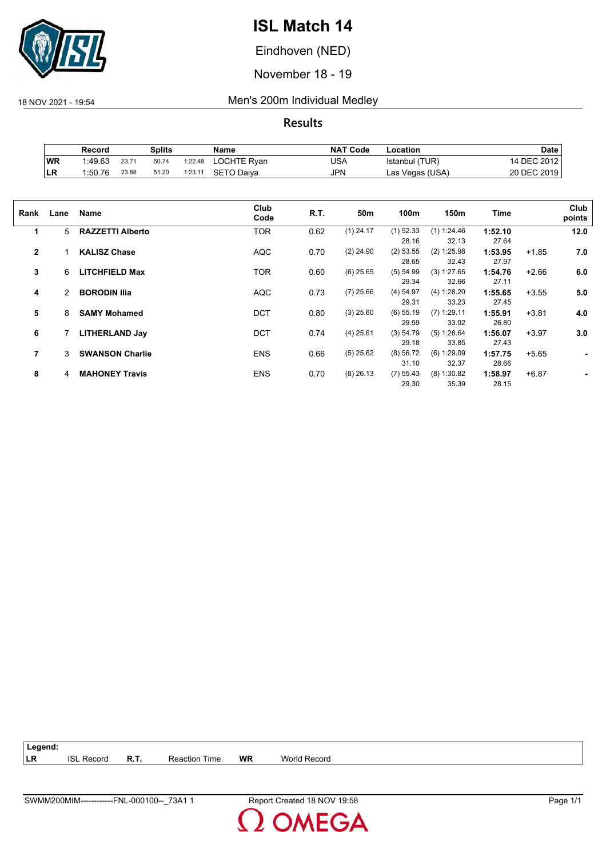

Eindhoven (NED)

November 18 - 19

18 NOV 2021 - 19:54 Men's 200m Individual Medley

**Results**

|            | Record  |       | Splits |         | Name        | <b>NAT Code</b> | Location        | Date        |
|------------|---------|-------|--------|---------|-------------|-----------------|-----------------|-------------|
| WR         | 1:49.63 | 23.71 | 50.74  | 1:22.48 | LOCHTE Ryan | USA             | Istanbul (TUR)  | 14 DEC 2012 |
| <b>ILR</b> | 1:50.76 | 23.88 | 51.20  | 1:23.11 | SETO Daiva  | JPN             | Las Vegas (USA) | 20 DEC 2019 |

| Rank           | Lane | Name                    | Club<br>Code | R.T. | 50 <sub>m</sub> | 100m        | 150m          | Time    |         | Club<br>points |
|----------------|------|-------------------------|--------------|------|-----------------|-------------|---------------|---------|---------|----------------|
| 1              | 5    | <b>RAZZETTI Alberto</b> | <b>TOR</b>   | 0.62 | $(1)$ 24.17     | $(1)$ 52.33 | (1) 1:24.46   | 1:52.10 |         | 12.0           |
|                |      |                         |              |      |                 | 28.16       | 32.13         | 27.64   |         |                |
| $\overline{2}$ |      | <b>KALISZ Chase</b>     | <b>AQC</b>   | 0.70 | $(2)$ 24.90     | $(2)$ 53.55 | $(2)$ 1:25.98 | 1:53.95 | $+1.85$ | 7.0            |
|                |      |                         |              |      |                 | 28.65       | 32.43         | 27.97   |         |                |
| 3              | 6    | <b>LITCHFIELD Max</b>   | <b>TOR</b>   | 0.60 | $(6)$ 25.65     | (5) 54.99   | (3) 1:27.65   | 1:54.76 | $+2.66$ | 6.0            |
|                |      |                         |              |      |                 | 29.34       | 32.66         | 27.11   |         |                |
| 4              | 2    | <b>BORODIN Ilia</b>     | <b>AQC</b>   | 0.73 | $(7)$ 25.66     | $(4)$ 54.97 | (4) 1:28.20   | 1:55.65 | $+3.55$ | 5.0            |
|                |      |                         |              |      |                 | 29.31       | 33.23         | 27.45   |         |                |
| 5              | 8    | <b>SAMY Mohamed</b>     | <b>DCT</b>   | 0.80 | $(3)$ 25.60     | $(6)$ 55.19 | $(7)$ 1:29.11 | 1:55.91 | $+3.81$ | 4.0            |
|                |      |                         |              |      |                 | 29.59       | 33.92         | 26.80   |         |                |
| 6              |      | <b>LITHERLAND Jay</b>   | <b>DCT</b>   | 0.74 | $(4)$ 25.61     | (3) 54.79   | (5) 1:28.64   | 1:56.07 | $+3.97$ | 3.0            |
|                |      |                         |              |      |                 | 29.18       | 33.85         | 27.43   |         |                |
| 7              | 3    | <b>SWANSON Charlie</b>  | <b>ENS</b>   | 0.66 | $(5)$ 25.62     | (8) 56.72   | $(6)$ 1:29.09 | 1:57.75 | $+5.65$ | ٠              |
|                |      |                         |              |      |                 | 31.10       | 32.37         | 28.66   |         |                |
| 8              | 4    | <b>MAHONEY Travis</b>   | <b>ENS</b>   | 0.70 | $(8)$ 26.13     | (7) 55.43   | $(8)$ 1:30.82 | 1:58.97 | $+6.87$ |                |
|                |      |                         |              |      |                 | 29.30       | 35.39         | 28.15   |         |                |
|                |      |                         |              |      |                 |             |               |         |         |                |

**Legend: LR** ISL Record **R.T.** Reaction Time **WR** World Record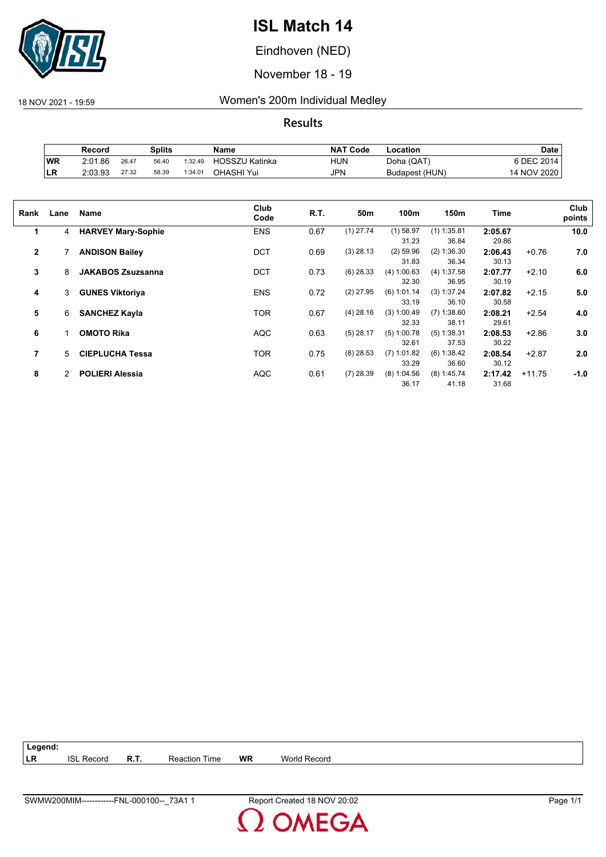

Eindhoven (NED)

November 18 - 19

### 18 NOV 2021 - 19:59 Women's 200m Individual Medley

|           | Record  |       | Splits |         | Name                  | <b>NAT Code</b> | ∟ocation       | <b>Date</b> |
|-----------|---------|-------|--------|---------|-----------------------|-----------------|----------------|-------------|
| WR        | 2:01.86 | 26.47 | 56.40  | 1:32.49 | <b>HOSSZU Katinka</b> | HUN             | Doha (QAT)     | S DEC 2014, |
| <b>LR</b> | 2:03.93 | 27.32 | 58.39  | 1:34.01 | OHASHI Yui            | JPN             | Budapest (HUN) | 14 NOV 2020 |

| Rank         | Lane | <b>Name</b>               | Club<br>Code | R.T. | 50m         | 100m                   | 150m                   | Time             |          | Club<br>points |
|--------------|------|---------------------------|--------------|------|-------------|------------------------|------------------------|------------------|----------|----------------|
| 1            | 4    | <b>HARVEY Mary-Sophie</b> | <b>ENS</b>   | 0.67 | $(1)$ 27.74 | $(1)$ 58.97<br>31.23   | $(1)$ 1:35.81<br>36.84 | 2:05.67<br>29.86 |          | 10.0           |
| $\mathbf{2}$ |      | <b>ANDISON Bailey</b>     | <b>DCT</b>   | 0.69 | $(3)$ 28.13 | $(2)$ 59.96<br>31.83   | (2) 1:36.30<br>36.34   | 2:06.43<br>30.13 | $+0.76$  | 7.0            |
| 3            | 8    | <b>JAKABOS Zsuzsanna</b>  | DCT          | 0.73 | $(6)$ 28.33 | (4) 1:00.63<br>32.30   | (4) 1:37.58<br>36.95   | 2:07.77<br>30.19 | $+2.10$  | 6.0            |
| 4            | 3    | <b>GUNES Viktoriya</b>    | <b>ENS</b>   | 0.72 | $(2)$ 27.95 | (6) 1:01.14<br>33.19   | (3) 1:37.24<br>36.10   | 2:07.82<br>30.58 | $+2.15$  | 5.0            |
| 5            | 6    | <b>SANCHEZ Kayla</b>      | <b>TOR</b>   | 0.67 | $(4)$ 28.16 | (3) 1:00.49<br>32.33   | $(7)$ 1:38.60<br>38.11 | 2:08.21<br>29.61 | $+2.54$  | 4.0            |
| 6            | 1    | <b>OMOTO Rika</b>         | <b>AQC</b>   | 0.63 | $(5)$ 28.17 | $(5)$ 1:00.78<br>32.61 | $(5)$ 1:38.31<br>37.53 | 2:08.53<br>30.22 | $+2.86$  | 3.0            |
| 7            | 5.   | <b>CIEPLUCHA Tessa</b>    | <b>TOR</b>   | 0.75 | $(8)$ 28.53 | $(7)$ 1:01.82<br>33.29 | (6) 1:38.42<br>36.60   | 2:08.54<br>30.12 | $+2.87$  | 2.0            |
| 8            | 2    | <b>POLIERI Alessia</b>    | <b>AQC</b>   | 0.61 | $(7)$ 28.39 | $(8)$ 1:04.56<br>36.17 | $(8)$ 1:45.74<br>41.18 | 2:17.42<br>31.68 | $+11.75$ | $-1.0$         |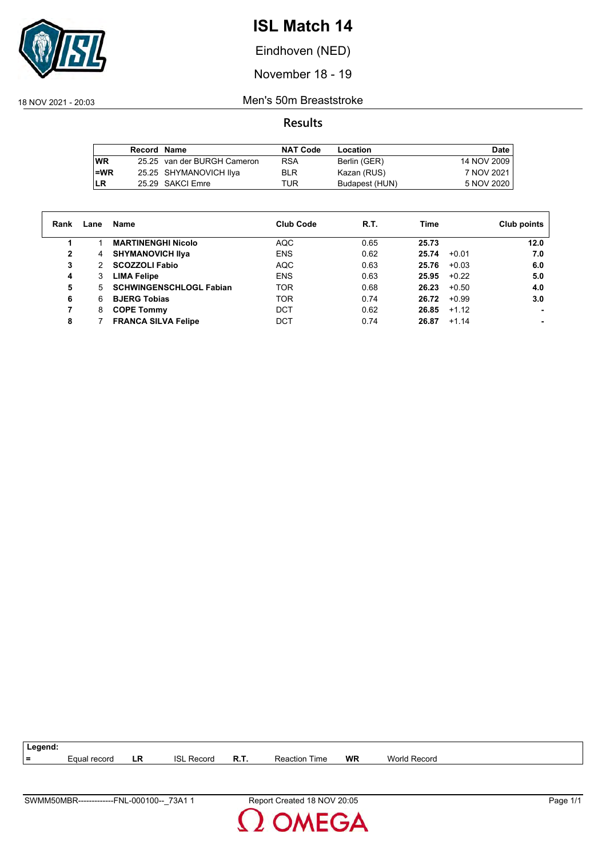

Eindhoven (NED)

November 18 - 19

18 NOV 2021 - 20:03 Men's 50m Breaststroke

|            | Record Name |                             | <b>NAT Code</b> | Location       | Date        |
|------------|-------------|-----------------------------|-----------------|----------------|-------------|
| <b>WR</b>  |             | 25.25 van der BURGH Cameron | <b>RSA</b>      | Berlin (GER)   | 14 NOV 2009 |
| $l = WR$   |             | 25.25 SHYMANOVICH IIya      | <b>BLR</b>      | Kazan (RUS)    | 7 NOV 2021  |
| <b>ILR</b> |             | 25.29 SAKCI Emre            | TUR             | Budapest (HUN) | 5 NOV 2020  |

| Rank | Lane | Name                           | <b>Club Code</b> | R.T. | Time  |         | Club points |
|------|------|--------------------------------|------------------|------|-------|---------|-------------|
|      |      | <b>MARTINENGHI Nicolo</b>      | AQC              | 0.65 | 25.73 |         | 12.0        |
| 2    | 4    | <b>SHYMANOVICH IIva</b>        | <b>ENS</b>       | 0.62 | 25.74 | $+0.01$ | 7.0         |
| 3    | 2    | <b>SCOZZOLI Fabio</b>          | AQC              | 0.63 | 25.76 | $+0.03$ | 6.0         |
| 4    | 3    | <b>LIMA Felipe</b>             | <b>ENS</b>       | 0.63 | 25.95 | $+0.22$ | 5.0         |
| 5    | 5.   | <b>SCHWINGENSCHLOGL Fabian</b> | <b>TOR</b>       | 0.68 | 26.23 | $+0.50$ | 4.0         |
| 6    | 6    | <b>BJERG Tobias</b>            | TOR              | 0.74 | 26.72 | $+0.99$ | 3.0         |
| 7    | 8    | <b>COPE Tommy</b>              | <b>DCT</b>       | 0.62 | 26.85 | $+1.12$ |             |
| 8    |      | <b>FRANCA SILVA Felipe</b>     | DCT              | 0.74 | 26.87 | $+1.14$ |             |

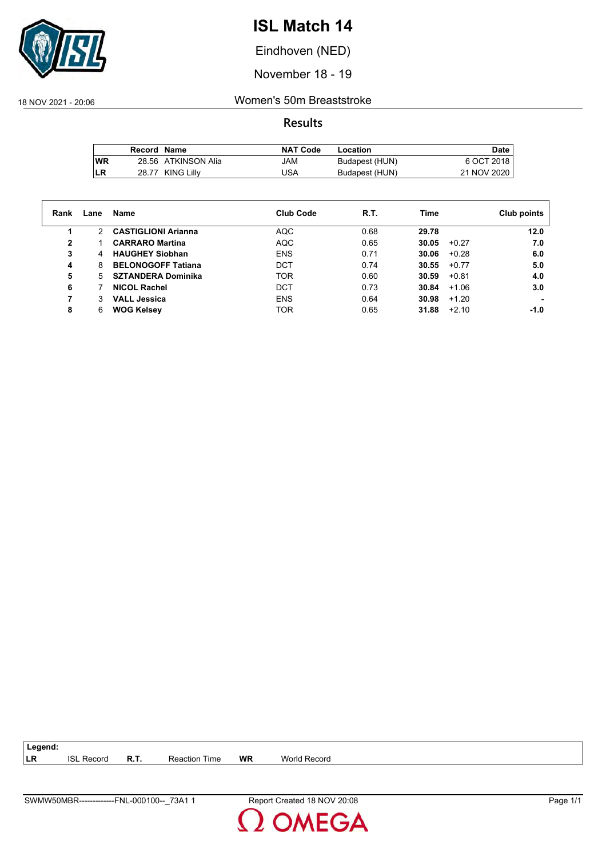

Eindhoven (NED)

November 18 - 19

18 NOV 2021 - 20:06 Women's 50m Breaststroke

**Results**

|           | Record Name |                     | <b>NAT Code</b> | Location       | Date        |
|-----------|-------------|---------------------|-----------------|----------------|-------------|
| <b>WR</b> |             | 28.56 ATKINSON Alia | MAL             | Budapest (HUN) | 6 OCT 2018  |
| LR        |             | 28.77 KING Lilly    | USA             | Budapest (HUN) | 21 NOV 2020 |

| Rank | Lane          | Name                       | <b>Club Code</b> | R.T. | Time  |         | Club points |
|------|---------------|----------------------------|------------------|------|-------|---------|-------------|
|      | $\mathcal{P}$ | <b>CASTIGLIONI Arianna</b> | <b>AQC</b>       | 0.68 | 29.78 |         | 12.0        |
| 2    |               | <b>CARRARO Martina</b>     | <b>AQC</b>       | 0.65 | 30.05 | $+0.27$ | 7.0         |
| 3    | 4             | <b>HAUGHEY Siobhan</b>     | <b>ENS</b>       | 0.71 | 30.06 | $+0.28$ | 6.0         |
| 4    | 8             | <b>BELONOGOFF Tatiana</b>  | <b>DCT</b>       | 0.74 | 30.55 | $+0.77$ | 5.0         |
| 5    | 5             | <b>SZTANDERA Dominika</b>  | <b>TOR</b>       | 0.60 | 30.59 | $+0.81$ | 4.0         |
| 6    |               | <b>NICOL Rachel</b>        | <b>DCT</b>       | 0.73 | 30.84 | $+1.06$ | 3.0         |
|      | 3             | <b>VALL Jessica</b>        | <b>ENS</b>       | 0.64 | 30.98 | $+1.20$ |             |
| 8    | 6             | <b>WOG Kelsey</b>          | <b>TOR</b>       | 0.65 | 31.88 | $+2.10$ | -1.0        |

**LR** ISL Record **R.T.** Reaction Time **WR** World Record

**Legend:**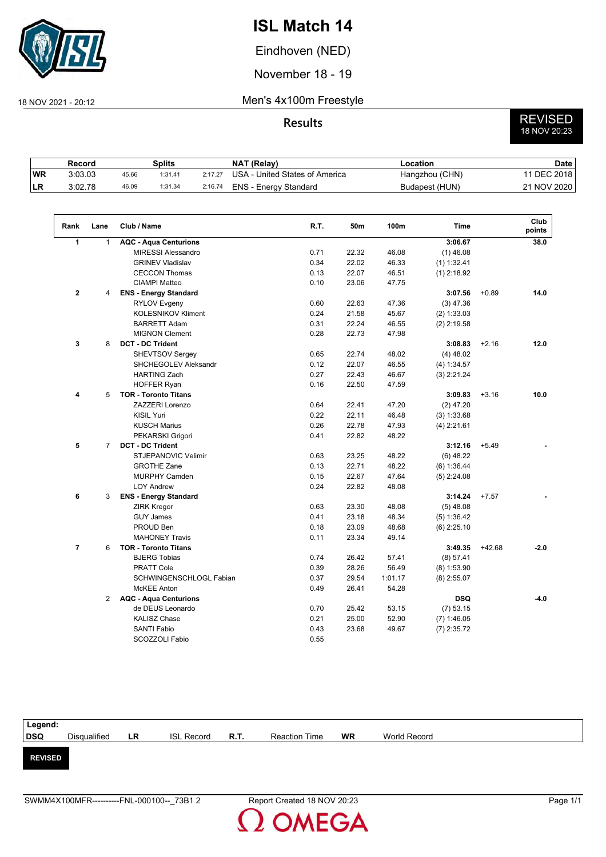

Eindhoven (NED)

November 18 - 19

#### 18 NOV 2021 - 20:12 Men's 4x100m Freestyle

# **Results** REVISED 18 NOV 20:23

|     | Record  |       | Splits  |         | NAT (Relay)                    | -ocation       | <b>Date</b>   |
|-----|---------|-------|---------|---------|--------------------------------|----------------|---------------|
| WR! | 3:03.03 | 45.66 | 1:31.41 | 2:17.27 | USA - United States of America | Hangzhou (CHN) | 11 DEC 2018 i |
| ILR | 3:02.78 | 46.09 | 1:31.34 | 2:16.74 | ENS - Energy Standard          | Budapest (HUN) | 21 NOV 2020   |

| Rank           | Lane           | Club / Name                  | R.T. | 50m   | 100m    | <b>Time</b>   |          | Club<br>points |
|----------------|----------------|------------------------------|------|-------|---------|---------------|----------|----------------|
| 1              | $\mathbf{1}$   | <b>AQC - Aqua Centurions</b> |      |       |         | 3:06.67       |          | 38.0           |
|                |                | <b>MIRESSI Alessandro</b>    | 0.71 | 22.32 | 46.08   | $(1)$ 46.08   |          |                |
|                |                | <b>GRINEV Vladislav</b>      | 0.34 | 22.02 | 46.33   | $(1)$ 1:32.41 |          |                |
|                |                | <b>CECCON Thomas</b>         | 0.13 | 22.07 | 46.51   | $(1)$ 2:18.92 |          |                |
|                |                | <b>CIAMPI Matteo</b>         | 0.10 | 23.06 | 47.75   |               |          |                |
| $\mathbf{2}$   | 4              | <b>ENS - Energy Standard</b> |      |       |         | 3:07.56       | $+0.89$  | 14.0           |
|                |                | <b>RYLOV Evgeny</b>          | 0.60 | 22.63 | 47.36   | $(3)$ 47.36   |          |                |
|                |                | <b>KOLESNIKOV Kliment</b>    | 0.24 | 21.58 | 45.67   | (2) 1:33.03   |          |                |
|                |                | <b>BARRETT Adam</b>          | 0.31 | 22.24 | 46.55   | $(2)$ 2:19.58 |          |                |
|                |                | <b>MIGNON Clement</b>        | 0.28 | 22.73 | 47.98   |               |          |                |
| 3              | 8              | <b>DCT - DC Trident</b>      |      |       |         | 3:08.83       | $+2.16$  | 12.0           |
|                |                | <b>SHEVTSOV Sergey</b>       | 0.65 | 22.74 | 48.02   | $(4)$ 48.02   |          |                |
|                |                | SHCHEGOLEV Aleksandr         | 0.12 | 22.07 | 46.55   | (4) 1:34.57   |          |                |
|                |                | <b>HARTING Zach</b>          | 0.27 | 22.43 | 46.67   | $(3)$ 2:21.24 |          |                |
|                |                | <b>HOFFER Ryan</b>           | 0.16 | 22.50 | 47.59   |               |          |                |
| 4              | 5              | <b>TOR - Toronto Titans</b>  |      |       |         | 3:09.83       | $+3.16$  | 10.0           |
|                |                | ZAZZERI Lorenzo              | 0.64 | 22.41 | 47.20   | $(2)$ 47.20   |          |                |
|                |                | <b>KISIL Yuri</b>            | 0.22 | 22.11 | 46.48   | (3) 1:33.68   |          |                |
|                |                | <b>KUSCH Marius</b>          | 0.26 | 22.78 | 47.93   | $(4)$ 2:21.61 |          |                |
|                |                | PEKARSKI Grigori             | 0.41 | 22.82 | 48.22   |               |          |                |
| 5              | $\overline{7}$ | <b>DCT - DC Trident</b>      |      |       |         | 3:12.16       | $+5.49$  |                |
|                |                | <b>STJEPANOVIC Velimir</b>   | 0.63 | 23.25 | 48.22   | $(6)$ 48.22   |          |                |
|                |                | <b>GROTHE Zane</b>           | 0.13 | 22.71 | 48.22   | (6) 1:36.44   |          |                |
|                |                | <b>MURPHY Camden</b>         | 0.15 | 22.67 | 47.64   | $(5)$ 2:24.08 |          |                |
|                |                | <b>LOY Andrew</b>            | 0.24 | 22.82 | 48.08   |               |          |                |
| 6              | 3              | <b>ENS - Energy Standard</b> |      |       |         | 3:14.24       | $+7.57$  |                |
|                |                | <b>ZIRK Kregor</b>           | 0.63 | 23.30 | 48.08   | $(5)$ 48.08   |          |                |
|                |                | <b>GUY James</b>             | 0.41 | 23.18 | 48.34   | (5) 1:36.42   |          |                |
|                |                | PROUD Ben                    | 0.18 | 23.09 | 48.68   | $(6)$ 2:25.10 |          |                |
|                |                | <b>MAHONEY Travis</b>        | 0.11 | 23.34 | 49.14   |               |          |                |
| $\overline{7}$ | 6              | <b>TOR - Toronto Titans</b>  |      |       |         | 3:49.35       | $+42.68$ | $-2.0$         |
|                |                | <b>BJERG Tobias</b>          | 0.74 | 26.42 | 57.41   | (8) 57.41     |          |                |
|                |                | <b>PRATT Cole</b>            | 0.39 | 28.26 | 56.49   | $(8)$ 1:53.90 |          |                |
|                |                | SCHWINGENSCHLOGL Fabian      | 0.37 | 29.54 | 1:01.17 | $(8)$ 2:55.07 |          |                |
|                |                | <b>McKEE Anton</b>           | 0.49 | 26.41 | 54.28   |               |          |                |
|                | $\overline{2}$ | <b>AQC - Aqua Centurions</b> |      |       |         | <b>DSQ</b>    |          | $-4.0$         |
|                |                | de DEUS Leonardo             | 0.70 | 25.42 | 53.15   | $(7)$ 53.15   |          |                |
|                |                | <b>KALISZ Chase</b>          | 0.21 | 25.00 | 52.90   | $(7)$ 1:46.05 |          |                |
|                |                | <b>SANTI Fabio</b>           | 0.43 | 23.68 | 49.67   | $(7)$ 2:35.72 |          |                |
|                |                | SCOZZOLI Fabio               | 0.55 |       |         |               |          |                |

| Disqualified | LR             | <b>ISL Record</b> | <b>R.T.</b> | <b>Reaction Time</b> | <b>WR</b> | World Record |  |
|--------------|----------------|-------------------|-------------|----------------------|-----------|--------------|--|
|              |                |                   |             |                      |           |              |  |
|              |                |                   |             |                      |           |              |  |
|              |                |                   |             |                      |           |              |  |
|              |                |                   |             |                      |           |              |  |
|              | <b>REVISED</b> |                   |             |                      |           |              |  |

2 OMEGA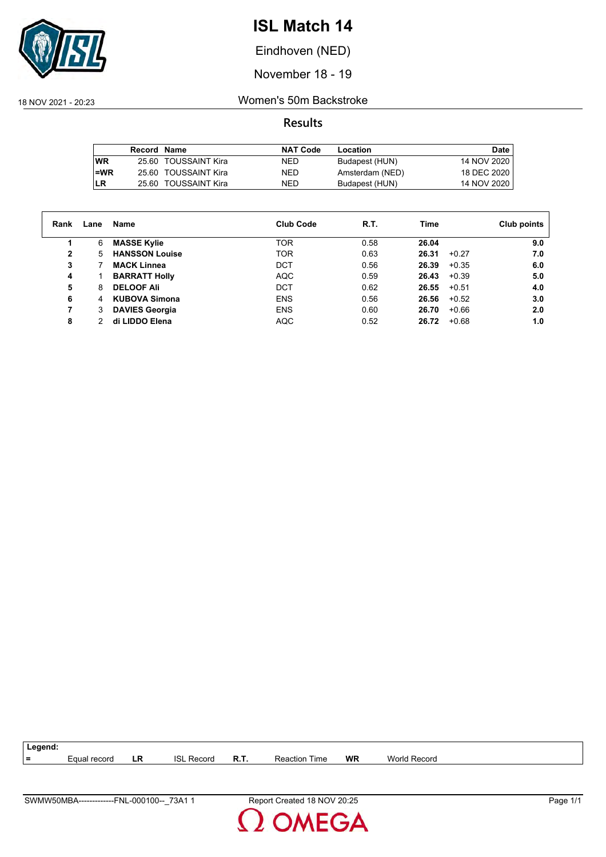

Eindhoven (NED)

November 18 - 19

18 NOV 2021 - 20:23 Women's 50m Backstroke

|      | <b>Record Name</b> |                      | <b>NAT Code</b> | Location        | Date        |
|------|--------------------|----------------------|-----------------|-----------------|-------------|
| l WR |                    | 25.60 TOUSSAINT Kira | NED.            | Budapest (HUN)  | 14 NOV 2020 |
| l=WR |                    | 25.60 TOUSSAINT Kira | NED.            | Amsterdam (NED) | 18 DEC 2020 |
| LR   |                    | 25.60 TOUSSAINT Kira | NED             | Budapest (HUN)  | 14 NOV 2020 |

| Rank         | Lane | Name                  | <b>Club Code</b> | R.T. | Time             | Club points |
|--------------|------|-----------------------|------------------|------|------------------|-------------|
|              | 6    | <b>MASSE Kylie</b>    | TOR              | 0.58 | 26.04            | 9.0         |
| $\mathbf{2}$ | 5    | <b>HANSSON Louise</b> | <b>TOR</b>       | 0.63 | 26.31<br>$+0.27$ | 7.0         |
| 3            |      | <b>MACK Linnea</b>    | <b>DCT</b>       | 0.56 | 26.39<br>$+0.35$ | 6.0         |
| 4            |      | <b>BARRATT Holly</b>  | <b>AQC</b>       | 0.59 | 26.43<br>$+0.39$ | 5.0         |
| 5            | 8    | <b>DELOOF Ali</b>     | <b>DCT</b>       | 0.62 | 26.55<br>$+0.51$ | 4.0         |
| 6            | 4    | <b>KUBOVA Simona</b>  | <b>ENS</b>       | 0.56 | 26.56<br>$+0.52$ | 3.0         |
| 7            | 3    | <b>DAVIES Georgia</b> | <b>ENS</b>       | 0.60 | $+0.66$<br>26.70 | 2.0         |
| 8            | 2    | di LIDDO Elena        | AQC              | 0.52 | $+0.68$<br>26.72 | 1.0         |



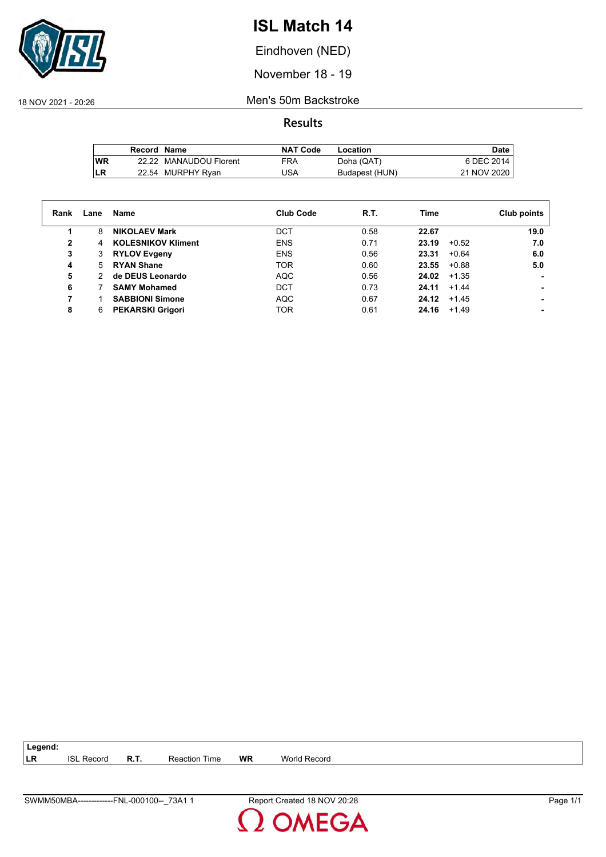

Eindhoven (NED)

November 18 - 19

18 NOV 2021 - 20:26 Men's 50m Backstroke

**Results**

|           | Record Name |                        | <b>NAT Code</b> | Location       | Date        |
|-----------|-------------|------------------------|-----------------|----------------|-------------|
| <b>WR</b> |             | 22.22 MANAUDOU Florent | <b>FRA</b>      | Doha (QAT)     | 6 DEC 2014  |
| LR        |             | 22.54 MURPHY Ryan      | JSA             | Budapest (HUN) | 21 NOV 2020 |

| Rank         | Lane | Name                      | <b>Club Code</b> | R.T. | Time             | Club points |
|--------------|------|---------------------------|------------------|------|------------------|-------------|
|              | 8    | <b>NIKOLAEV Mark</b>      | DCT              | 0.58 | 22.67            | 19.0        |
| $\mathbf{2}$ | 4    | <b>KOLESNIKOV Kliment</b> | <b>ENS</b>       | 0.71 | 23.19<br>$+0.52$ | 7.0         |
| 3            | 3    | <b>RYLOV Evgeny</b>       | <b>ENS</b>       | 0.56 | 23.31<br>$+0.64$ | 6.0         |
| 4            | 5    | <b>RYAN Shane</b>         | <b>TOR</b>       | 0.60 | 23.55<br>$+0.88$ | 5.0         |
| 5            | 2    | de DEUS Leonardo          | <b>AQC</b>       | 0.56 | 24.02<br>$+1.35$ |             |
| 6            |      | <b>SAMY Mohamed</b>       | <b>DCT</b>       | 0.73 | 24.11<br>$+1.44$ |             |
|              |      | <b>SABBIONI Simone</b>    | <b>AQC</b>       | 0.67 | 24.12<br>$+1.45$ |             |
| 8            | 6    | <b>PEKARSKI Grigori</b>   | TOR.             | 0.61 | 24.16<br>$+1.49$ |             |

**LR** ISL Record **R.T.** Reaction Time **WR** World Record

**Legend:**

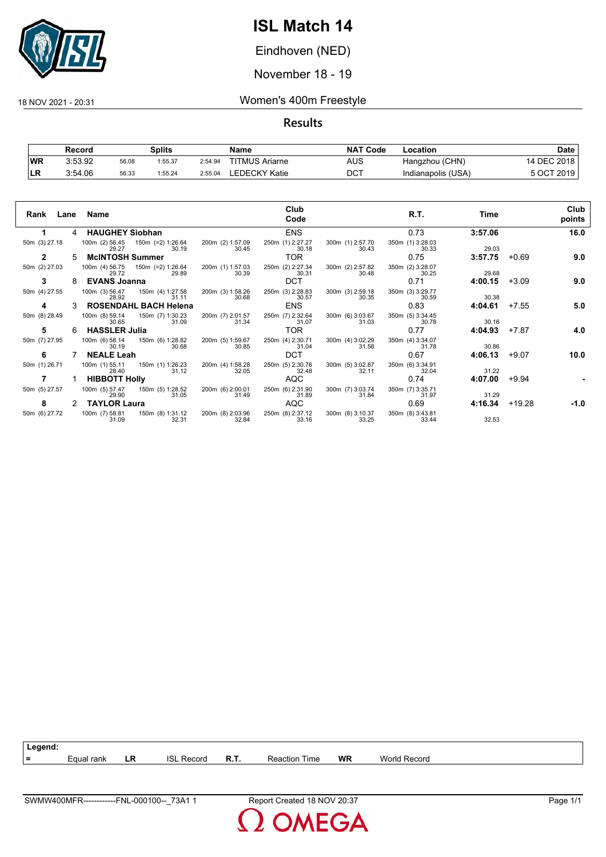

Eindhoven (NED)

November 18 - 19

18 NOV 2021 - 20:31 Women's 400m Freestyle

**Results**

|           | Record  |       | Splits  |         | Name                  | <b>NAT Code</b> | Location           | Date        |
|-----------|---------|-------|---------|---------|-----------------------|-----------------|--------------------|-------------|
| <b>WR</b> | 3:53.92 | 56.08 | 1:55.37 | 2:54.94 | <b>TITMUS Ariarne</b> | AUS             | Hangzhou (CHN)     | 14 DEC 2018 |
| ∣LR       | 3:54.06 | 56.33 | 1:55.24 | 2:55.04 | EDECKY Katie.         | DCT             | Indianapolis (USA) | 5 OCT 2019  |

| Rank<br>Lane  |    | Name                                                  |                           | Club<br>Code              |                           | R.T.                      | Time    |          | Club<br>points |
|---------------|----|-------------------------------------------------------|---------------------------|---------------------------|---------------------------|---------------------------|---------|----------|----------------|
|               | 4  | <b>HAUGHEY Siobhan</b>                                |                           | <b>ENS</b>                |                           | 0.73                      | 3:57.06 |          | 16.0           |
| 50m (3) 27.18 |    | 100m (2) 56.45<br>150m (=2) 1:26.64<br>30.19<br>29.27 | 200m (2) 1:57.09<br>30.45 | 250m (1) 2:27.27<br>30.18 | 300m (1) 2:57.70<br>30.43 | 350m (1) 3:28.03<br>30.33 | 29.03   |          |                |
| 2             | 5. | <b>McINTOSH Summer</b>                                |                           | TOR                       |                           | 0.75                      | 3:57.75 | $+0.69$  | 9.0            |
| 50m (2) 27.03 |    | 100m (4) 56.75<br>150m (=2) 1:26.64<br>29.89<br>29.72 | 200m (1) 1:57.03<br>30.39 | 250m (2) 2:27.34<br>30.31 | 300m (2) 2:57.82<br>30.48 | 350m (2) 3:28.07<br>30.25 | 29.68   |          |                |
| 3             |    | <b>EVANS Joanna</b>                                   |                           | <b>DCT</b>                |                           | 0.71                      | 4:00.15 | $+3.09$  | 9.0            |
| 50m (4) 27.55 |    | 100m (3) 56.47<br>150m (4) 1:27.58<br>28.92<br>31.11  | 200m (3) 1:58.26<br>30.68 | 250m (3) 2:28.83<br>30.57 | 300m (3) 2:59.18<br>30.35 | 350m (3) 3:29.77<br>30.59 | 30.38   |          |                |
| 4             |    | <b>ROSENDAHL BACH Helena</b>                          |                           | <b>ENS</b>                |                           | 0.83                      | 4:04.61 | $+7.55$  | 5.0            |
| 50m (8) 28.49 |    | 100m (8) 59.14<br>150m (7) 1:30.23<br>31.09<br>30.65  | 200m (7) 2:01.57<br>31.34 | 250m (7) 2:32.64<br>31.07 | 300m (6) 3:03.67<br>31.03 | 350m (5) 3:34.45<br>30.78 | 30.16   |          |                |
| 5             | 6. | <b>HASSLER Julia</b>                                  |                           | TOR                       |                           | 0.77                      | 4:04.93 | $+7.87$  | 4.0            |
| 50m (7) 27.95 |    | 100m (6) 58.14<br>150m (6) 1:28.82<br>30.68<br>30.19  | 200m (5) 1:59.67<br>30.85 | 250m (4) 2:30.71<br>31.04 | 300m (4) 3:02.29<br>31.58 | 350m (4) 3:34.07<br>31.78 | 30.86   |          |                |
| 6             |    | <b>NEALE Leah</b>                                     |                           | <b>DCT</b>                |                           | 0.67                      | 4:06.13 | $+9.07$  | 10.0           |
| 50m (1) 26.71 |    | 100m (1) 55.11<br>150m (1) 1:26.23<br>28.40<br>31.12  | 200m (4) 1:58.28<br>32.05 | 250m (5) 2:30.76<br>32.48 | 300m (5) 3:02.87<br>32.11 | 350m (6) 3:34.91<br>32.04 | 31.22   |          |                |
|               |    | <b>HIBBOTT Holly</b>                                  |                           | AQC                       |                           | 0.74                      | 4:07.00 | $+9.94$  |                |
| 50m (5) 27.57 |    | 100m (5) 57.47<br>150m (5) 1:28.52<br>29.90<br>31.05  | 200m (6) 2:00.01<br>31.49 | 250m (6) 2:31.90<br>31.89 | 300m (7) 3:03.74<br>31.84 | 350m (7) 3:35.71<br>31.97 | 31.29   |          |                |
| 8             | 2  | <b>TAYLOR Laura</b>                                   |                           | <b>AQC</b>                |                           | 0.69                      | 4:16.34 | $+19.28$ | -1.0           |
| 50m (6) 27.72 |    | 100m (7) 58.81<br>150m (8) 1:31.12<br>31.09<br>32.31  | 200m (8) 2:03.96<br>32.84 | 250m (8) 2:37.12<br>33.16 | 300m (8) 3:10.37<br>33.25 | 350m (8) 3:43.81<br>33.44 | 32.53   |          |                |



**MEGA**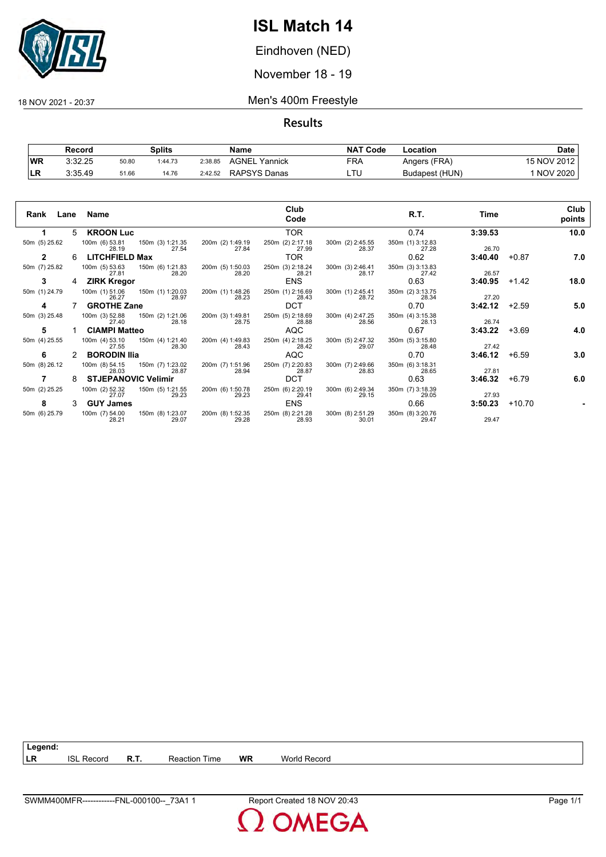

Eindhoven (NED)

November 18 - 19

18 NOV 2021 - 20:37 Men's 400m Freestyle

**Results**

|           | Record  |       | Splits  |         | Name             | <b>NAT</b><br>' Code | Location       | Date            |
|-----------|---------|-------|---------|---------|------------------|----------------------|----------------|-----------------|
| <b>WR</b> | 3:32.25 | 50.80 | 1:44.73 | 2:38.85 | AGNEL<br>Yannick | FRA                  | Angers (FRA)   | 15 NOV 2012     |
| LR        | 3:35.49 | 51.66 | 14.76   | 2:42.52 | RAPSYS Danas     | LTL                  | Budapest (HUN) | <b>NOV 2020</b> |

| Rank          | Lane | Name                       |                           |                           | Club<br>Code              |                           | R.T.                      | Time    |          | Club<br>points |
|---------------|------|----------------------------|---------------------------|---------------------------|---------------------------|---------------------------|---------------------------|---------|----------|----------------|
|               |      | 5 KROON Luc                |                           |                           | <b>TOR</b>                |                           | 0.74                      | 3:39.53 |          | 10.0           |
| 50m (5) 25.62 |      | 100m (6) 53.81<br>28.19    | 150m (3) 1:21.35<br>27.54 | 200m (2) 1:49.19<br>27.84 | 250m (2) 2:17.18<br>27.99 | 300m (2) 2:45.55<br>28.37 | 350m (1) 3:12.83<br>27.28 | 26.70   |          |                |
| 2             | 6    | <b>LITCHFIELD Max</b>      |                           |                           | <b>TOR</b>                |                           | 0.62                      | 3:40.40 | $+0.87$  | 7.0            |
| 50m (7) 25.82 |      | 100m (5) 53.63<br>27.81    | 150m (6) 1:21.83<br>28.20 | 200m (5) 1:50.03<br>28.20 | 250m (3) 2:18.24<br>28.21 | 300m (3) 2:46.41<br>28.17 | 350m (3) 3:13.83<br>27.42 | 26.57   |          |                |
| 3             | 4    | <b>ZIRK Kregor</b>         |                           |                           | <b>ENS</b>                |                           | 0.63                      | 3:40.95 | $+1.42$  | 18.0           |
| 50m (1) 24.79 |      | 100m (1) 51.06<br>26.27    | 150m (1) 1:20.03<br>28.97 | 200m (1) 1:48.26<br>28.23 | 250m (1) 2:16.69<br>28.43 | 300m (1) 2:45.41<br>28.72 | 350m (2) 3:13.75<br>28.34 | 27.20   |          |                |
| 4             |      | <b>GROTHE Zane</b>         |                           |                           | <b>DCT</b>                |                           | 0.70                      | 3:42.12 | $+2.59$  | 5.0            |
| 50m (3) 25.48 |      | 100m (3) 52.88<br>27.40    | 150m (2) 1:21.06<br>28.18 | 200m (3) 1:49.81<br>28.75 | 250m (5) 2:18.69<br>28.88 | 300m (4) 2:47.25<br>28.56 | 350m (4) 3:15.38<br>28.13 | 26.74   |          |                |
| 5             |      | <b>CIAMPI Matteo</b>       |                           |                           | <b>AQC</b>                |                           | 0.67                      | 3:43.22 | $+3.69$  | 4.0            |
| 50m (4) 25.55 |      | 100m (4) 53.10<br>27.55    | 150m (4) 1:21.40<br>28.30 | 200m (4) 1:49.83<br>28.43 | 250m (4) 2:18.25<br>28.42 | 300m (5) 2:47.32<br>29.07 | 350m (5) 3:15.80<br>28.48 | 27.42   |          |                |
| 6             |      | <b>BORODIN Ilia</b>        |                           |                           | <b>AQC</b>                |                           | 0.70                      | 3:46.12 | $+6.59$  | 3.0            |
| 50m (8) 26.12 |      | 100m (8) 54.15<br>28.03    | 150m (7) 1:23.02<br>28.87 | 200m (7) 1:51.96<br>28.94 | 250m (7) 2:20.83<br>28.87 | 300m (7) 2:49.66<br>28.83 | 350m (6) 3:18.31<br>28.65 | 27.81   |          |                |
|               | 8    | <b>STJEPANOVIC Velimir</b> |                           |                           | <b>DCT</b>                |                           | 0.63                      | 3:46.32 | $+6.79$  | 6.0            |
| 50m (2) 25.25 |      | 100m (2) 52.32<br>27.07    | 150m (5) 1:21.55<br>29.23 | 200m (6) 1:50.78<br>29.23 | 250m (6) 2:20.19<br>29.41 | 300m (6) 2:49.34<br>29.15 | 350m (7) 3:18.39<br>29.05 | 27.93   |          |                |
| 8             | 3    | <b>GUY James</b>           |                           |                           | <b>ENS</b>                |                           | 0.66                      | 3:50.23 | $+10.70$ |                |
| 50m (6) 25.79 |      | 100m (7) 54.00<br>28.21    | 150m (8) 1:23.07<br>29.07 | 200m (8) 1:52.35<br>29.28 | 250m (8) 2:21.28<br>28.93 | 300m (8) 2:51.29<br>30.01 | 350m (8) 3:20.76<br>29.47 | 29.47   |          |                |

**Legend: LR** ISL Record **R.T.** Reaction Time **WR** World Record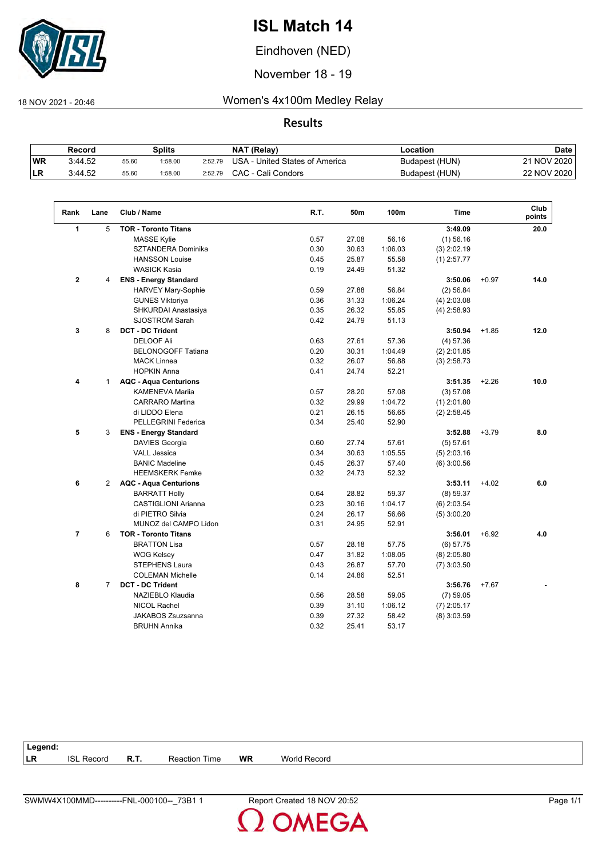

Eindhoven (NED)

November 18 - 19

### 18 NOV 2021 - 20:46 Women's 4x100m Medley Relay

#### **Results**

|           | Record  |       | Splits  |         | <b>NAT (Relay)</b>             | Location       | <b>Date</b> |
|-----------|---------|-------|---------|---------|--------------------------------|----------------|-------------|
| <b>WR</b> | 3:44.52 | 55.60 | 1:58.00 | 2:52.79 | USA - United States of America | Budapest (HUN) | 21 NOV 2020 |
| ILR       | 3:44.52 | 55.60 | :58.00  | 2:52.79 | CAC - Cali Condors             | Budapest (HUN) | 22 NOV 2020 |

| Rank           | Lane           | Club / Name                  | R.T. | 50m   | 100m    | <b>Time</b>   |         | Club<br>points |
|----------------|----------------|------------------------------|------|-------|---------|---------------|---------|----------------|
| 1              | 5              | <b>TOR - Toronto Titans</b>  |      |       |         | 3:49.09       |         | 20.0           |
|                |                | MASSE Kylie                  | 0.57 | 27.08 | 56.16   | $(1)$ 56.16   |         |                |
|                |                | SZTANDERA Dominika           | 0.30 | 30.63 | 1:06.03 | $(3)$ 2:02.19 |         |                |
|                |                | <b>HANSSON Louise</b>        | 0.45 | 25.87 | 55.58   | $(1)$ 2:57.77 |         |                |
|                |                | <b>WASICK Kasia</b>          | 0.19 | 24.49 | 51.32   |               |         |                |
| $\mathbf{2}$   | 4              | <b>ENS - Energy Standard</b> |      |       |         | 3:50.06       | $+0.97$ | 14.0           |
|                |                | HARVEY Mary-Sophie           | 0.59 | 27.88 | 56.84   | (2) 56.84     |         |                |
|                |                | <b>GUNES Viktoriya</b>       | 0.36 | 31.33 | 1:06.24 | $(4)$ 2:03.08 |         |                |
|                |                | SHKURDAI Anastasiya          | 0.35 | 26.32 | 55.85   | $(4)$ 2:58.93 |         |                |
|                |                | <b>SJOSTROM Sarah</b>        | 0.42 | 24.79 | 51.13   |               |         |                |
| 3              | 8              | <b>DCT - DC Trident</b>      |      |       |         | 3:50.94       | $+1.85$ | 12.0           |
|                |                | <b>DELOOF Ali</b>            | 0.63 | 27.61 | 57.36   | (4) 57.36     |         |                |
|                |                | <b>BELONOGOFF Tatiana</b>    | 0.20 | 30.31 | 1:04.49 | $(2)$ 2:01.85 |         |                |
|                |                | <b>MACK Linnea</b>           | 0.32 | 26.07 | 56.88   | $(3)$ 2:58.73 |         |                |
|                |                | <b>HOPKIN Anna</b>           | 0.41 | 24.74 | 52.21   |               |         |                |
| 4              | $\mathbf{1}$   | <b>AQC - Aqua Centurions</b> |      |       |         | 3:51.35       | $+2.26$ | 10.0           |
|                |                | <b>KAMENEVA Marija</b>       | 0.57 | 28.20 | 57.08   | (3) 57.08     |         |                |
|                |                | <b>CARRARO</b> Martina       | 0.32 | 29.99 | 1:04.72 | $(1)$ 2:01.80 |         |                |
|                |                | di LIDDO Elena               | 0.21 | 26.15 | 56.65   | $(2)$ 2:58.45 |         |                |
|                |                | <b>PELLEGRINI Federica</b>   | 0.34 | 25.40 | 52.90   |               |         |                |
| 5              | 3              | <b>ENS - Energy Standard</b> |      |       |         | 3:52.88       | $+3.79$ | 8.0            |
|                |                | DAVIES Georgia               | 0.60 | 27.74 | 57.61   | (5) 57.61     |         |                |
|                |                | <b>VALL Jessica</b>          | 0.34 | 30.63 | 1:05.55 | $(5)$ 2:03.16 |         |                |
|                |                | <b>BANIC Madeline</b>        | 0.45 | 26.37 | 57.40   | $(6)$ 3:00.56 |         |                |
|                |                | <b>HEEMSKERK Femke</b>       | 0.32 | 24.73 | 52.32   |               |         |                |
| 6              | 2              | <b>AQC - Aqua Centurions</b> |      |       |         | 3:53.11       | $+4.02$ | 6.0            |
|                |                | <b>BARRATT Holly</b>         | 0.64 | 28.82 | 59.37   | (8) 59.37     |         |                |
|                |                | <b>CASTIGLIONI Arianna</b>   | 0.23 | 30.16 | 1:04.17 | $(6)$ 2:03.54 |         |                |
|                |                | di PIETRO Silvia             | 0.24 | 26.17 | 56.66   | $(5)$ 3:00.20 |         |                |
|                |                | MUNOZ del CAMPO Lidon        | 0.31 | 24.95 | 52.91   |               |         |                |
| $\overline{7}$ | 6              | <b>TOR - Toronto Titans</b>  |      |       |         | 3:56.01       | $+6.92$ | 4.0            |
|                |                | <b>BRATTON Lisa</b>          | 0.57 | 28.18 | 57.75   | $(6)$ 57.75   |         |                |
|                |                | <b>WOG Kelsey</b>            | 0.47 | 31.82 | 1:08.05 | $(8)$ 2:05.80 |         |                |
|                |                | <b>STEPHENS Laura</b>        | 0.43 | 26.87 | 57.70   | $(7)$ 3:03.50 |         |                |
|                |                | <b>COLEMAN Michelle</b>      | 0.14 | 24.86 | 52.51   |               |         |                |
| 8              | $\overline{7}$ | <b>DCT - DC Trident</b>      |      |       |         | 3:56.76       | $+7.67$ |                |
|                |                | NAZIEBLO Klaudia             | 0.56 | 28.58 | 59.05   | $(7)$ 59.05   |         |                |
|                |                | NICOL Rachel                 | 0.39 | 31.10 | 1:06.12 | $(7)$ 2:05.17 |         |                |
|                |                | JAKABOS Zsuzsanna            | 0.39 | 27.32 | 58.42   | $(8)$ 3:03.59 |         |                |
|                |                | <b>BRUHN Annika</b>          | 0.32 | 25.41 |         |               |         |                |

| <b>WR</b><br>Time<br>Reaction | <b>World Record</b> |
|-------------------------------|---------------------|
|                               |                     |

**OMEGA**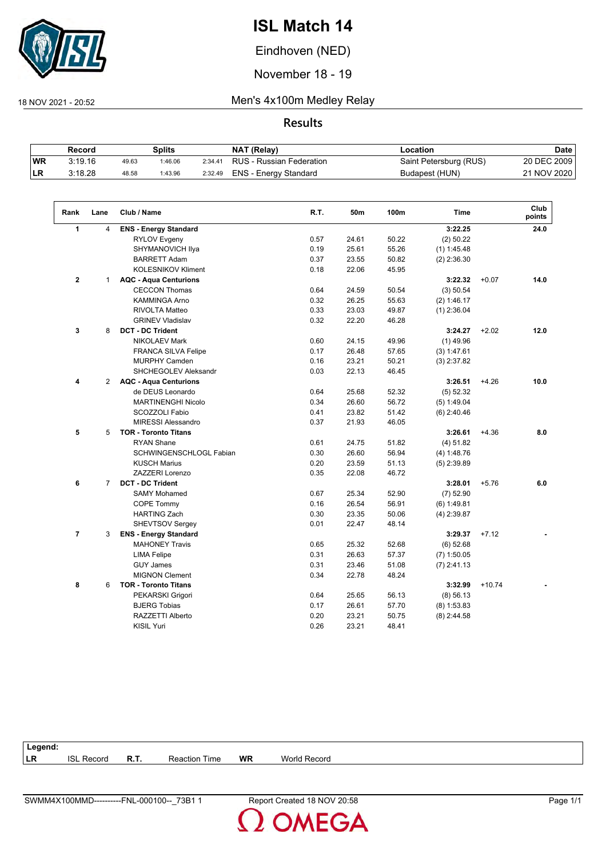

Eindhoven (NED)

November 18 - 19

 $\sqrt{2}$ 

18 NOV 2021 - 20:52 Men's 4x100m Medley Relay

**Results**

|           | Record  |       | Splits  |         | NAT (Relay)              | Location               | Date        |
|-----------|---------|-------|---------|---------|--------------------------|------------------------|-------------|
| <b>WR</b> | 3:19.16 | 49.63 | 1:46.06 | 2:34.41 | RUS - Russian Federation | Saint Petersburg (RUS) | 20 DEC 2009 |
| ILR.      | 3:18.28 | 48.58 | 1:43.96 | 2:32.49 | ENS - Energy Standard    | Budapest (HUN)         | 21 NOV 2020 |

| Rank           | Lane           | Club / Name                  | R.T. | 50m   | 100m  | Time          |          | Club<br>points |
|----------------|----------------|------------------------------|------|-------|-------|---------------|----------|----------------|
| $\mathbf{1}$   | 4              | <b>ENS - Energy Standard</b> |      |       |       | 3:22.25       |          | 24.0           |
|                |                | <b>RYLOV Evgeny</b>          | 0.57 | 24.61 | 50.22 | (2) 50.22     |          |                |
|                |                | SHYMANOVICH Ilya             | 0.19 | 25.61 | 55.26 | $(1)$ 1:45.48 |          |                |
|                |                | <b>BARRETT Adam</b>          | 0.37 | 23.55 | 50.82 | $(2)$ 2:36.30 |          |                |
|                |                | <b>KOLESNIKOV Kliment</b>    | 0.18 | 22.06 | 45.95 |               |          |                |
| $\mathbf{2}$   | $\mathbf{1}$   | <b>AQC - Aqua Centurions</b> |      |       |       | 3:22.32       | $+0.07$  | 14.0           |
|                |                | <b>CECCON Thomas</b>         | 0.64 | 24.59 | 50.54 | (3) 50.54     |          |                |
|                |                | <b>KAMMINGA Arno</b>         | 0.32 | 26.25 | 55.63 | (2) 1:46.17   |          |                |
|                |                | RIVOLTA Matteo               | 0.33 | 23.03 | 49.87 | $(1)$ 2:36.04 |          |                |
|                |                | <b>GRINEV Vladislav</b>      | 0.32 | 22.20 | 46.28 |               |          |                |
| 3              | 8              | <b>DCT - DC Trident</b>      |      |       |       | 3:24.27       | $+2.02$  | 12.0           |
|                |                | <b>NIKOLAEV Mark</b>         | 0.60 | 24.15 | 49.96 | $(1)$ 49.96   |          |                |
|                |                | <b>FRANCA SILVA Felipe</b>   | 0.17 | 26.48 | 57.65 | (3) 1:47.61   |          |                |
|                |                | <b>MURPHY Camden</b>         | 0.16 | 23.21 | 50.21 | $(3)$ 2:37.82 |          |                |
|                |                | <b>SHCHEGOLEV Aleksandr</b>  | 0.03 | 22.13 | 46.45 |               |          |                |
| 4              | $\overline{2}$ | <b>AQC - Aqua Centurions</b> |      |       |       | 3:26.51       | $+4.26$  | 10.0           |
|                |                | de DEUS Leonardo             | 0.64 | 25.68 | 52.32 | (5) 52.32     |          |                |
|                |                | <b>MARTINENGHI Nicolo</b>    | 0.34 | 26.60 | 56.72 | (5) 1:49.04   |          |                |
|                |                | SCOZZOLI Fabio               | 0.41 | 23.82 | 51.42 | $(6)$ 2:40.46 |          |                |
|                |                | <b>MIRESSI Alessandro</b>    | 0.37 | 21.93 | 46.05 |               |          |                |
| 5              | 5              | <b>TOR - Toronto Titans</b>  |      |       |       | 3:26.61       | $+4.36$  | 8.0            |
|                |                | <b>RYAN Shane</b>            | 0.61 | 24.75 | 51.82 | (4) 51.82     |          |                |
|                |                | SCHWINGENSCHLOGL Fabian      | 0.30 | 26.60 | 56.94 | (4) 1:48.76   |          |                |
|                |                | <b>KUSCH Marius</b>          | 0.20 | 23.59 | 51.13 | $(5)$ 2:39.89 |          |                |
|                |                | ZAZZERI Lorenzo              | 0.35 | 22.08 | 46.72 |               |          |                |
| 6              | $\overline{7}$ | <b>DCT - DC Trident</b>      |      |       |       | 3:28.01       | $+5.76$  | 6.0            |
|                |                | <b>SAMY Mohamed</b>          | 0.67 | 25.34 | 52.90 | $(7)$ 52.90   |          |                |
|                |                | <b>COPE Tommy</b>            | 0.16 | 26.54 | 56.91 | $(6)$ 1:49.81 |          |                |
|                |                | <b>HARTING Zach</b>          | 0.30 | 23.35 | 50.06 | $(4)$ 2:39.87 |          |                |
|                |                | <b>SHEVTSOV Sergey</b>       | 0.01 | 22.47 | 48.14 |               |          |                |
| $\overline{7}$ | 3              | <b>ENS - Energy Standard</b> |      |       |       | 3:29.37       | $+7.12$  |                |
|                |                | <b>MAHONEY Travis</b>        | 0.65 | 25.32 | 52.68 | $(6)$ 52.68   |          |                |
|                |                | <b>LIMA Felipe</b>           | 0.31 | 26.63 | 57.37 | $(7)$ 1:50.05 |          |                |
|                |                | <b>GUY James</b>             | 0.31 | 23.46 | 51.08 | $(7)$ 2:41.13 |          |                |
|                |                | <b>MIGNON Clement</b>        | 0.34 | 22.78 | 48.24 |               |          |                |
| 8              | 6              | <b>TOR - Toronto Titans</b>  |      |       |       | 3:32.99       | $+10.74$ |                |
|                |                | PEKARSKI Grigori             | 0.64 | 25.65 | 56.13 | $(8)$ 56.13   |          |                |
|                |                | <b>BJERG Tobias</b>          | 0.17 | 26.61 | 57.70 | $(8)$ 1:53.83 |          |                |
|                |                | RAZZETTI Alberto             | 0.20 | 23.21 | 50.75 | $(8)$ 2:44.58 |          |                |
|                |                | <b>KISIL Yuri</b>            | 0.26 | 23.21 | 48.41 |               |          |                |

| Legend:   |                   |      |                      |           |                     |  |
|-----------|-------------------|------|----------------------|-----------|---------------------|--|
| <b>LR</b> | <b>ISL Record</b> | R.T. | <b>Reaction Time</b> | <b>WR</b> | <b>World Record</b> |  |
|           |                   |      |                      |           |                     |  |

**OMEGA**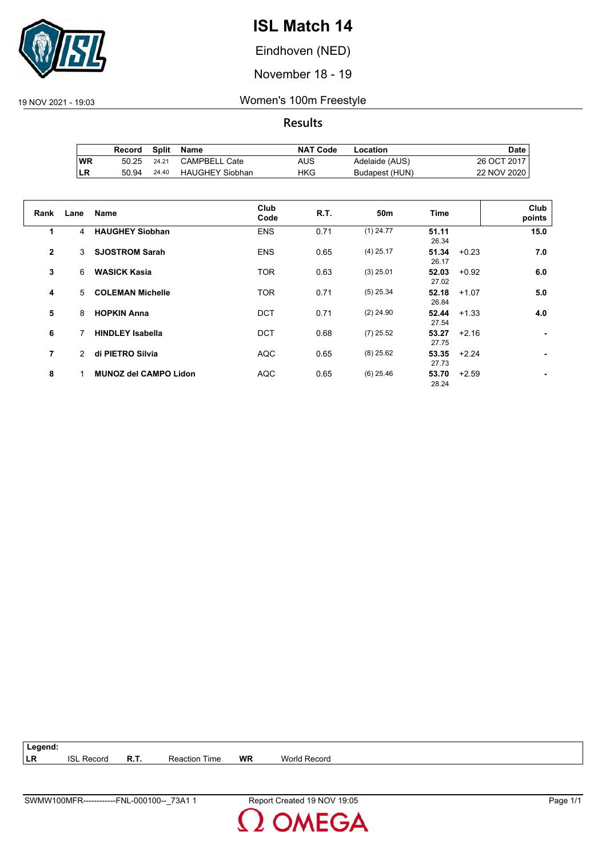

Eindhoven (NED)

November 18 - 19

19 NOV 2021 - 19:03 Women's 100m Freestyle

**Results**

|           | Record | Split | Name                   | <b>NAT Code</b> | Location       | Date .      |
|-----------|--------|-------|------------------------|-----------------|----------------|-------------|
| <b>WR</b> | 50.25  | 24.21 | <b>CAMPBELL Cate</b>   | AUS             | Adelaide (AUS) | 26 OCT 2017 |
| ILR       | 50.94  | 24.40 | <b>HAUGHEY Siobhan</b> | HKG             | Budapest (HUN) | 22 NOV 2020 |

| Rank           | Lane          | Name                         | Club<br>Code | <b>R.T.</b> | 50 <sub>m</sub> | Time                      | Club<br>points |
|----------------|---------------|------------------------------|--------------|-------------|-----------------|---------------------------|----------------|
| 1              | 4             | <b>HAUGHEY Siobhan</b>       | <b>ENS</b>   | 0.71        | $(1)$ 24.77     | 51.11<br>26.34            | 15.0           |
| $\overline{2}$ | 3             | <b>SJOSTROM Sarah</b>        | <b>ENS</b>   | 0.65        | $(4)$ 25.17     | 51.34<br>$+0.23$<br>26.17 | 7.0            |
| 3              | 6             | <b>WASICK Kasia</b>          | <b>TOR</b>   | 0.63        | $(3)$ 25.01     | 52.03<br>$+0.92$<br>27.02 | 6.0            |
| 4              | 5.            | <b>COLEMAN Michelle</b>      | <b>TOR</b>   | 0.71        | $(5)$ 25.34     | 52.18<br>$+1.07$<br>26.84 | 5.0            |
| 5              | 8             | <b>HOPKIN Anna</b>           | <b>DCT</b>   | 0.71        | $(2)$ 24.90     | 52.44<br>$+1.33$<br>27.54 | 4.0            |
| 6              |               | <b>HINDLEY Isabella</b>      | <b>DCT</b>   | 0.68        | $(7)$ 25.52     | 53.27<br>$+2.16$<br>27.75 |                |
| 7              | $\mathcal{P}$ | di PIETRO Silvia             | <b>AQC</b>   | 0.65        | $(8)$ 25.62     | $53.35 + 2.24$<br>27.73   |                |
| 8              |               | <b>MUNOZ del CAMPO Lidon</b> | <b>AQC</b>   | 0.65        | $(6)$ 25.46     | 53.70<br>$+2.59$<br>28.24 |                |

**Legend: LR** ISL Record **R.T.** Reaction Time **WR** World Record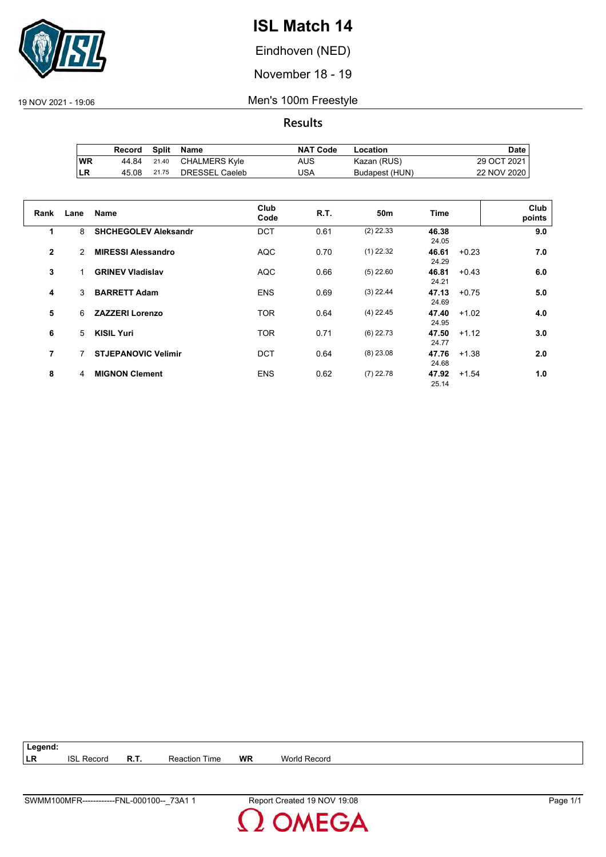

Eindhoven (NED)

November 18 - 19

19 NOV 2021 - 19:06 Men's 100m Freestyle

**Results**

|            | Record | Split | Name           | <b>NAT Code</b> | Location       | Date          |
|------------|--------|-------|----------------|-----------------|----------------|---------------|
| <b>WR</b>  | 44.84  | 21.40 | CHALMERS Kyle  | AUS             | Kazan (RUS)    | 29 OCT 2021 I |
| <b>ILR</b> | 45.08  | 21.75 | DRESSEL Caeleb | USA             | Budapest (HUN) | 22 NOV 2020   |

| Rank         | Lane | Name                        | Club<br>Code | R.T. | 50 <sub>m</sub> | <b>Time</b>    |         | Club<br>points |
|--------------|------|-----------------------------|--------------|------|-----------------|----------------|---------|----------------|
| 1            | 8    | <b>SHCHEGOLEV Aleksandr</b> | <b>DCT</b>   | 0.61 | $(2)$ 22.33     | 46.38<br>24.05 |         | 9.0            |
| $\mathbf{2}$ | 2    | <b>MIRESSI Alessandro</b>   | <b>AQC</b>   | 0.70 | $(1)$ 22.32     | 46.61<br>24.29 | $+0.23$ | 7.0            |
| 3            |      | <b>GRINEV Vladislav</b>     | <b>AQC</b>   | 0.66 | $(5)$ 22.60     | 46.81<br>24.21 | $+0.43$ | 6.0            |
| 4            | 3    | <b>BARRETT Adam</b>         | <b>ENS</b>   | 0.69 | $(3)$ 22.44     | 47.13<br>24.69 | $+0.75$ | 5.0            |
| 5            | 6    | <b>ZAZZERI Lorenzo</b>      | <b>TOR</b>   | 0.64 | $(4)$ 22.45     | 47.40<br>24.95 | $+1.02$ | 4.0            |
| 6            | 5    | <b>KISIL Yuri</b>           | <b>TOR</b>   | 0.71 | $(6)$ 22.73     | 47.50<br>24.77 | $+1.12$ | 3.0            |
| 7            |      | <b>STJEPANOVIC Velimir</b>  | <b>DCT</b>   | 0.64 | $(8)$ 23.08     | 47.76<br>24.68 | $+1.38$ | 2.0            |
| 8            | 4    | <b>MIGNON Clement</b>       | <b>ENS</b>   | 0.62 | $(7)$ 22.78     | 47.92<br>25.14 | $+1.54$ | 1.0            |

**Legend: LR** ISL Record **R.T.** Reaction Time **WR** World Record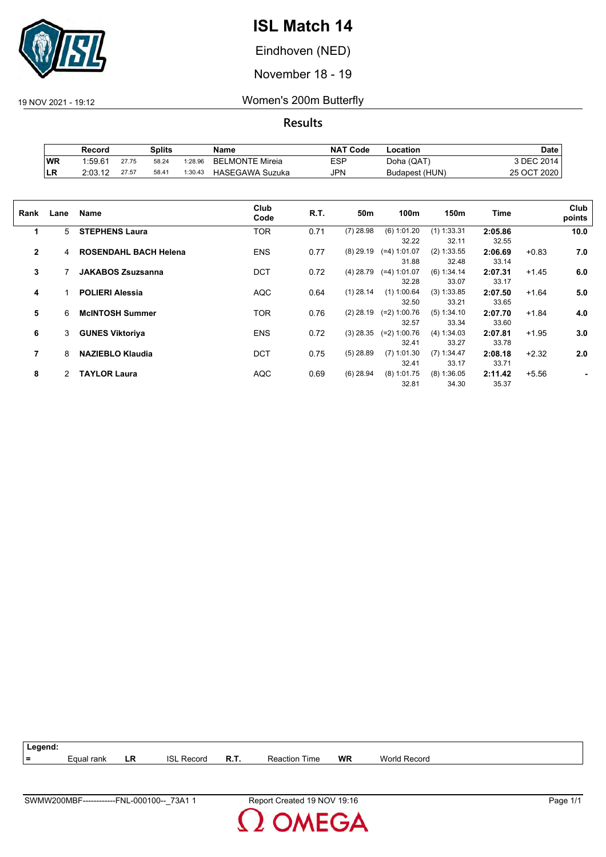

Eindhoven (NED)

November 18 - 19

19 NOV 2021 - 19:12 Women's 200m Butterfly

|           | Record  |       | Splits |         | Name                   | <b>NAT Code</b> | -ocation       | Date        |
|-----------|---------|-------|--------|---------|------------------------|-----------------|----------------|-------------|
| <b>WR</b> | 1:59.61 | 27.75 | 58.24  | 1:28.96 | <b>BELMONTE Mireia</b> | ESP             | Doha (QAT)     | 3 DEC 2014  |
| ILR       | 2:03.12 | 27.57 | 58.41  | 1:30.43 | HASEGAWA Suzuka        | JPN             | Budapest (HUN) | 25 OCT 2020 |

| Rank         | Lane | Name                         | Club<br>Code | R.T. | 50m         | 100m                    | 150m                   | Time             |         | Club<br>points |
|--------------|------|------------------------------|--------------|------|-------------|-------------------------|------------------------|------------------|---------|----------------|
| 1            | 5    | <b>STEPHENS Laura</b>        | <b>TOR</b>   | 0.71 | $(7)$ 28.98 | $(6)$ 1:01.20<br>32.22  | $(1)$ 1:33.31<br>32.11 | 2:05.86<br>32.55 |         | 10.0           |
| $\mathbf{2}$ | 4    | <b>ROSENDAHL BACH Helena</b> | <b>ENS</b>   | 0.77 | $(8)$ 29.19 | $(=4)$ 1:01.07<br>31.88 | $(2)$ 1:33.55<br>32.48 | 2:06.69<br>33.14 | $+0.83$ | 7.0            |
| 3            |      | <b>JAKABOS Zsuzsanna</b>     | <b>DCT</b>   | 0.72 | (4) 28.79   | $(=4)$ 1:01.07<br>32.28 | (6) 1:34.14<br>33.07   | 2:07.31<br>33.17 | $+1.45$ | 6.0            |
| 4            |      | <b>POLIERI Alessia</b>       | <b>AQC</b>   | 0.64 | $(1)$ 28.14 | $(1)$ 1:00.64<br>32.50  | (3) 1:33.85<br>33.21   | 2:07.50<br>33.65 | $+1.64$ | 5.0            |
| 5            | 6    | <b>McINTOSH Summer</b>       | TOR          | 0.76 | $(2)$ 28.19 | $(=2)$ 1:00.76<br>32.57 | (5) 1:34.10<br>33.34   | 2:07.70<br>33.60 | $+1.84$ | 4.0            |
| 6            | 3    | <b>GUNES Viktoriya</b>       | <b>ENS</b>   | 0.72 | $(3)$ 28.35 | $(=2)$ 1:00.76<br>32.41 | (4) 1:34.03<br>33.27   | 2:07.81<br>33.78 | $+1.95$ | 3.0            |
| 7            | 8    | <b>NAZIEBLO Klaudia</b>      | <b>DCT</b>   | 0.75 | $(5)$ 28.89 | $(7)$ 1:01.30<br>32.41  | $(7)$ 1:34.47<br>33.17 | 2:08.18<br>33.71 | $+2.32$ | 2.0            |
| 8            | 2    | <b>TAYLOR Laura</b>          | <b>AQC</b>   | 0.69 | $(6)$ 28.94 | $(8)$ 1:01.75<br>32.81  | $(8)$ 1:36.05<br>34.30 | 2:11.42<br>35.37 | $+5.56$ |                |

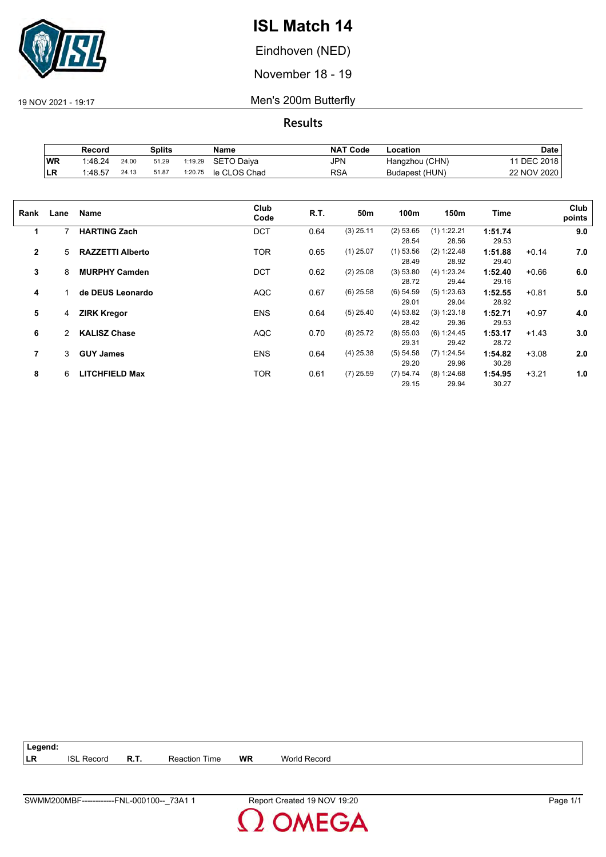

Eindhoven (NED)

November 18 - 19

19 NOV 2021 - 19:17 Men's 200m Butterfly

**Results**

|     | Record  |       | Splits |         | Name         | <b>NAT Code</b> | ∟ocation       | Date            |
|-----|---------|-------|--------|---------|--------------|-----------------|----------------|-----------------|
| WR  | 1:48.24 | 24.00 | 51.29  | 1:19.29 | SETO Daiya   | JPN             | Hangzhou (CHN) | <b>DEC 2018</b> |
| ∣LR | 1:48.57 | 24.13 | 51.87  | 1:20.75 | le CLOS Chad | RSA             | Budapest (HUN) | 22 NOV 2020     |

| Rank         | Lane | Name                    | Club<br>Code | R.T. | 50m         | 100m        | 150m          | Time    |         | Club<br>points |
|--------------|------|-------------------------|--------------|------|-------------|-------------|---------------|---------|---------|----------------|
| 1            | 7    | <b>HARTING Zach</b>     | <b>DCT</b>   | 0.64 | $(3)$ 25.11 | (2) 53.65   | $(1)$ 1:22.21 | 1:51.74 |         | 9.0            |
|              |      |                         |              |      |             | 28.54       | 28.56         | 29.53   |         |                |
| $\mathbf{2}$ | 5    | <b>RAZZETTI Alberto</b> | <b>TOR</b>   | 0.65 | $(1)$ 25.07 | $(1)$ 53.56 | (2) 1:22.48   | 1:51.88 | $+0.14$ | 7.0            |
|              |      |                         |              |      |             | 28.49       | 28.92         | 29.40   |         |                |
| 3            | 8    | <b>MURPHY Camden</b>    | <b>DCT</b>   | 0.62 | $(2)$ 25.08 | (3) 53.80   | (4) 1:23.24   | 1:52.40 | $+0.66$ | 6.0            |
|              |      |                         |              |      |             | 28.72       | 29.44         | 29.16   |         |                |
| 4            |      | de DEUS Leonardo        | <b>AQC</b>   | 0.67 | $(6)$ 25.58 | $(6)$ 54.59 | (5) 1:23.63   | 1:52.55 | $+0.81$ | 5.0            |
|              |      |                         |              |      |             | 29.01       | 29.04         | 28.92   |         |                |
| 5            | 4    | <b>ZIRK Kregor</b>      | <b>ENS</b>   | 0.64 | $(5)$ 25.40 | (4) 53.82   | (3) 1:23.18   | 1:52.71 | $+0.97$ | 4.0            |
|              |      |                         |              |      |             | 28.42       | 29.36         | 29.53   |         |                |
| 6            | 2    | <b>KALISZ Chase</b>     | <b>AQC</b>   | 0.70 | $(8)$ 25.72 | $(8)$ 55.03 | (6) 1:24.45   | 1:53.17 | $+1.43$ | 3.0            |
|              |      |                         |              |      |             | 29.31       | 29.42         | 28.72   |         |                |
| 7            | 3    | <b>GUY James</b>        | <b>ENS</b>   | 0.64 | $(4)$ 25.38 | (5) 54.58   | $(7)$ 1:24.54 | 1:54.82 | $+3.08$ | 2.0            |
|              |      |                         |              |      |             | 29.20       | 29.96         | 30.28   |         |                |
| 8            | 6    | <b>LITCHFIELD Max</b>   | TOR          | 0.61 | $(7)$ 25.59 | (7) 54.74   | (8) 1:24.68   | 1:54.95 | $+3.21$ | 1.0            |
|              |      |                         |              |      |             | 29.15       | 29.94         | 30.27   |         |                |

| $\vert$ Legend: |                   |             |                      |    |              |
|-----------------|-------------------|-------------|----------------------|----|--------------|
| <b>ILR</b>      | <b>ISL Record</b> | <b>R.T.</b> | <b>Reaction Time</b> | WR | World Record |

**OMEGA**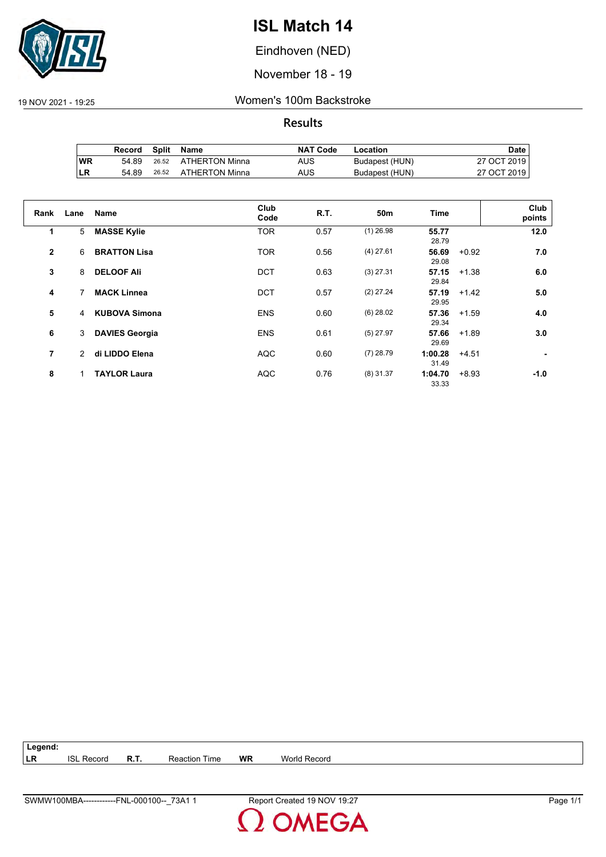

Eindhoven (NED)

November 18 - 19

19 NOV 2021 - 19:25 Women's 100m Backstroke

|           | Record | Split | Name           | <b>NAT Code</b> | Location       | Date        |
|-----------|--------|-------|----------------|-----------------|----------------|-------------|
| <b>WR</b> | 54.89  | 26.52 | ATHERTON Minna | AUS             | Budapest (HUN) | 27 OCT 2019 |
| ILR       | 54.89  | 26.52 | ATHERTON Minna | AUS             | Budapest (HUN) | 27 OCT 2019 |

| Rank         | Lane | <b>Name</b>           | Club<br>Code | R.T. | 50 <sub>m</sub> | Time             |         | Club<br>points |
|--------------|------|-----------------------|--------------|------|-----------------|------------------|---------|----------------|
| 1            | 5    | <b>MASSE Kylie</b>    | <b>TOR</b>   | 0.57 | $(1)$ 26.98     | 55.77<br>28.79   |         | 12.0           |
| $\mathbf{2}$ | 6    | <b>BRATTON Lisa</b>   | <b>TOR</b>   | 0.56 | $(4)$ 27.61     | 56.69<br>29.08   | $+0.92$ | 7.0            |
| 3            | 8    | <b>DELOOF Ali</b>     | <b>DCT</b>   | 0.63 | $(3)$ 27.31     | 57.15<br>29.84   | $+1.38$ | 6.0            |
| 4            | 7    | <b>MACK Linnea</b>    | <b>DCT</b>   | 0.57 | $(2)$ 27.24     | 57.19<br>29.95   | $+1.42$ | 5.0            |
| 5            | 4    | <b>KUBOVA Simona</b>  | <b>ENS</b>   | 0.60 | $(6)$ 28.02     | 57.36<br>29.34   | $+1.59$ | 4.0            |
| 6            | 3    | <b>DAVIES Georgia</b> | <b>ENS</b>   | 0.61 | $(5)$ 27.97     | 57.66<br>29.69   | $+1.89$ | 3.0            |
| 7            | 2    | di LIDDO Elena        | <b>AQC</b>   | 0.60 | $(7)$ 28.79     | 1:00.28<br>31.49 | $+4.51$ |                |
| 8            |      | <b>TAYLOR Laura</b>   | <b>AQC</b>   | 0.76 | $(8)$ 31.37     | 1:04.70<br>33.33 | $+8.93$ | $-1.0$         |

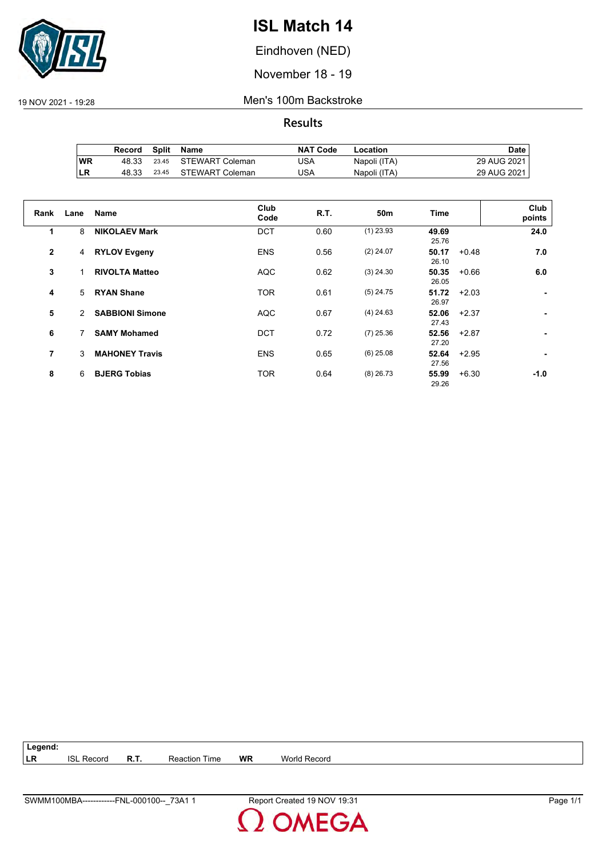

Eindhoven (NED)

November 18 - 19

19 NOV 2021 - 19:28 Men's 100m Backstroke

**Results**

|           | Record | Split | Name                  | <b>NAT Code</b> | Location     | Date .        |
|-----------|--------|-------|-----------------------|-----------------|--------------|---------------|
| <b>WR</b> | 48.33  |       | 23.45 STEWART Coleman | JSA             | Napoli (ITA) | 29 AUG 2021   |
| LR        | 48.33  | 23.45 | STEWART Coleman       | JSA             | Napoli (ITA) | 29 AUG 2021 I |

| Rank         | Lane | <b>Name</b>            | Club<br>Code | <b>R.T.</b> | 50m         | <b>Time</b>               | Club<br>points |
|--------------|------|------------------------|--------------|-------------|-------------|---------------------------|----------------|
| 1            | 8    | <b>NIKOLAEV Mark</b>   | <b>DCT</b>   | 0.60        | $(1)$ 23.93 | 49.69<br>25.76            | 24.0           |
| $\mathbf{2}$ | 4    | <b>RYLOV Evgeny</b>    | <b>ENS</b>   | 0.56        | $(2)$ 24.07 | 50.17<br>$+0.48$<br>26.10 | 7.0            |
| 3            |      | <b>RIVOLTA Matteo</b>  | <b>AQC</b>   | 0.62        | $(3)$ 24.30 | 50.35<br>$+0.66$<br>26.05 | 6.0            |
| 4            | 5    | <b>RYAN Shane</b>      | <b>TOR</b>   | 0.61        | $(5)$ 24.75 | 51.72<br>$+2.03$<br>26.97 | ٠              |
| 5            | 2    | <b>SABBIONI Simone</b> | <b>AQC</b>   | 0.67        | $(4)$ 24.63 | 52.06<br>$+2.37$<br>27.43 |                |
| 6            |      | <b>SAMY Mohamed</b>    | <b>DCT</b>   | 0.72        | $(7)$ 25.36 | 52.56<br>+2.87<br>27.20   |                |
| 7            | 3    | <b>MAHONEY Travis</b>  | <b>ENS</b>   | 0.65        | $(6)$ 25.08 | 52.64<br>$+2.95$<br>27.56 |                |
| 8            | 6    | <b>BJERG Tobias</b>    | <b>TOR</b>   | 0.64        | $(8)$ 26.73 | 55.99<br>$+6.30$<br>29.26 | -1.0           |

**Legend: LR** ISL Record **R.T.** Reaction Time **WR** World Record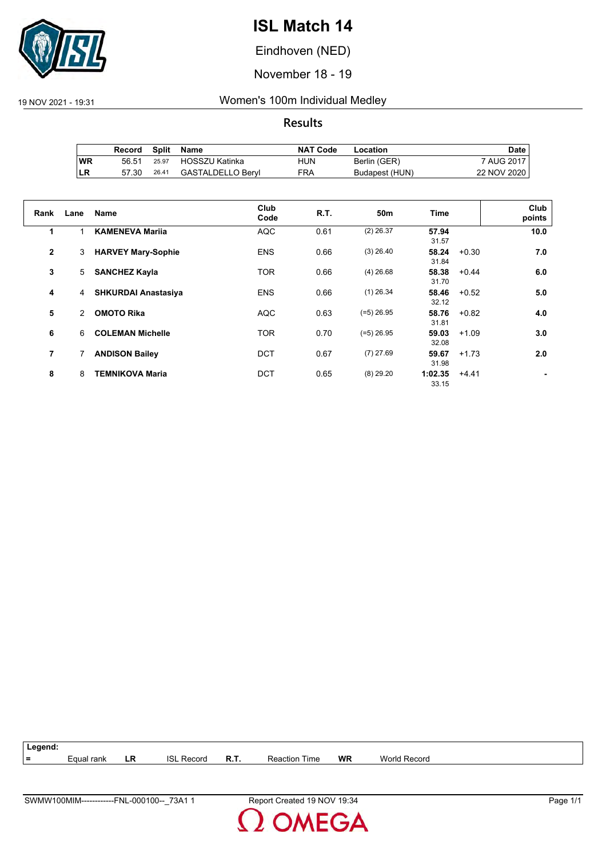

Eindhoven (NED)

November 18 - 19

19 NOV 2021 - 19:31 Women's 100m Individual Medley

|           | Record |       | Split Name        | NAT Code | Location       | Date i      |
|-----------|--------|-------|-------------------|----------|----------------|-------------|
| <b>WR</b> | 56.51  | 25.97 | HOSSZU Katinka    | HUN      | Berlin (GER)   | 7 AUG 2017  |
| LR        | 57.30  | 26.41 | GASTALDELLO Bervl | FRA      | Budapest (HUN) | 22 NOV 2020 |

| Rank           | Lane | <b>Name</b>                | Club<br>Code | <b>R.T.</b> | 50 <sub>m</sub> | <b>Time</b>      |         | Club<br>points |
|----------------|------|----------------------------|--------------|-------------|-----------------|------------------|---------|----------------|
| 1              |      | <b>KAMENEVA Marija</b>     | <b>AQC</b>   | 0.61        | $(2)$ 26.37     | 57.94<br>31.57   |         | 10.0           |
| $\overline{2}$ | 3    | <b>HARVEY Mary-Sophie</b>  | <b>ENS</b>   | 0.66        | $(3)$ 26.40     | 58.24<br>31.84   | $+0.30$ | 7.0            |
| 3              | 5    | <b>SANCHEZ Kayla</b>       | <b>TOR</b>   | 0.66        | $(4)$ 26.68     | 58.38<br>31.70   | $+0.44$ | 6.0            |
| 4              | 4    | <b>SHKURDAI Anastasiya</b> | <b>ENS</b>   | 0.66        | $(1)$ 26.34     | 58.46<br>32.12   | $+0.52$ | 5.0            |
| 5              | 2    | <b>OMOTO Rika</b>          | <b>AQC</b>   | 0.63        | $(=5)$ 26.95    | 58.76<br>31.81   | $+0.82$ | 4.0            |
| 6              | 6    | <b>COLEMAN Michelle</b>    | <b>TOR</b>   | 0.70        | $(=5)$ 26.95    | 59.03<br>32.08   | $+1.09$ | 3.0            |
| 7              |      | <b>ANDISON Bailey</b>      | <b>DCT</b>   | 0.67        | $(7)$ 27.69     | 59.67<br>31.98   | $+1.73$ | 2.0            |
| 8              | 8    | <b>TEMNIKOVA Maria</b>     | <b>DCT</b>   | 0.65        | $(8)$ 29.20     | 1:02.35<br>33.15 | $+4.41$ |                |

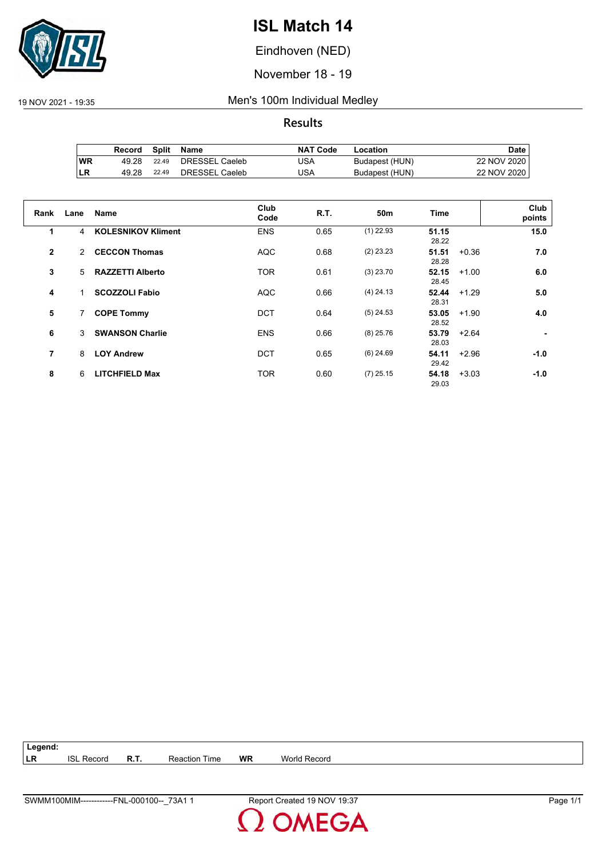

Eindhoven (NED)

November 18 - 19

19 NOV 2021 - 19:35 Men's 100m Individual Medley

**Results**

|           | Record | Split | Name           | <b>NAT Code</b> | Location       | Date i      |
|-----------|--------|-------|----------------|-----------------|----------------|-------------|
| <b>WR</b> | 49.28  | 22.49 | DRESSEL Caeleb | JSA             | Budapest (HUN) | 22 NOV 2020 |
| ILR       | 49.28  | 22.49 | DRESSEL Caeleb | JSA             | Budapest (HUN) | 22 NOV 2020 |

| Rank         | Lane | Name                      | Club<br>Code | R.T. | 50m         | <b>Time</b>               | Club<br>points |
|--------------|------|---------------------------|--------------|------|-------------|---------------------------|----------------|
| 1            | 4    | <b>KOLESNIKOV Kliment</b> | <b>ENS</b>   | 0.65 | $(1)$ 22.93 | 51.15<br>28.22            | 15.0           |
| $\mathbf{2}$ | 2    | <b>CECCON Thomas</b>      | <b>AQC</b>   | 0.68 | $(2)$ 23.23 | 51.51<br>$+0.36$<br>28.28 | 7.0            |
| 3            | 5    | <b>RAZZETTI Alberto</b>   | <b>TOR</b>   | 0.61 | $(3)$ 23.70 | 52.15<br>$+1.00$<br>28.45 | 6.0            |
| 4            |      | <b>SCOZZOLI Fabio</b>     | <b>AQC</b>   | 0.66 | $(4)$ 24.13 | 52.44<br>$+1.29$<br>28.31 | 5.0            |
| 5            | 7    | <b>COPE Tommy</b>         | <b>DCT</b>   | 0.64 | $(5)$ 24.53 | 53.05<br>$+1.90$<br>28.52 | 4.0            |
| 6            | 3    | <b>SWANSON Charlie</b>    | <b>ENS</b>   | 0.66 | $(8)$ 25.76 | 53.79<br>$+2.64$<br>28.03 |                |
| 7            | 8    | <b>LOY Andrew</b>         | <b>DCT</b>   | 0.65 | $(6)$ 24.69 | 54.11<br>$+2.96$<br>29.42 | $-1.0$         |
| 8            | 6    | <b>LITCHFIELD Max</b>     | <b>TOR</b>   | 0.60 | $(7)$ 25.15 | 54.18<br>$+3.03$<br>29.03 | $-1.0$         |

**Legend: LR** ISL Record **R.T.** Reaction Time **WR** World Record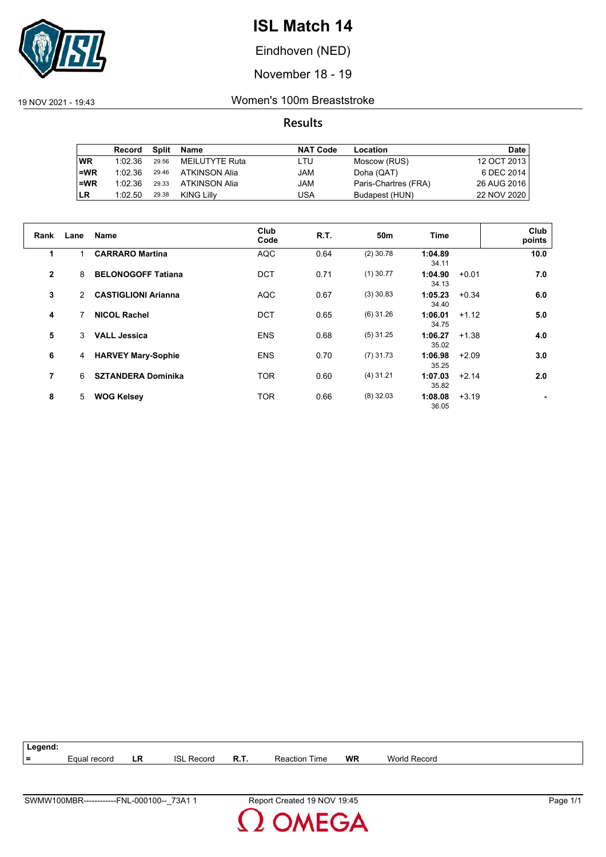

Eindhoven (NED)

November 18 - 19

19 NOV 2021 - 19:43 Women's 100m Breaststroke

|           | Record  | Split | Name           | <b>NAT Code</b> | Location             | Date        |
|-----------|---------|-------|----------------|-----------------|----------------------|-------------|
| <b>WR</b> | 1:02.36 | 29.56 | MEILUTYTE Ruta | LTU             | Moscow (RUS)         | 12 OCT 2013 |
| $=$ WR    | 1:02.36 | 29.46 | ATKINSON Alia  | JAM             | Doha (QAT)           | 6 DEC 2014  |
| $=WR$     | 1:02.36 | 29.33 | ATKINSON Alia  | JAM             | Paris-Chartres (FRA) | 26 AUG 2016 |
| <b>LR</b> | 1:02.50 | 29.38 | KING Lilly     | USA             | Budapest (HUN)       | 22 NOV 2020 |

| Rank           | Lane          | Name                       | Club<br>Code | <b>R.T.</b> | 50m         | <b>Time</b>      | Club<br>points |     |
|----------------|---------------|----------------------------|--------------|-------------|-------------|------------------|----------------|-----|
| $\mathbf 1$    | 1             | <b>CARRARO Martina</b>     | <b>AQC</b>   | 0.64        | $(2)$ 30.78 | 1:04.89<br>34.11 | 10.0           |     |
| $\overline{2}$ | 8             | <b>BELONOGOFF Tatiana</b>  | <b>DCT</b>   | 0.71        | $(1)$ 30.77 | 1:04.90<br>34.13 | $+0.01$        | 7.0 |
| 3              | $\mathcal{P}$ | <b>CASTIGLIONI Arianna</b> | <b>AQC</b>   | 0.67        | $(3)$ 30.83 | 1:05.23<br>34.40 | $+0.34$        | 6.0 |
| 4              | 7             | <b>NICOL Rachel</b>        | <b>DCT</b>   | 0.65        | $(6)$ 31.26 | 1:06.01<br>34.75 | $+1.12$        | 5.0 |
| 5              | 3             | <b>VALL Jessica</b>        | <b>ENS</b>   | 0.68        | $(5)$ 31.25 | 1:06.27<br>35.02 | $+1.38$        | 4.0 |
| 6              | 4             | <b>HARVEY Mary-Sophie</b>  | <b>ENS</b>   | 0.70        | $(7)$ 31.73 | 1:06.98<br>35.25 | $+2.09$        | 3.0 |
| 7              | 6             | <b>SZTANDERA Dominika</b>  | <b>TOR</b>   | 0.60        | $(4)$ 31.21 | 1:07.03<br>35.82 | $+2.14$        | 2.0 |
| 8              | 5             | <b>WOG Kelsey</b>          | <b>TOR</b>   | 0.66        | $(8)$ 32.03 | 1:08.08<br>36.05 | $+3.19$        |     |

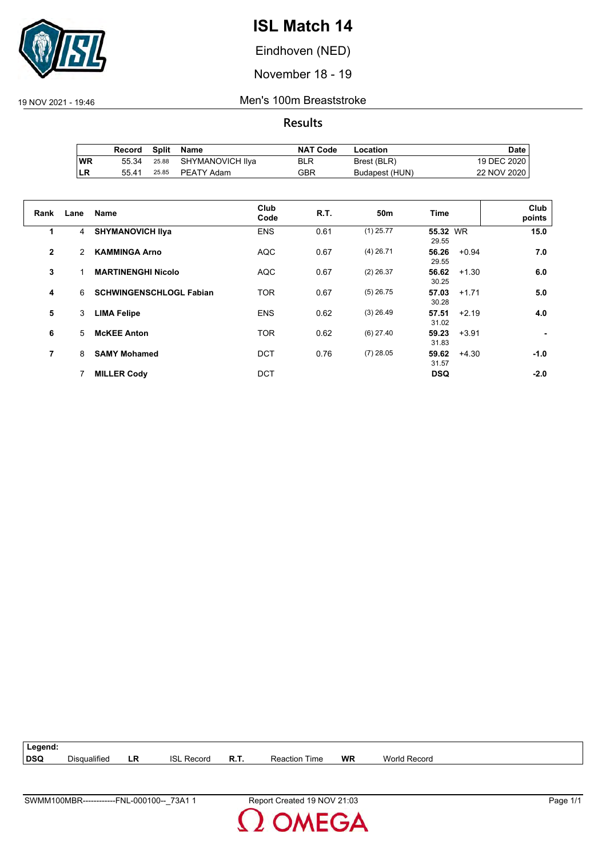

Eindhoven (NED)

November 18 - 19

19 NOV 2021 - 19:46 Men's 100m Breaststroke

|           | Record |       | Split Name             | <b>NAT Code</b> | Location       | Date i      |
|-----------|--------|-------|------------------------|-----------------|----------------|-------------|
| <b>WR</b> | 55.34  |       | 25.88 SHYMANOVICH IIya | BLR             | Brest (BLR)    | 19 DEC 2020 |
| ∣LR       | 5541   | 25.85 | PEATY Adam             | GBR             | Budapest (HUN) | 22 NOV 2020 |

| Rank           | Lane | <b>Name</b>                    | Club<br>Code | <b>R.T.</b> | 50 <sub>m</sub> | <b>Time</b>               | Club<br>points |
|----------------|------|--------------------------------|--------------|-------------|-----------------|---------------------------|----------------|
| 1              | 4    | <b>SHYMANOVICH IIva</b>        | <b>ENS</b>   | 0.61        | $(1)$ 25.77     | 55.32 WR<br>29.55         | 15.0           |
| $\overline{2}$ | 2    | <b>KAMMINGA Arno</b>           | <b>AQC</b>   | 0.67        | $(4)$ 26.71     | 56.26<br>$+0.94$<br>29.55 | 7.0            |
| 3              |      | <b>MARTINENGHI Nicolo</b>      | <b>AQC</b>   | 0.67        | $(2)$ 26.37     | 56.62<br>$+1.30$<br>30.25 | 6.0            |
| 4              | 6    | <b>SCHWINGENSCHLOGL Fabian</b> | <b>TOR</b>   | 0.67        | $(5)$ 26.75     | 57.03<br>$+1.71$<br>30.28 | 5.0            |
| 5              | 3    | <b>LIMA Felipe</b>             | <b>ENS</b>   | 0.62        | $(3)$ 26.49     | 57.51<br>$+2.19$<br>31.02 | 4.0            |
| 6              | 5    | <b>McKEE Anton</b>             | <b>TOR</b>   | 0.62        | $(6)$ 27.40     | 59.23<br>$+3.91$<br>31.83 |                |
| 7              | 8    | <b>SAMY Mohamed</b>            | <b>DCT</b>   | 0.76        | $(7)$ 28.05     | 59.62<br>$+4.30$<br>31.57 | $-1.0$         |
|                |      | <b>MILLER Cody</b>             | <b>DCT</b>   |             |                 | <b>DSQ</b>                | $-2.0$         |

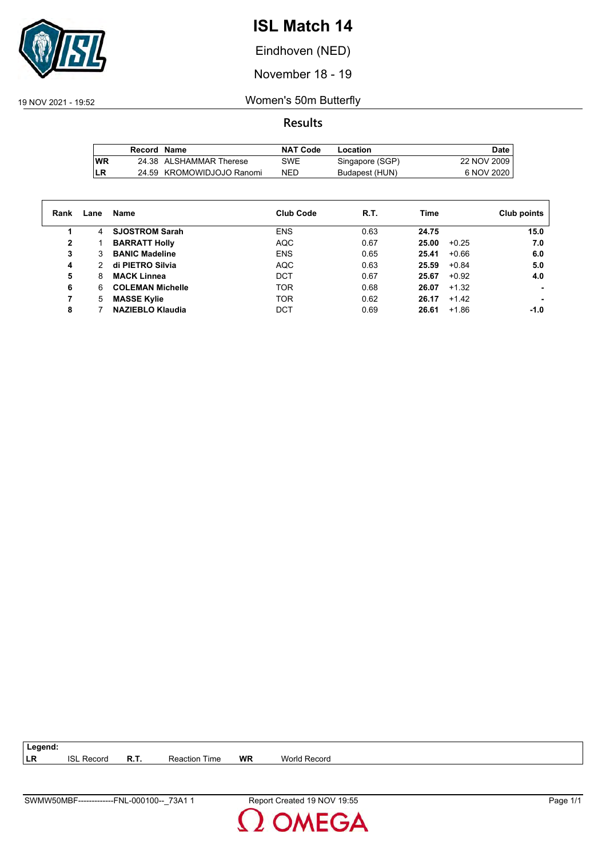

Eindhoven (NED)

November 18 - 19

19 NOV 2021 - 19:52 Women's 50m Butterfly

**Results**

|            | Record Name |                           | <b>NAT Code</b> | Location        | Date        |
|------------|-------------|---------------------------|-----------------|-----------------|-------------|
| <b>IWR</b> |             | 24.38 ALSHAMMAR Therese   | SWE             | Singapore (SGP) | 22 NOV 2009 |
| LR         |             | 24.59 KROMOWIDJOJO Ranomi | NED             | Budapest (HUN)  | 6 NOV 2020  |

| Rank | Lane | Name                    | <b>Club Code</b> | R.T. | Time             | Club points |
|------|------|-------------------------|------------------|------|------------------|-------------|
|      | 4    | <b>SJOSTROM Sarah</b>   | <b>ENS</b>       | 0.63 | 24.75            | 15.0        |
| 2    |      | <b>BARRATT Holly</b>    | <b>AQC</b>       | 0.67 | 25.00<br>$+0.25$ | 7.0         |
| 3    | 3    | <b>BANIC Madeline</b>   | <b>ENS</b>       | 0.65 | 25.41<br>$+0.66$ | 6.0         |
| 4    | 2    | di PIETRO Silvia        | <b>AQC</b>       | 0.63 | 25.59<br>$+0.84$ | 5.0         |
| 5    | 8    | <b>MACK Linnea</b>      | <b>DCT</b>       | 0.67 | 25.67<br>$+0.92$ | 4.0         |
| 6    | 6    | <b>COLEMAN Michelle</b> | <b>TOR</b>       | 0.68 | 26.07<br>$+1.32$ |             |
| 7    | 5    | <b>MASSE Kylie</b>      | <b>TOR</b>       | 0.62 | 26.17<br>$+1.42$ |             |
| 8    |      | <b>NAZIEBLO Klaudia</b> | <b>DCT</b>       | 0.69 | 26.61<br>$+1.86$ | -1.0        |

**LR** ISL Record **R.T.** Reaction Time **WR** World Record

**Legend:**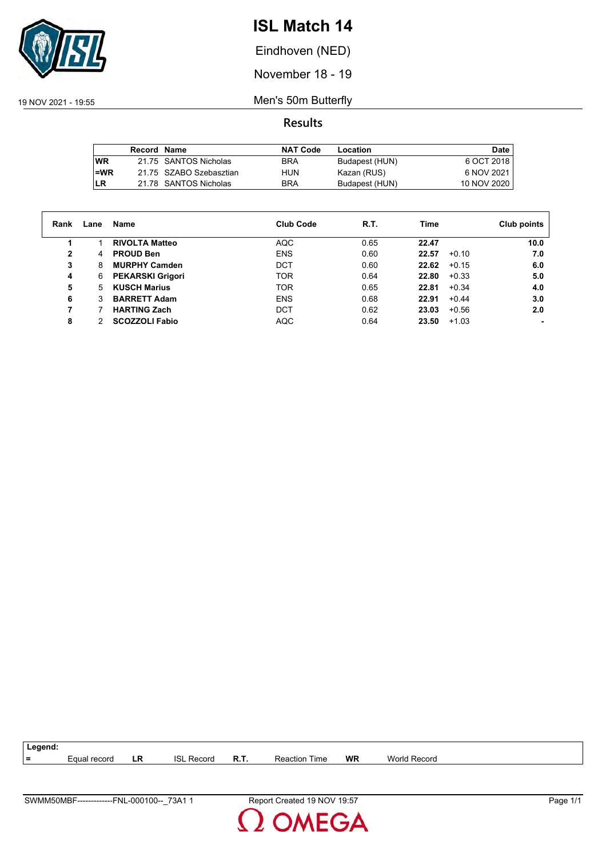

Eindhoven (NED)

November 18 - 19

19 NOV 2021 - 19:55 Men's 50m Butterfly

|           | Record Name |                         | <b>NAT Code</b> | Location       | Date        |
|-----------|-------------|-------------------------|-----------------|----------------|-------------|
| <b>WR</b> |             | 21.75 SANTOS Nicholas   | <b>BRA</b>      | Budapest (HUN) | 6 OCT 2018  |
| $=WR$     |             | 21.75 SZABO Szebasztian | HUN             | Kazan (RUS)    | 6 NOV 2021  |
| ILR       |             | 21.78 SANTOS Nicholas   | <b>BRA</b>      | Budapest (HUN) | 10 NOV 2020 |

| Rank | Lane | Name                    | <b>Club Code</b> | R.T. | Time             | Club points |
|------|------|-------------------------|------------------|------|------------------|-------------|
|      |      | <b>RIVOLTA Matteo</b>   | AQC              | 0.65 | 22.47            | 10.0        |
| 2    | 4    | <b>PROUD Ben</b>        | <b>ENS</b>       | 0.60 | 22.57<br>$+0.10$ | 7.0         |
| 3    | 8    | <b>MURPHY Camden</b>    | <b>DCT</b>       | 0.60 | 22.62<br>$+0.15$ | 6.0         |
| 4    | 6    | <b>PEKARSKI Grigori</b> | TOR.             | 0.64 | 22.80<br>$+0.33$ | 5.0         |
| 5    | 5    | <b>KUSCH Marius</b>     | TOR              | 0.65 | 22.81<br>$+0.34$ | 4.0         |
| 6    | 3    | <b>BARRETT Adam</b>     | <b>ENS</b>       | 0.68 | $+0.44$<br>22.91 | 3.0         |
| 7    |      | <b>HARTING Zach</b>     | <b>DCT</b>       | 0.62 | 23.03<br>$+0.56$ | 2.0         |
| 8    | 2    | <b>SCOZZOLI Fabio</b>   | <b>AQC</b>       | 0.64 | 23.50<br>$+1.03$ |             |

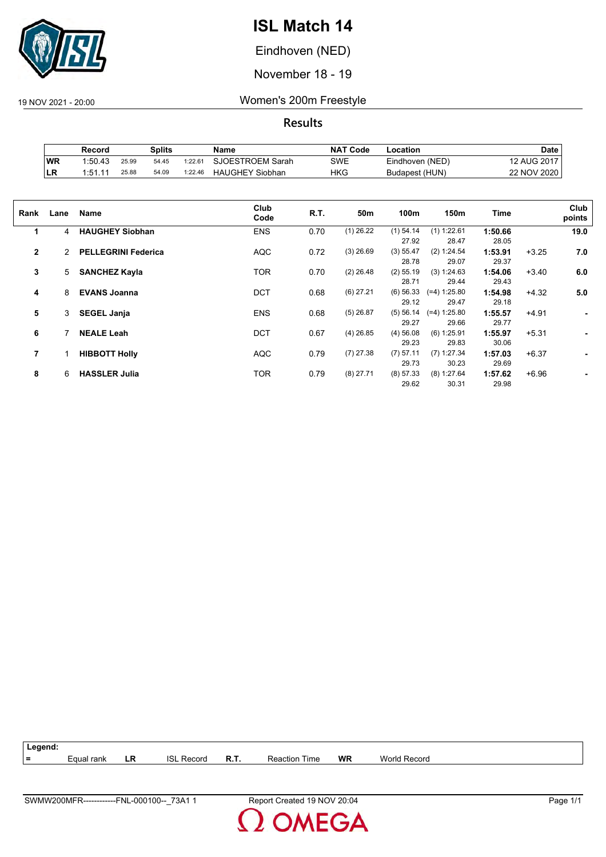

Eindhoven (NED)

November 18 - 19

19 NOV 2021 - 20:00 Women's 200m Freestyle

**Results**

|           | Record  |       | Splits |                     | Name                   | <b>NAT Code</b> | -ocation        | Date        |
|-----------|---------|-------|--------|---------------------|------------------------|-----------------|-----------------|-------------|
| <b>WR</b> | 1:50.43 | 25.99 | 54.45  | 1:22.6 <sup>4</sup> | SJOESTROEM Sarah       | SWE             | Eindhoven (NED) | 12 AUG 2017 |
| ∣LR       | 1:51.1' | 25.88 | 54.09  | 1:22.46             | <b>HAUGHEY Siobhan</b> | HKG             | Budapest (HUN)  | 22 NOV 2020 |

| Rank         | Lane | Name                       | Club<br>Code | R.T. | 50m         | 100m                 | 150m                    | Time             |         | Club<br>points |
|--------------|------|----------------------------|--------------|------|-------------|----------------------|-------------------------|------------------|---------|----------------|
| 1            | 4    | <b>HAUGHEY Siobhan</b>     | <b>ENS</b>   | 0.70 | $(1)$ 26.22 | $(1)$ 54.14<br>27.92 | (1) 1:22.61<br>28.47    | 1:50.66<br>28.05 |         | 19.0           |
| $\mathbf{2}$ | 2    | <b>PELLEGRINI Federica</b> | <b>AQC</b>   | 0.72 | $(3)$ 26.69 | (3) 55.47<br>28.78   | (2) 1:24.54<br>29.07    | 1:53.91<br>29.37 | $+3.25$ | 7.0            |
| 3            | 5    | <b>SANCHEZ Kayla</b>       | TOR          | 0.70 | $(2)$ 26.48 | $(2)$ 55.19<br>28.71 | (3) 1:24.63<br>29.44    | 1:54.06<br>29.43 | $+3.40$ | 6.0            |
| 4            | 8    | <b>EVANS Joanna</b>        | <b>DCT</b>   | 0.68 | $(6)$ 27.21 | $(6)$ 56.33<br>29.12 | $(=4) 1:25.80$<br>29.47 | 1:54.98<br>29.18 | $+4.32$ | 5.0            |
| 5            | 3    | <b>SEGEL Janja</b>         | <b>ENS</b>   | 0.68 | $(5)$ 26.87 | (5) 56.14<br>29.27   | $(=4) 1:25.80$<br>29.66 | 1:55.57<br>29.77 | $+4.91$ | ٠              |
| 6            |      | <b>NEALE Leah</b>          | <b>DCT</b>   | 0.67 | $(4)$ 26.85 | $(4)$ 56.08<br>29.23 | $(6)$ 1:25.91<br>29.83  | 1:55.97<br>30.06 | $+5.31$ | ۰.             |
| 7            |      | <b>HIBBOTT Holly</b>       | <b>AQC</b>   | 0.79 | $(7)$ 27.38 | $(7)$ 57.11<br>29.73 | $(7)$ 1:27.34<br>30.23  | 1:57.03<br>29.69 | $+6.37$ | ۰              |
| 8            | 6    | <b>HASSLER Julia</b>       | TOR          | 0.79 | $(8)$ 27.71 | (8) 57.33<br>29.62   | (8) 1:27.64<br>30.31    | 1:57.62<br>29.98 | $+6.96$ |                |



**MEGA**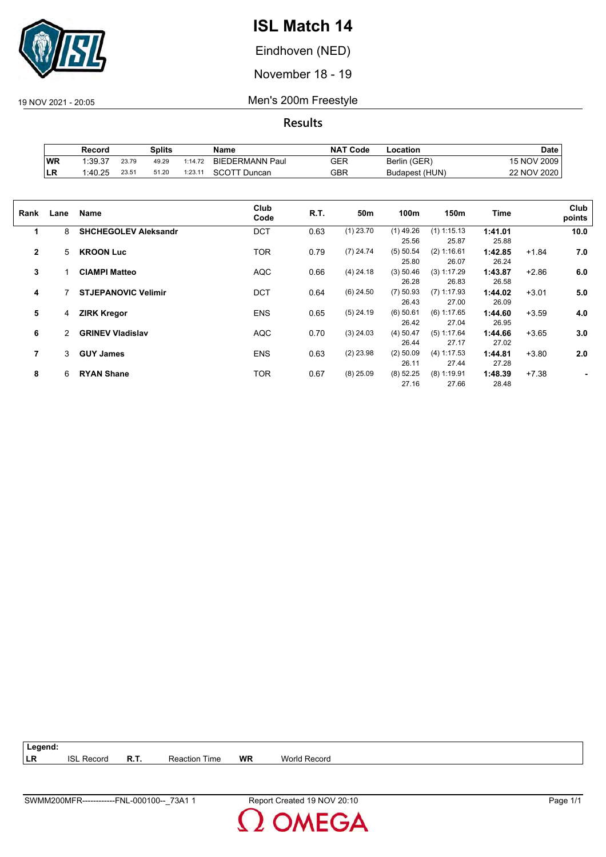

Eindhoven (NED)

November 18 - 19

19 NOV 2021 - 20:05 Men's 200m Freestyle

**Results**

|            | Record  |       | Splits |         | Name                   | <b>NAT Code</b> | ∟ocation       | Date        |
|------------|---------|-------|--------|---------|------------------------|-----------------|----------------|-------------|
| <b>IWR</b> | 1:39.37 | 23.79 | 49.29  | 1:14.72 | <b>BIEDERMANN Paul</b> | GER             | Berlin (GER)   | 15 NOV 2009 |
| ∣LR        | 1:40.25 | 23.51 | 51.20  | 1:23.11 | <b>SCOTT Duncan</b>    | GBR             | Budapest (HUN) | 22 NOV 2020 |

| Rank           | Lane | Name                        | Club<br>Code | R.T. | 50m         | 100m        | 150m          | Time    |         | Club<br>points |
|----------------|------|-----------------------------|--------------|------|-------------|-------------|---------------|---------|---------|----------------|
| 1              | 8    | <b>SHCHEGOLEV Aleksandr</b> | <b>DCT</b>   | 0.63 | $(1)$ 23.70 | $(1)$ 49.26 | $(1)$ 1:15.13 | 1:41.01 |         | 10.0           |
|                |      |                             |              |      |             | 25.56       | 25.87         | 25.88   |         |                |
| $\overline{2}$ | 5    | <b>KROON Luc</b>            | <b>TOR</b>   | 0.79 | $(7)$ 24.74 | (5) 50.54   | (2) 1:16.61   | 1:42.85 | $+1.84$ | 7.0            |
|                |      |                             |              |      |             | 25.80       | 26.07         | 26.24   |         |                |
| 3              |      | <b>CIAMPI Matteo</b>        | <b>AQC</b>   | 0.66 | $(4)$ 24.18 | (3) 50.46   | $(3)$ 1:17.29 | 1:43.87 | $+2.86$ | 6.0            |
|                |      |                             |              |      |             | 26.28       | 26.83         | 26.58   |         |                |
| 4              |      | <b>STJEPANOVIC Velimir</b>  | <b>DCT</b>   | 0.64 | $(6)$ 24.50 | $(7)$ 50.93 | $(7)$ 1:17.93 | 1:44.02 | $+3.01$ | 5.0            |
|                |      |                             |              |      |             | 26.43       | 27.00         | 26.09   |         |                |
| 5              | 4    | <b>ZIRK Kregor</b>          | <b>ENS</b>   | 0.65 | $(5)$ 24.19 | $(6)$ 50.61 | $(6)$ 1:17.65 | 1:44.60 | $+3.59$ | 4.0            |
|                |      |                             |              |      |             | 26.42       | 27.04         | 26.95   |         |                |
| 6              | 2    | <b>GRINEV Vladislav</b>     | <b>AQC</b>   | 0.70 | $(3)$ 24.03 | $(4)$ 50.47 | $(5)$ 1:17.64 | 1:44.66 | $+3.65$ | 3.0            |
|                |      |                             |              |      |             | 26.44       | 27.17         | 27.02   |         |                |
| 7              | 3    | <b>GUY James</b>            | <b>ENS</b>   | 0.63 | $(2)$ 23.98 | $(2)$ 50.09 | (4) 1:17.53   | 1:44.81 | $+3.80$ | 2.0            |
|                |      |                             |              |      |             | 26.11       | 27.44         | 27.28   |         |                |
| 8              | 6    | <b>RYAN Shane</b>           | <b>TOR</b>   | 0.67 | $(8)$ 25.09 | (8) 52.25   | $(8)$ 1:19.91 | 1:48.39 | $+7.38$ |                |
|                |      |                             |              |      |             | 27.16       | 27.66         | 28.48   |         |                |
|                |      |                             |              |      |             |             |               |         |         |                |

**Legend: LR** ISL Record **R.T.** Reaction Time **WR** World Record

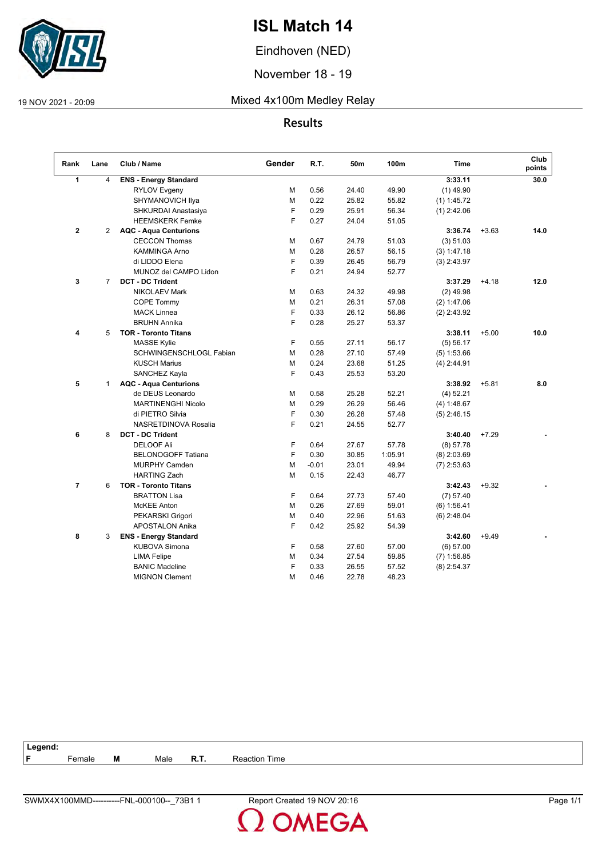

Eindhoven (NED)

November 18 - 19

### 19 NOV 2021 - 20:09 Mixed 4x100m Medley Relay

### **Results**

| Rank           | Lane           | Club / Name                  | Gender | R.T.    | 50m   | 100m    | <b>Time</b>   |         | Club<br>points |
|----------------|----------------|------------------------------|--------|---------|-------|---------|---------------|---------|----------------|
| 1              | $\overline{4}$ | <b>ENS - Energy Standard</b> |        |         |       |         | 3:33.11       |         | 30.0           |
|                |                | <b>RYLOV Evgeny</b>          | М      | 0.56    | 24.40 | 49.90   | $(1)$ 49.90   |         |                |
|                |                | SHYMANOVICH Ilya             | M      | 0.22    | 25.82 | 55.82   | $(1)$ 1:45.72 |         |                |
|                |                | SHKURDAI Anastasiya          | F      | 0.29    | 25.91 | 56.34   | $(1)$ 2:42.06 |         |                |
|                |                | <b>HEEMSKERK Femke</b>       | F      | 0.27    | 24.04 | 51.05   |               |         |                |
| $\mathbf{2}$   | $\overline{2}$ | <b>AQC - Aqua Centurions</b> |        |         |       |         | 3:36.74       | $+3.63$ | 14.0           |
|                |                | <b>CECCON Thomas</b>         | M      | 0.67    | 24.79 | 51.03   | (3) 51.03     |         |                |
|                |                | KAMMINGA Arno                | м      | 0.28    | 26.57 | 56.15   | (3) 1:47.18   |         |                |
|                |                | di LIDDO Elena               | F      | 0.39    | 26.45 | 56.79   | $(3)$ 2:43.97 |         |                |
|                |                | MUNOZ del CAMPO Lidon        | F      | 0.21    | 24.94 | 52.77   |               |         |                |
| 3              | $\overline{7}$ | <b>DCT - DC Trident</b>      |        |         |       |         | 3:37.29       | $+4.18$ | 12.0           |
|                |                | <b>NIKOLAEV Mark</b>         | М      | 0.63    | 24.32 | 49.98   | $(2)$ 49.98   |         |                |
|                |                | COPE Tommy                   | M      | 0.21    | 26.31 | 57.08   | (2) 1:47.06   |         |                |
|                |                | <b>MACK Linnea</b>           | F      | 0.33    | 26.12 | 56.86   | $(2)$ 2:43.92 |         |                |
|                |                | <b>BRUHN Annika</b>          | F      | 0.28    | 25.27 | 53.37   |               |         |                |
| 4              | 5              | <b>TOR - Toronto Titans</b>  |        |         |       |         | 3:38.11       | $+5.00$ | 10.0           |
|                |                | <b>MASSE Kylie</b>           | F      | 0.55    | 27.11 | 56.17   | $(5)$ 56.17   |         |                |
|                |                | SCHWINGENSCHLOGL Fabian      | M      | 0.28    | 27.10 | 57.49   | (5) 1:53.66   |         |                |
|                |                | <b>KUSCH Marius</b>          | М      | 0.24    | 23.68 | 51.25   | $(4)$ 2:44.91 |         |                |
|                |                | SANCHEZ Kayla                | F      | 0.43    | 25.53 | 53.20   |               |         |                |
| 5              | $\mathbf{1}$   | <b>AQC - Aqua Centurions</b> |        |         |       |         | 3:38.92       | $+5.81$ | 8.0            |
|                |                | de DEUS Leonardo             | м      | 0.58    | 25.28 | 52.21   | $(4)$ 52.21   |         |                |
|                |                | <b>MARTINENGHI Nicolo</b>    | M      | 0.29    | 26.29 | 56.46   | (4) 1:48.67   |         |                |
|                |                | di PIETRO Silvia             | F      | 0.30    | 26.28 | 57.48   | $(5)$ 2:46.15 |         |                |
|                |                | NASRETDINOVA Rosalia         | F      | 0.21    | 24.55 | 52.77   |               |         |                |
| 6              | 8              | <b>DCT - DC Trident</b>      |        |         |       |         | 3:40.40       | $+7.29$ |                |
|                |                | <b>DELOOF Ali</b>            | F      | 0.64    | 27.67 | 57.78   | (8) 57.78     |         |                |
|                |                | <b>BELONOGOFF Tatiana</b>    | F      | 0.30    | 30.85 | 1:05.91 | $(8)$ 2:03.69 |         |                |
|                |                | <b>MURPHY Camden</b>         | M      | $-0.01$ | 23.01 | 49.94   | $(7)$ 2:53.63 |         |                |
|                |                | <b>HARTING Zach</b>          | М      | 0.15    | 22.43 | 46.77   |               |         |                |
| $\overline{7}$ | 6              | <b>TOR - Toronto Titans</b>  |        |         |       |         | 3:42.43       | $+9.32$ |                |
|                |                | <b>BRATTON Lisa</b>          | F      | 0.64    | 27.73 | 57.40   | (7) 57.40     |         |                |
|                |                | <b>McKEE Anton</b>           | M      | 0.26    | 27.69 | 59.01   | (6) 1:56.41   |         |                |
|                |                | PEKARSKI Grigori             | М      | 0.40    | 22.96 | 51.63   | $(6)$ 2:48.04 |         |                |
|                |                | APOSTALON Anika              | F      | 0.42    | 25.92 | 54.39   |               |         |                |
| 8              | 3              | <b>ENS - Energy Standard</b> |        |         |       |         | 3:42.60       | $+9.49$ |                |
|                |                | <b>KUBOVA Simona</b>         | F      | 0.58    | 27.60 | 57.00   | (6) 57.00     |         |                |
|                |                | <b>LIMA Felipe</b>           | М      | 0.34    | 27.54 | 59.85   | $(7)$ 1:56.85 |         |                |
|                |                | <b>BANIC Madeline</b>        | F      | 0.33    | 26.55 | 57.52   | $(8)$ 2:54.37 |         |                |
|                |                | <b>MIGNON Clement</b>        | М      | 0.46    | 22.78 | 48.23   |               |         |                |

| --  | Legend:                                        |   |      |          |                |  |
|-----|------------------------------------------------|---|------|----------|----------------|--|
| . C | $\overline{\phantom{0}}$<br><sup>⊏</sup> emale | M | Male | в<br>в., | Time<br>– Reac |  |
|     |                                                |   |      |          |                |  |

**OMEGA**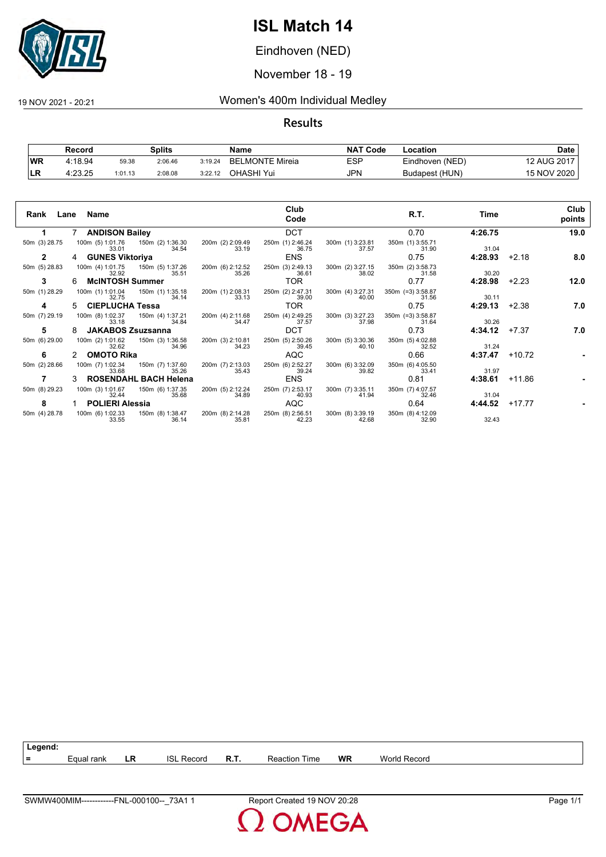

Eindhoven (NED)

November 18 - 19

### 19 NOV 2021 - 20:21 Women's 400m Individual Medley

**Results**

|           | Record  |         | Splits  |         | Name            | <b>NAT</b><br>「Code | ∟ocation        | Date        |
|-----------|---------|---------|---------|---------|-----------------|---------------------|-----------------|-------------|
| <b>WR</b> | 4:18.94 | 59.38   | 2:06.46 | 3:19.24 | BELMONTE Mireia | ESP                 | Eindhoven (NED) | 12 AUG 2017 |
| 'LR       | 4:23.25 | 1:01.13 | 2:08.08 | 3:22.12 | OHASHI Yui      | JPN                 | Budapest (HUN)  | 15 NOV 2020 |

|               | Rank Lane Name                                         | Club<br>Code                                                               | R.T.<br>Time                                                 | Club<br>points  |
|---------------|--------------------------------------------------------|----------------------------------------------------------------------------|--------------------------------------------------------------|-----------------|
|               | 7 ANDISON Bailey                                       | <b>DCT</b>                                                                 | 0.70<br>4:26.75                                              | 19.0            |
| 50m (3) 28.75 | 100m (5) 1:01.76  150m (2) 1:36.30<br>34.54<br>33.01   | 200m (2) 2:09.49<br>33.19<br>250m (1) 2:46.24<br>300m (1) 3:23.81<br>36.75 | 350m (1) 3:55.71<br>37.57<br>31.04<br>31.90                  |                 |
| $\mathbf{2}$  | 4 GUNES Viktoriya                                      | ENS                                                                        | 0.75<br>4:28.93                                              | $+2.18$<br>8.0  |
| 50m (5) 28.83 | 100m (4) 1:01.75   150m (5) 1:37.26<br>35.51<br>32.92  | 200m (6) 2:12.52<br>35.26<br>250m (3) 2:49.13<br>300m (2) 3:27.15<br>36.61 | 350m (2) 3:58.73<br>38.02<br>31.58<br>30.20                  |                 |
| 3             | <b>McINTOSH Summer</b>                                 | TOR.                                                                       | 4:28.98<br>0.77                                              | $+2.23$<br>12.0 |
| 50m (1) 28.29 | 100m (1) 1:01.04<br>150m (1) 1:35.18<br>34.14<br>32.75 | 200m (1) 2:08.31<br>33.13<br>250m (2) 2:47.31<br>300m (4) 3:27.31<br>39.00 | $350m$ (=3) 3:58.87<br>40.00<br>31.56<br>30.11               |                 |
| 4             | 5 CIEPLUCHA Tessa                                      | TOR.                                                                       | 4:29.13<br>0.75                                              | $+2.38$<br>7.0  |
| 50m (7) 29.19 | 100m (8) 1:02.37<br>150m (4) 1:37.21<br>34.84<br>33.18 | 250m (4) 2:49.25<br>300m (3) 3:27.23<br>200m (4) 2:11.68<br>34.47<br>37.57 | 350m (=3) 3:58.87<br>30.26<br>37.98<br>31.64                 |                 |
| 5             | <b>JAKABOS Zsuzsanna</b>                               | <b>DCT</b>                                                                 | 0.73<br>4:34.12                                              | $+7.37$<br>7.0  |
| 50m (6) 29.00 | 100m (2) 1:01.62<br>150m (3) 1:36.58<br>34.96<br>32.62 | 250m (5) 2:50.26<br>200m (3) 2:10.81<br>300m (5) 3:30.36<br>34.23<br>39.45 | 350m (5) 4:02.88<br>31.24<br>40.10<br>32.52                  |                 |
| 6             | 2 OMOTO Rika                                           | <b>AQC</b>                                                                 | 0.66<br>4:37.47                                              | $+10.72$        |
| 50m (2) 28.66 | 150m (7) 1:37.60<br>100m (7) 1:02.34<br>35.26<br>33.68 | 250m (6) 2:52.27<br>200m (7) 2:13.03<br>300m (6) 3:32.09<br>35.43<br>39.24 | 350m (6) 4:05.50<br>31.97<br>39.82<br>33.41                  |                 |
| 7             | 3 ROSENDAHL BACH Helena                                | <b>ENS</b>                                                                 | 0.81<br>4:38.61                                              | $+11.86$        |
| 50m (8) 29.23 | 100m (3) 1:01.67<br>150m (6) 1:37.35<br>32.44<br>35.68 | 200m (5) 2:12.24<br>250m (7) 2:53.17<br>300m (7) 3:35.11<br>34.89<br>40.93 | 350m (7) 4:07.57<br>41.94<br>32.46<br>31.04                  |                 |
| 8             | 1 POLIERI Alessia                                      | AQC                                                                        | 0.64<br>4:44.52                                              | $+17.77$        |
| 50m (4) 28.78 | 100m (6) 1:02.33 150m (8) 1:38.47<br>33.55<br>36.14    | 200m (8) 2:14.28<br>250m (8) 2:56.51<br>35.81<br>42.23                     | 300m (8) 3:39.19 350m (8) 4:12.09<br>32.43<br>42.68<br>32.90 |                 |



**MEGA**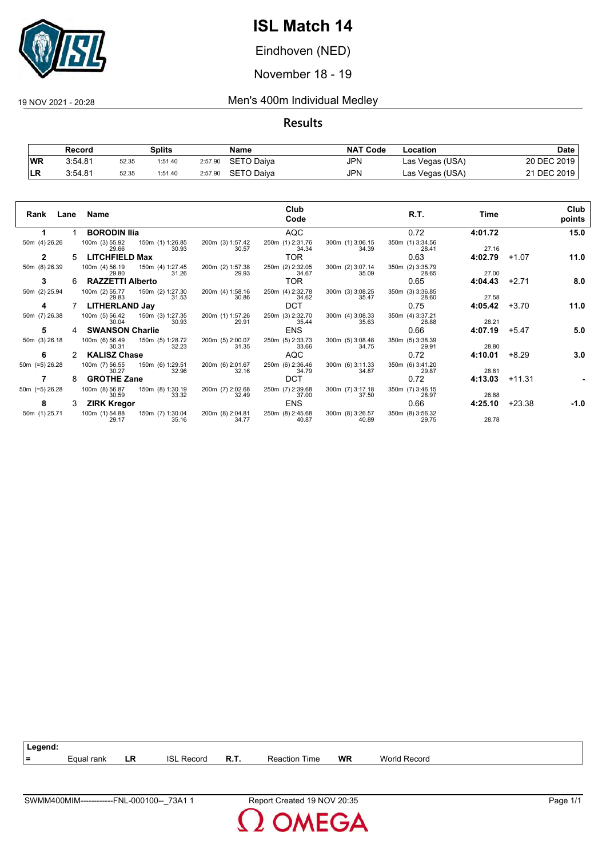

Eindhoven (NED)

November 18 - 19

#### 19 NOV 2021 - 20:28 Men's 400m Individual Medley

|            | Record  |       | Splits  |         | Name              | <b>NAT Code</b> | Location        | Date        |
|------------|---------|-------|---------|---------|-------------------|-----------------|-----------------|-------------|
| <b>IWR</b> | 3:54.81 | 52.35 | 1:51.40 | 2:57.90 | SETO Daiva        | JPN             | Las Vegas (USA) | 20 DEC 2019 |
|            | 3:54.81 | 52.35 | 1:51.40 | 2:57.90 | <b>SETO Daiva</b> | JPN             | Las Vegas (USA) | 21 DEC 2019 |

| Lane<br>Rank      |    | Name                                     |                           |                           | Club<br>Code              |                           | R.T.                      | Time    |          | Club<br>points |
|-------------------|----|------------------------------------------|---------------------------|---------------------------|---------------------------|---------------------------|---------------------------|---------|----------|----------------|
|                   |    | <b>BORODIN IIIa</b>                      |                           |                           | <b>AQC</b>                |                           | 0.72                      | 4:01.72 |          | 15.0           |
| 50m (4) 26.26     |    | 100m (3) 55.92 150m (1) 1:26.85<br>29.66 | 30.93                     | 200m (3) 1:57.42<br>30.57 | 250m (1) 2:31.76<br>34.34 | 300m (1) 3:06.15<br>34.39 | 350m (1) 3:34.56<br>28.41 | 27.16   |          |                |
| $\mathbf{2}$      | 5  | <b>LITCHFIELD Max</b>                    |                           |                           | TOR.                      |                           | 0.63                      | 4:02.79 | $+1.07$  | 11.0           |
| 50m (8) 26.39     |    | 100m (4) 56.19 150m (4) 1:27.45<br>29.80 | 31.26                     | 200m (2) 1:57.38<br>29.93 | 250m (2) 2:32.05<br>34.67 | 300m (2) 3:07.14<br>35.09 | 350m (2) 3:35.79<br>28.65 | 27.00   |          |                |
| 3                 | 6. | <b>RAZZETTI Alberto</b>                  |                           |                           | TOR.                      |                           | 0.65                      | 4:04.43 | $+2.71$  | 8.0            |
| 50m (2) 25.94     |    | 100m (2) 55.77<br>29.83                  | 150m (2) 1:27.30<br>31.53 | 200m (4) 1:58.16<br>30.86 | 250m (4) 2:32.78<br>34.62 | 300m (3) 3:08.25<br>35.47 | 350m (3) 3:36.85<br>28.60 | 27.58   |          |                |
| 4                 |    | <b>LITHERLAND Jay</b>                    |                           |                           | <b>DCT</b>                |                           | 0.75                      | 4:05.42 | $+3.70$  | 11.0           |
| 50m (7) 26.38     |    | 100m (5) 56.42<br>30.04                  | 150m (3) 1:27.35<br>30.93 | 200m (1) 1:57.26<br>29.91 | 250m (3) 2:32.70<br>35.44 | 300m (4) 3:08.33<br>35.63 | 350m (4) 3:37.21<br>28.88 | 28.21   |          |                |
| 5                 | 4  | <b>SWANSON Charlie</b>                   |                           |                           | <b>ENS</b>                |                           | 0.66                      | 4:07.19 | $+5.47$  | 5.0            |
| 50m (3) 26.18     |    | 100m (6) 56.49<br>30.31                  | 150m (5) 1:28.72<br>32.23 | 200m (5) 2:00.07<br>31.35 | 250m (5) 2:33.73<br>33.66 | 300m (5) 3:08.48<br>34.75 | 350m (5) 3:38.39<br>29.91 | 28.80   |          |                |
| 6                 |    | <b>KALISZ Chase</b>                      |                           |                           | AQC                       |                           | 0.72                      | 4:10.01 | $+8.29$  | 3.0            |
| 50m (=5) 26.28    |    | 100m (7) 56.55<br>30.27                  | 150m (6) 1:29.51<br>32.96 | 200m (6) 2:01.67<br>32.16 | 250m (6) 2:36.46<br>34.79 | 300m (6) 3:11.33<br>34.87 | 350m (6) 3:41.20<br>29.87 | 28.81   |          |                |
|                   | 8  | <b>GROTHE Zane</b>                       |                           |                           | <b>DCT</b>                |                           | 0.72                      | 4:13.03 | $+11.31$ |                |
| 50 $m$ (=5) 26.28 |    | 100m (8) 56.87<br>30.59                  | 150m (8) 1:30.19<br>33.32 | 200m (7) 2:02.68<br>32.49 | 250m (7) 2:39.68<br>37.00 | 300m (7) 3:17.18<br>37.50 | 350m (7) 3:46.15<br>28.97 | 26.88   |          |                |
| 8                 |    | <b>ZIRK Kregor</b>                       |                           |                           | <b>ENS</b>                |                           | 0.66                      | 4:25.10 | $+23.38$ | -1.0           |
| 50m (1) 25.71     |    | 100m (1) 54.88<br>29.17                  | 150m (7) 1:30.04<br>35.16 | 200m (8) 2:04.81<br>34.77 | 250m (8) 2:45.68<br>40.87 | 300m (8) 3:26.57<br>40.89 | 350m (8) 3:56.32<br>29.75 | 28.78   |          |                |

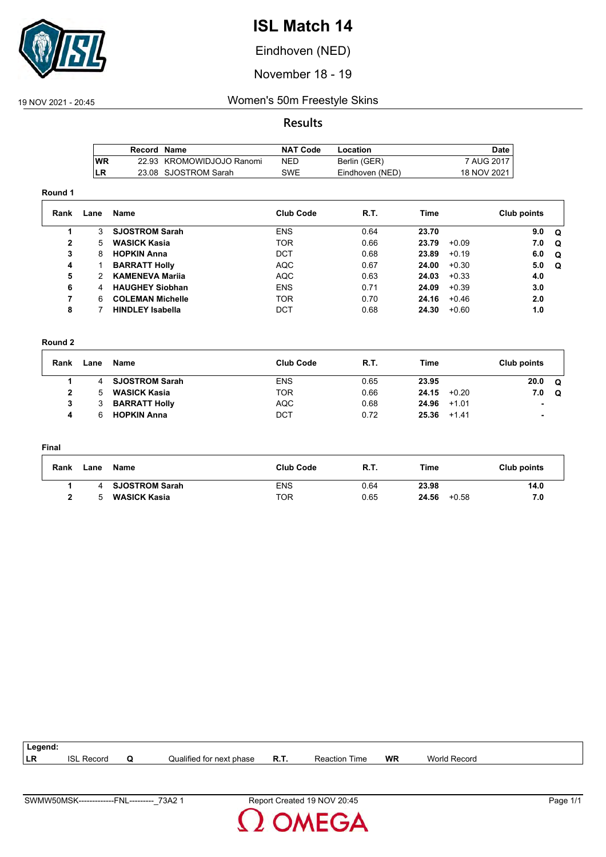

Eindhoven (NED)

November 18 - 19

### 19 NOV 2021 - 20:45 Women's 50m Freestyle Skins

### **Results**

|           | Record Name |                           | <b>NAT Code</b> | Location        | Date I      |
|-----------|-------------|---------------------------|-----------------|-----------------|-------------|
| <b>WR</b> |             | 22.93 KROMOWIDJOJO Ranomi | NFD             | Berlin (GER)    | 7 AUG 2017  |
| LR        |             | 23.08 SJOSTROM Sarah      | SWE             | Eindhoven (NED) | 18 NOV 2021 |

#### **Round 1**

| Rank | Lane | Name                    | <b>Club Code</b> | R.T. | Time  |         | Club points |          |
|------|------|-------------------------|------------------|------|-------|---------|-------------|----------|
|      | 3    | <b>SJOSTROM Sarah</b>   | <b>ENS</b>       | 0.64 | 23.70 |         | 9.0         | . വ      |
| 2    | 5.   | <b>WASICK Kasia</b>     | <b>TOR</b>       | 0.66 | 23.79 | $+0.09$ | 7.0         | $\Omega$ |
| 3    | 8    | <b>HOPKIN Anna</b>      | DCT              | 0.68 | 23.89 | $+0.19$ | 6.0         | O        |
| 4    |      | <b>BARRATT Holly</b>    | <b>AQC</b>       | 0.67 | 24.00 | $+0.30$ | 5.0         | . വ      |
| 5    | 2    | <b>KAMENEVA Marija</b>  | AQC              | 0.63 | 24.03 | $+0.33$ | 4.0         |          |
| 6    | 4    | <b>HAUGHEY Siobhan</b>  | <b>ENS</b>       | 0.71 | 24.09 | $+0.39$ | 3.0         |          |
| 7    | 6.   | <b>COLEMAN Michelle</b> | <b>TOR</b>       | 0.70 | 24.16 | $+0.46$ | 2.0         |          |
| 8    |      | <b>HINDLEY Isabella</b> | DCT              | 0.68 | 24.30 | $+0.60$ | 1.0         |          |

#### **Round 2**

| Rank | Lane | Name                  | <b>Club Code</b> | <b>R.T.</b> | <b>Time</b> |         | Club points              |   |
|------|------|-----------------------|------------------|-------------|-------------|---------|--------------------------|---|
|      |      | <b>SJOSTROM Sarah</b> | <b>ENS</b>       | 0.65        | 23.95       |         | 20.0                     | Q |
|      |      | <b>WASICK Kasia</b>   | <b>TOR</b>       | 0.66        | 24.15       | $+0.20$ | 7.0                      | Q |
| 3    |      | <b>BARRATT Holly</b>  | <b>AQC</b>       | 0.68        | 24.96       | $+1.01$ | $\sim$                   |   |
| 4    |      | <b>HOPKIN Anna</b>    | DCT              | 0.72        | 25.36       | $+1.41$ | $\overline{\phantom{a}}$ |   |

#### **Final**

| Rank | Lane | Name                  | <b>Club Code</b> | <b>R.T.</b> | Time             | Club points |
|------|------|-----------------------|------------------|-------------|------------------|-------------|
|      |      | <b>SJOSTROM Sarah</b> | ENS              | 0.64        | 23.98            | 14.0        |
|      |      | <b>WASICK Kasia</b>   | TOR              | 0.65        | 24.56<br>$+0.58$ | 7.0         |

| Legend: |                      |                          |      |                                               |    |                 |  |
|---------|----------------------|--------------------------|------|-----------------------------------------------|----|-----------------|--|
| LR      | <b>ISL</b><br>Record | Qualified for next phase | R.T. | $\overline{\phantom{a}}$<br>l ime<br>Reaction | WR | World<br>Record |  |
|         |                      |                          |      |                                               |    |                 |  |

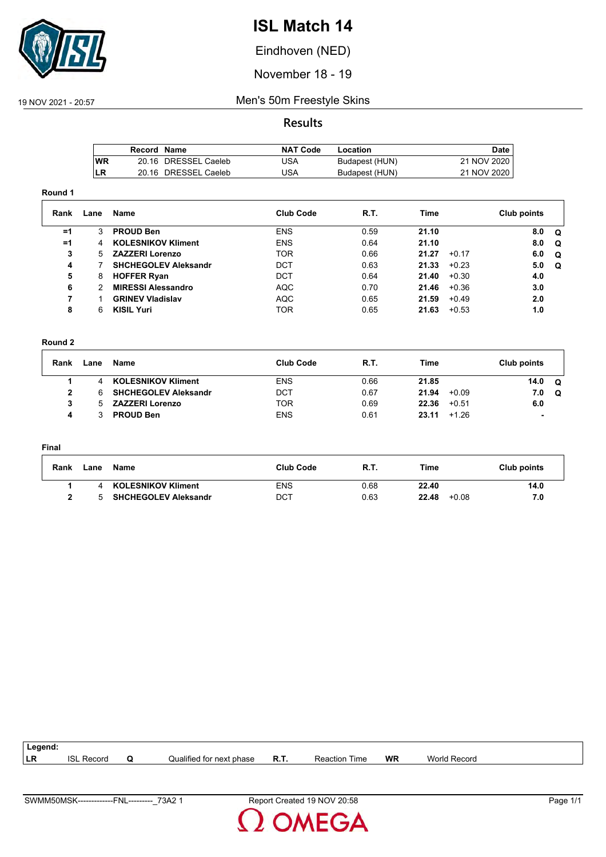

Eindhoven (NED)

November 18 - 19

### 19 NOV 2021 - 20:57 Men's 50m Freestyle Skins

#### **Results**

|     | Record Name |                      | <b>NAT Code</b> | Location       | Date        |
|-----|-------------|----------------------|-----------------|----------------|-------------|
| lWR |             | 20.16 DRESSEL Caeleb | JSA             | Budapest (HUN) | 21 NOV 2020 |
| LR  |             | 20.16 DRESSEL Caeleb | IJSA            | Budapest (HUN) | 21 NOV 2020 |

#### **Round 1**

| Rank | Lane | Name                        | <b>Club Code</b> | R.T. | Time  |         | Club points |          |
|------|------|-----------------------------|------------------|------|-------|---------|-------------|----------|
| $=1$ |      | <b>PROUD Ben</b>            | <b>ENS</b>       | 0.59 | 21.10 |         | 8.0         | Q        |
| $=1$ | 4    | <b>KOLESNIKOV Kliment</b>   | <b>ENS</b>       | 0.64 | 21.10 |         | 8.0         | $\Omega$ |
| 3    | 5.   | <b>ZAZZERI Lorenzo</b>      | <b>TOR</b>       | 0.66 | 21.27 | $+0.17$ | 6.0         | $\Omega$ |
| 4    |      | <b>SHCHEGOLEV Aleksandr</b> | <b>DCT</b>       | 0.63 | 21.33 | $+0.23$ | 5.0         | <b>Q</b> |
| 5    | 8    | <b>HOFFER Ryan</b>          | <b>DCT</b>       | 0.64 | 21.40 | $+0.30$ | 4.0         |          |
| 6    |      | <b>MIRESSI Alessandro</b>   | <b>AQC</b>       | 0.70 | 21.46 | $+0.36$ | 3.0         |          |
|      |      | <b>GRINEV Vladislav</b>     | <b>AQC</b>       | 0.65 | 21.59 | $+0.49$ | 2.0         |          |
| 8    | 6    | <b>KISIL Yuri</b>           | TOR              | 0.65 | 21.63 | $+0.53$ | 1.0         |          |

#### **Round 2**

| Rank | Lane | Name                        | <b>Club Code</b> | R.T. | Time  |         | Club points |   |
|------|------|-----------------------------|------------------|------|-------|---------|-------------|---|
|      |      | <b>KOLESNIKOV Kliment</b>   | <b>ENS</b>       | 0.66 | 21.85 |         | 14.0        | റ |
| 2    | 6    | <b>SHCHEGOLEV Aleksandr</b> | DCT              | 0.67 | 21.94 | $+0.09$ | 7.0         | Q |
|      |      | <b>ZAZZERI Lorenzo</b>      | TOR              | 0.69 | 22.36 | $+0.51$ | 6.0         |   |
|      |      | <b>PROUD Ben</b>            | <b>ENS</b>       | 0.61 | 23.11 | $+1.26$ |             |   |

#### **Final**

| <b>Rank</b> | _ane | Name                        | <b>Club Code</b> | - R.T. | Time             | Club points |
|-------------|------|-----------------------------|------------------|--------|------------------|-------------|
|             |      | <b>KOLESNIKOV Kliment</b>   | <b>ENS</b>       | 0.68   | 22.40            | 14.0        |
|             |      | <b>SHCHEGOLEV Aleksandr</b> | DCT              | 0.63   | 22.48<br>$+0.08$ | 7.0         |

| Legend:   |               |   |                          |      |                  |           |                 |  |
|-----------|---------------|---|--------------------------|------|------------------|-----------|-----------------|--|
| <b>LR</b> | ISL<br>Record | w | Qualified for next phase | R.T. | Reaction<br>Time | <b>WR</b> | World<br>Record |  |
|           |               |   |                          |      |                  |           |                 |  |

**OMEGA**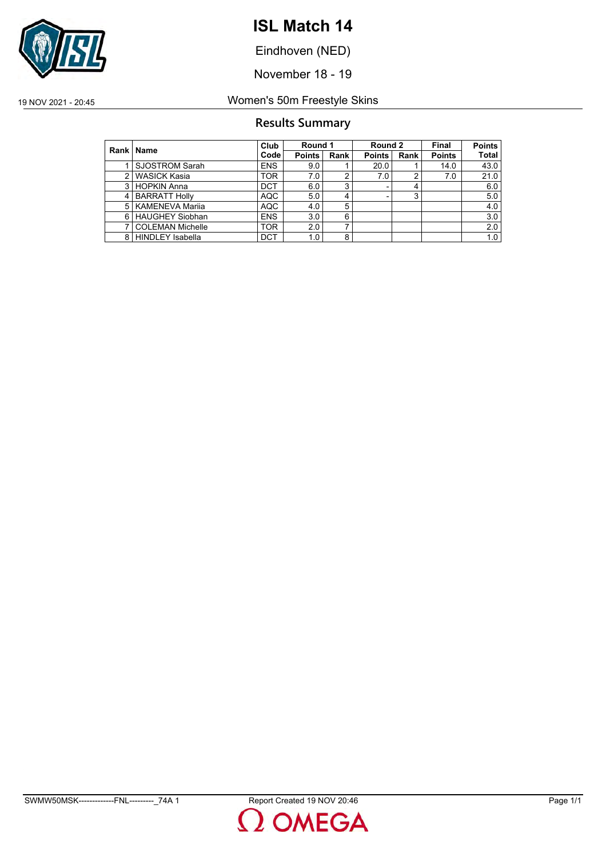

Eindhoven (NED)

November 18 - 19

19 NOV 2021 - 20:45 Women's 50m Freestyle Skins

### **Results Summary**

|               | Rank   Name             | Club       | Round 1       |                | Round 2       |      | <b>Final</b>  | <b>Points</b> |
|---------------|-------------------------|------------|---------------|----------------|---------------|------|---------------|---------------|
|               |                         | Code       | <b>Points</b> | Rank           | <b>Points</b> | Rank | <b>Points</b> | <b>Total</b>  |
|               | SJOSTROM Sarah          | <b>ENS</b> | 9.0           |                | 20.0          |      | 14.0          | 43.0          |
| $\mathcal{P}$ | <b>WASICK Kasia</b>     | <b>TOR</b> | 7.0           | 2              | 7.0           |      | 7.0           | 21.0          |
|               | 3 HOPKIN Anna           | <b>DCT</b> | 6.0           | 3              |               | 4    |               | 6.0           |
| 4             | <b>BARRATT Holly</b>    | AQC        | 5.0           | $\overline{4}$ |               | 3    |               | 5.0           |
| 5             | <b>KAMENEVA Marija</b>  | <b>AQC</b> | 4.0           | 5              |               |      |               | 4.0           |
| 6             | HAUGHEY Siobhan         | <b>ENS</b> | 3.0           | 6              |               |      |               | 3.0           |
|               | <b>COLEMAN Michelle</b> | <b>TOR</b> | 2.0           | ⇁              |               |      |               | 2.0           |
|               | 8 HINDLEY Isabella      | <b>DCT</b> | 1.0           | 8              |               |      |               | 1.0           |

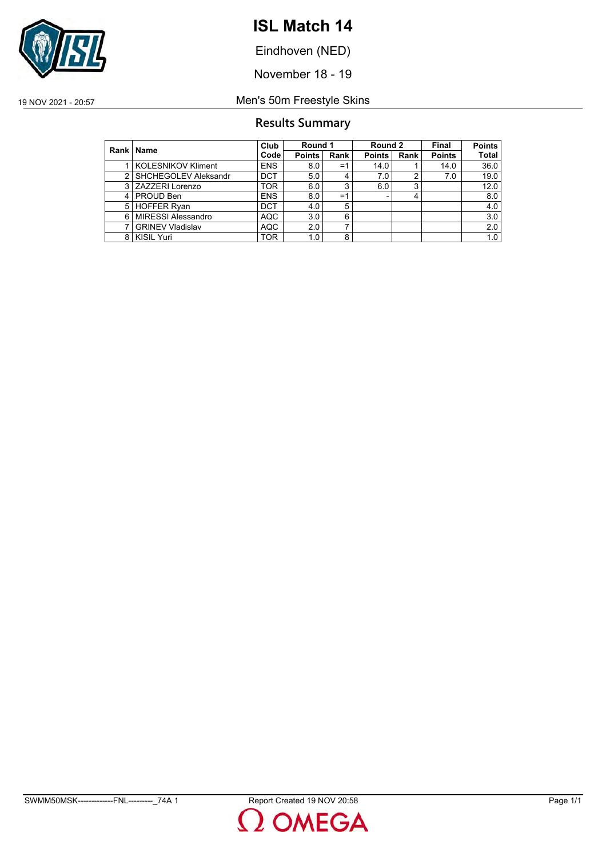

Eindhoven (NED)

November 18 - 19

19 NOV 2021 - 20:57 Men's 50m Freestyle Skins

### **Results Summary**

|               | Rank   Name               | Club       | Round 1       |      | Round 2       |      | Final         | <b>Points</b> |
|---------------|---------------------------|------------|---------------|------|---------------|------|---------------|---------------|
|               |                           | Code       | <b>Points</b> | Rank | <b>Points</b> | Rank | <b>Points</b> | <b>Total</b>  |
|               | <b>KOLESNIKOV Kliment</b> | <b>ENS</b> | 8.0           | =1   | 14.0          |      | 14.0          | 36.0          |
| $\mathcal{P}$ | SHCHEGOLEV Aleksandr      | <b>DCT</b> | 5.0           | 4    | 7.0           | າ    | 7.0           | 19.0          |
| 3             | <b>ZAZZERI Lorenzo</b>    | TOR        | 6.0           | 3    | 6.0           | 3    |               | 12.0          |
|               | 4   PROUD Ben             | <b>ENS</b> | 8.0           | Ξ1   |               |      |               | 8.0           |
| 5             | <b>HOFFER Ryan</b>        | <b>DCT</b> | 4.0           | 5    |               |      |               | 4.0           |
| 6             | <b>MIRESSI Alessandro</b> | <b>AQC</b> | 3.0           | 6    |               |      |               | 3.0           |
|               | <b>GRINEV Vladislav</b>   | <b>AQC</b> | 2.0           | ⇁    |               |      |               | 2.0           |
| 8             | <b>KISIL Yuri</b>         | <b>TOR</b> | 1.0           | 8    |               |      |               | 1.0           |

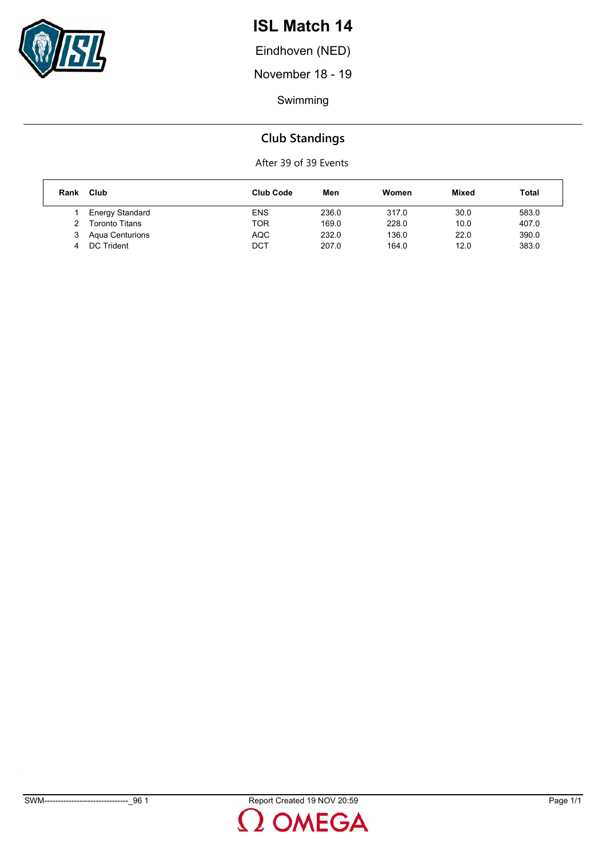

Eindhoven (NED)

November 18 - 19

Swimming

### **Club Standings**

After 39 of 39 Events

| Rank | Club                   | Club Code  | Men   | Women | <b>Mixed</b> | Total |
|------|------------------------|------------|-------|-------|--------------|-------|
|      | <b>Energy Standard</b> | <b>ENS</b> | 236.0 | 317.0 | 30.0         | 583.0 |
|      | <b>Toronto Titans</b>  | TOR        | 169.0 | 228.0 | 10.0         | 407.0 |
|      | Agua Centurions        | <b>AQC</b> | 232.0 | 136.0 | 22.0         | 390.0 |
|      | DC Trident             | DCT        | 207.0 | 164.0 | 12.0         | 383.0 |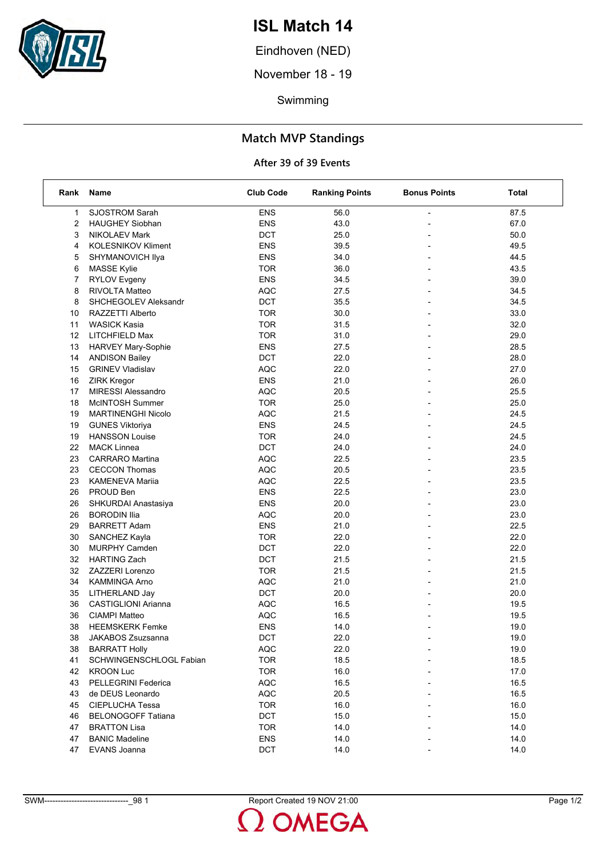

Eindhoven (NED)

November 18 - 19

Swimming

### **Match MVP Standings**

#### **After 39 of 39 Events**

| Rank | Name                       | <b>Club Code</b> | <b>Ranking Points</b> | <b>Bonus Points</b>      | Total |
|------|----------------------------|------------------|-----------------------|--------------------------|-------|
| 1    | <b>SJOSTROM Sarah</b>      | <b>ENS</b>       | 56.0                  |                          | 87.5  |
| 2    | <b>HAUGHEY Siobhan</b>     | <b>ENS</b>       | 43.0                  |                          | 67.0  |
| 3    | NIKOLAEV Mark              | DCT              | 25.0                  |                          | 50.0  |
| 4    | <b>KOLESNIKOV Kliment</b>  | <b>ENS</b>       | 39.5                  | $\overline{\phantom{a}}$ | 49.5  |
| 5    | SHYMANOVICH Ilya           | <b>ENS</b>       | 34.0                  |                          | 44.5  |
| 6    | <b>MASSE Kylie</b>         | <b>TOR</b>       | 36.0                  |                          | 43.5  |
| 7    | <b>RYLOV Evgeny</b>        | <b>ENS</b>       | 34.5                  | $\overline{\phantom{a}}$ | 39.0  |
| 8    | RIVOLTA Matteo             | <b>AQC</b>       | 27.5                  |                          | 34.5  |
| 8    | SHCHEGOLEV Aleksandr       | DCT              | 35.5                  |                          | 34.5  |
| 10   | RAZZETTI Alberto           | <b>TOR</b>       | 30.0                  | $\overline{\phantom{a}}$ | 33.0  |
| 11   | <b>WASICK Kasia</b>        | <b>TOR</b>       | 31.5                  |                          | 32.0  |
| 12   | LITCHFIELD Max             | <b>TOR</b>       | 31.0                  |                          | 29.0  |
| 13   | HARVEY Mary-Sophie         | <b>ENS</b>       | 27.5                  | $\overline{\phantom{a}}$ | 28.5  |
| 14   | <b>ANDISON Bailey</b>      | DCT              | 22.0                  |                          | 28.0  |
| 15   | <b>GRINEV Vladislav</b>    | <b>AQC</b>       | 22.0                  |                          | 27.0  |
| 16   | <b>ZIRK Kregor</b>         | <b>ENS</b>       | 21.0                  | $\overline{\phantom{a}}$ | 26.0  |
| 17   | <b>MIRESSI Alessandro</b>  | <b>AQC</b>       | 20.5                  | $\overline{a}$           | 25.5  |
| 18   | McINTOSH Summer            | <b>TOR</b>       | 25.0                  |                          | 25.0  |
| 19   | <b>MARTINENGHI Nicolo</b>  | <b>AQC</b>       | 21.5                  | $\overline{\phantom{a}}$ | 24.5  |
| 19   | <b>GUNES Viktoriya</b>     | <b>ENS</b>       | 24.5                  |                          | 24.5  |
| 19   | <b>HANSSON Louise</b>      | <b>TOR</b>       | 24.0                  |                          | 24.5  |
| 22   | <b>MACK Linnea</b>         | <b>DCT</b>       | 24.0                  | $\overline{\phantom{a}}$ | 24.0  |
| 23   | <b>CARRARO</b> Martina     | <b>AQC</b>       | 22.5                  |                          | 23.5  |
| 23   | <b>CECCON Thomas</b>       | <b>AQC</b>       | 20.5                  |                          | 23.5  |
| 23   | <b>KAMENEVA Marija</b>     | <b>AQC</b>       | 22.5                  | $\overline{\phantom{a}}$ | 23.5  |
| 26   | PROUD Ben                  | <b>ENS</b>       | 22.5                  |                          | 23.0  |
| 26   | SHKURDAI Anastasiya        | <b>ENS</b>       | 20.0                  |                          | 23.0  |
| 26   | <b>BORODIN Ilia</b>        | <b>AQC</b>       | 20.0                  | $\overline{\phantom{a}}$ | 23.0  |
| 29   | <b>BARRETT Adam</b>        | <b>ENS</b>       | 21.0                  | $\overline{a}$           | 22.5  |
| 30   | SANCHEZ Kayla              | <b>TOR</b>       | 22.0                  |                          | 22.0  |
| 30   | <b>MURPHY Camden</b>       | DCT              | 22.0                  | $\overline{\phantom{a}}$ | 22.0  |
| 32   | <b>HARTING Zach</b>        | DCT              | 21.5                  |                          | 21.5  |
| 32   | ZAZZERI Lorenzo            | <b>TOR</b>       | 21.5                  |                          | 21.5  |
| 34   | <b>KAMMINGA Arno</b>       | <b>AQC</b>       | 21.0                  | $\overline{\phantom{a}}$ | 21.0  |
| 35   | LITHERLAND Jay             | <b>DCT</b>       | 20.0                  |                          | 20.0  |
| 36   | <b>CASTIGLIONI Arianna</b> | <b>AQC</b>       | 16.5                  |                          | 19.5  |
| 36   | <b>CIAMPI Matteo</b>       | <b>AQC</b>       | 16.5                  |                          | 19.5  |
| 38   | <b>HEEMSKERK Femke</b>     | <b>ENS</b>       | 14.0                  |                          | 19.0  |
| 38   | JAKABOS Zsuzsanna          | DCT              | 22.0                  |                          | 19.0  |
| 38   | <b>BARRATT Holly</b>       | <b>AQC</b>       | 22.0                  |                          | 19.0  |
| 41   | SCHWINGENSCHLOGL Fabian    | <b>TOR</b>       | 18.5                  |                          | 18.5  |
| 42   | <b>KROON Luc</b>           | <b>TOR</b>       | 16.0                  |                          | 17.0  |
| 43   | PELLEGRINI Federica        | <b>AQC</b>       | 16.5                  |                          | 16.5  |
| 43   | de DEUS Leonardo           | AQC              | 20.5                  |                          | 16.5  |
| 45   | CIEPLUCHA Tessa            | <b>TOR</b>       | 16.0                  |                          | 16.0  |
| 46   | <b>BELONOGOFF Tatiana</b>  | DCT              | 15.0                  |                          | 15.0  |
| 47   | <b>BRATTON Lisa</b>        | <b>TOR</b>       | 14.0                  |                          | 14.0  |
| 47   | <b>BANIC Madeline</b>      | <b>ENS</b>       | 14.0                  |                          | 14.0  |
| 47   | EVANS Joanna               | DCT              | 14.0                  |                          | 14.0  |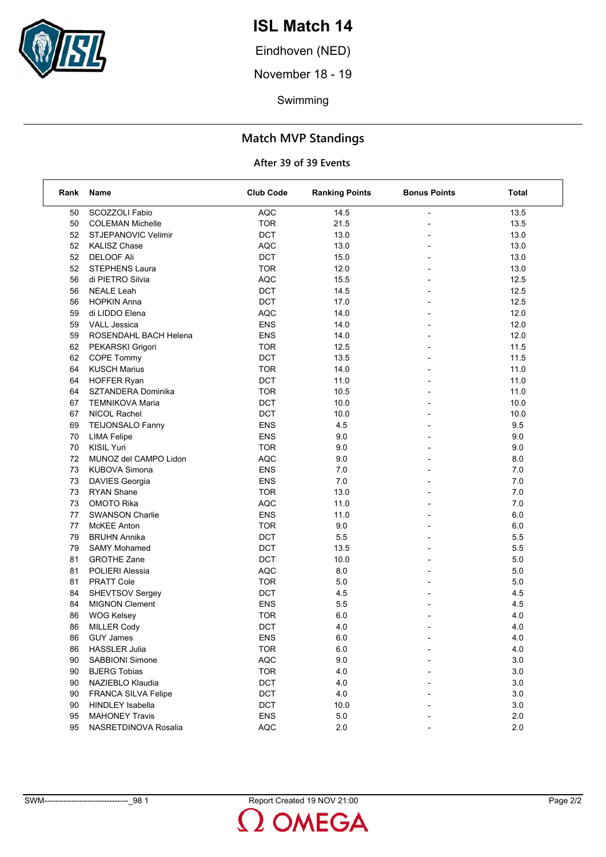

Eindhoven (NED)

November 18 - 19

Swimming

### **Match MVP Standings**

#### **After 39 of 39 Events**

| Rank | Name                       | <b>Club Code</b> | <b>Ranking Points</b> | <b>Bonus Points</b>      | Total |
|------|----------------------------|------------------|-----------------------|--------------------------|-------|
| 50   | SCOZZOLI Fabio             | <b>AQC</b>       | 14.5                  |                          | 13.5  |
| 50   | <b>COLEMAN Michelle</b>    | <b>TOR</b>       | 21.5                  |                          | 13.5  |
| 52   | STJEPANOVIC Velimir        | DCT              | 13.0                  |                          | 13.0  |
| 52   | <b>KALISZ Chase</b>        | <b>AQC</b>       | 13.0                  | $\overline{a}$           | 13.0  |
| 52   | <b>DELOOF Ali</b>          | DCT              | 15.0                  |                          | 13.0  |
| 52   | <b>STEPHENS Laura</b>      | <b>TOR</b>       | 12.0                  |                          | 13.0  |
| 56   | di PIETRO Silvia           | <b>AQC</b>       | 15.5                  |                          | 12.5  |
| 56   | <b>NEALE Leah</b>          | DCT              | 14.5                  |                          | 12.5  |
| 56   | <b>HOPKIN Anna</b>         | DCT              | 17.0                  |                          | 12.5  |
| 59   | di LIDDO Elena             | <b>AQC</b>       | 14.0                  | $\overline{\phantom{a}}$ | 12.0  |
| 59   | <b>VALL Jessica</b>        | <b>ENS</b>       | 14.0                  |                          | 12.0  |
| 59   | ROSENDAHL BACH Helena      | <b>ENS</b>       | 14.0                  |                          | 12.0  |
| 62   | PEKARSKI Grigori           | <b>TOR</b>       | 12.5                  |                          | 11.5  |
| 62   | COPE Tommy                 | DCT              | 13.5                  |                          | 11.5  |
| 64   | <b>KUSCH Marius</b>        | <b>TOR</b>       | 14.0                  |                          | 11.0  |
| 64   | <b>HOFFER Ryan</b>         | <b>DCT</b>       | 11.0                  | $\overline{\phantom{a}}$ | 11.0  |
| 64   | SZTANDERA Dominika         | <b>TOR</b>       | 10.5                  |                          | 11.0  |
| 67   | <b>TEMNIKOVA Maria</b>     | DCT              | 10.0                  |                          | 10.0  |
| 67   | NICOL Rachel               | DCT              | 10.0                  | $\overline{a}$           | 10.0  |
| 69   | <b>TEIJONSALO Fanny</b>    | <b>ENS</b>       | 4.5                   |                          | 9.5   |
| 70   | <b>LIMA Felipe</b>         | <b>ENS</b>       | 9.0                   |                          | 9.0   |
| 70   | KISIL Yuri                 | <b>TOR</b>       | 9.0                   | $\overline{\phantom{a}}$ | 9.0   |
| 72   | MUNOZ del CAMPO Lidon      | <b>AQC</b>       | 9.0                   |                          | 8.0   |
| 73   | <b>KUBOVA Simona</b>       | <b>ENS</b>       | 7.0                   |                          | 7.0   |
| 73   | <b>DAVIES Georgia</b>      | <b>ENS</b>       | 7.0                   |                          | 7.0   |
| 73   | <b>RYAN Shane</b>          | <b>TOR</b>       | 13.0                  |                          | 7.0   |
| 73   | <b>OMOTO Rika</b>          | <b>AQC</b>       | 11.0                  |                          | 7.0   |
| 77   | <b>SWANSON Charlie</b>     | <b>ENS</b>       | 11.0                  |                          | 6.0   |
| 77   | McKEE Anton                | <b>TOR</b>       | 9.0                   |                          | 6.0   |
| 79   | <b>BRUHN Annika</b>        | <b>DCT</b>       | 5.5                   |                          | 5.5   |
| 79   | <b>SAMY Mohamed</b>        | DCT              | 13.5                  |                          | 5.5   |
| 81   | <b>GROTHE Zane</b>         | DCT              | 10.0                  |                          | 5.0   |
| 81   | POLIERI Alessia            | <b>AQC</b>       | 8.0                   |                          | 5.0   |
| 81   | <b>PRATT Cole</b>          | <b>TOR</b>       | 5.0                   | $\overline{\phantom{a}}$ | 5.0   |
| 84   | SHEVTSOV Sergey            | DCT              | 4.5                   |                          | 4.5   |
| 84   | <b>MIGNON Clement</b>      | <b>ENS</b>       | 5.5                   |                          | 4.5   |
| 86   | <b>WOG Kelsey</b>          | <b>TOR</b>       | 6.0                   |                          | 4.0   |
| 86   | <b>MILLER Cody</b>         | <b>DCT</b>       | 4.0                   |                          | 4.0   |
| 86   | <b>GUY James</b>           | ENS              | $6.0\,$               |                          | 4.0   |
| 86   | <b>HASSLER Julia</b>       | <b>TOR</b>       | 6.0                   |                          | 4.0   |
| 90   | SABBIONI Simone            | AQC              | 9.0                   |                          | 3.0   |
| 90   | <b>BJERG Tobias</b>        | <b>TOR</b>       | 4.0                   |                          | 3.0   |
| 90   | NAZIEBLO Klaudia           | DCT              | 4.0                   |                          | 3.0   |
| 90   | <b>FRANCA SILVA Felipe</b> | DCT              | 4.0                   |                          | 3.0   |
| 90   | <b>HINDLEY</b> Isabella    | <b>DCT</b>       | 10.0                  |                          | 3.0   |
| 95   | <b>MAHONEY Travis</b>      | <b>ENS</b>       | 5.0                   |                          | 2.0   |
| 95   | NASRETDINOVA Rosalia       | <b>AQC</b>       | 2.0                   |                          | 2.0   |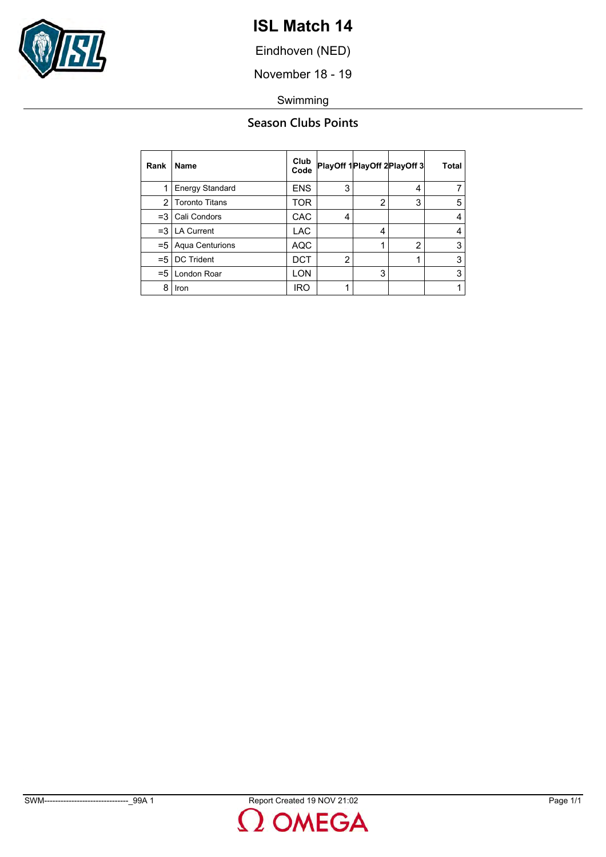

Eindhoven (NED)

November 18 - 19

Swimming

### **Season Clubs Points**

| Rank  | Name                   | Club<br>Code | PlayOff 1 PlayOff 2 PlayOff 3 |                |                | <b>Total</b> |
|-------|------------------------|--------------|-------------------------------|----------------|----------------|--------------|
|       | <b>Energy Standard</b> | <b>ENS</b>   | 3                             |                | 4              | 7            |
| 2     | <b>Toronto Titans</b>  | TOR          |                               | $\overline{2}$ | 3              | 5            |
| $=3$  | Cali Condors           | CAC          | 4                             |                |                | 4            |
| $=$ 3 | <b>LA Current</b>      | <b>LAC</b>   |                               | 4              |                | 4            |
| $= 5$ | Aqua Centurions        | <b>AQC</b>   |                               | 1              | $\overline{2}$ | 3            |
| $= 5$ | <b>DC Trident</b>      | DCT          | $\overline{2}$                |                |                | 3            |
| $= 5$ | London Roar            | LON          |                               | 3              |                | 3            |
| 8     | Iron                   | IRO          | 1                             |                |                | 1            |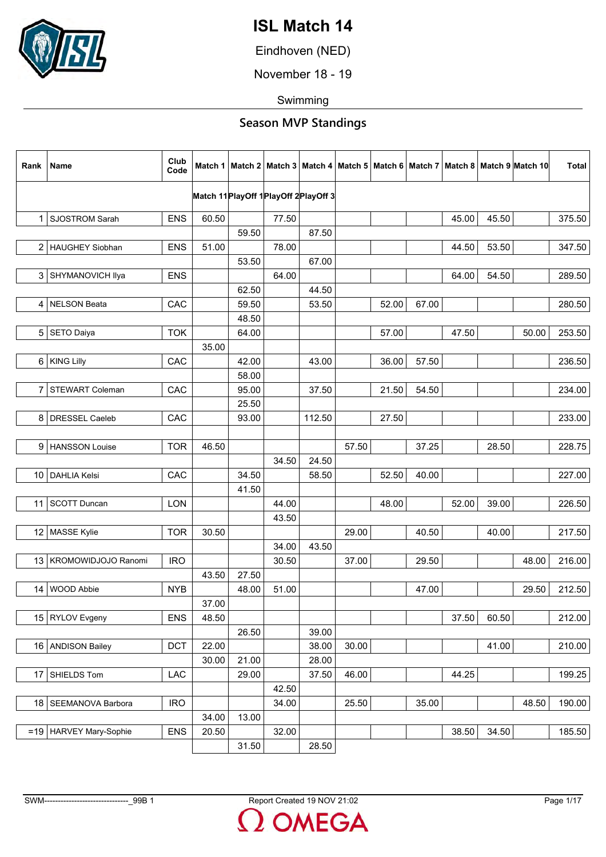

Eindhoven (NED)

November 18 - 19

Swimming

| Rank             | <b>Name</b>              | Club<br>Code |       |       |                                        |        |       |       |       |       |       | Match 1   Match 2   Match 3   Match 4   Match 5   Match 6   Match 7   Match 8   Match 9   Match 10 | <b>Total</b> |
|------------------|--------------------------|--------------|-------|-------|----------------------------------------|--------|-------|-------|-------|-------|-------|----------------------------------------------------------------------------------------------------|--------------|
|                  |                          |              |       |       | Match 11 PlayOff 1 PlayOff 2 PlayOff 3 |        |       |       |       |       |       |                                                                                                    |              |
|                  | 1 SJOSTROM Sarah         | <b>ENS</b>   | 60.50 |       | 77.50                                  |        |       |       |       | 45.00 | 45.50 |                                                                                                    | 375.50       |
|                  |                          |              |       | 59.50 |                                        | 87.50  |       |       |       |       |       |                                                                                                    |              |
|                  | 2   HAUGHEY Siobhan      | <b>ENS</b>   | 51.00 |       | 78.00                                  |        |       |       |       | 44.50 | 53.50 |                                                                                                    | 347.50       |
|                  |                          |              |       | 53.50 |                                        | 67.00  |       |       |       |       |       |                                                                                                    |              |
| 3                | SHYMANOVICH Ilya         | <b>ENS</b>   |       |       | 64.00                                  |        |       |       |       | 64.00 | 54.50 |                                                                                                    | 289.50       |
|                  |                          |              |       | 62.50 |                                        | 44.50  |       |       |       |       |       |                                                                                                    |              |
| 4                | NELSON Beata             | CAC          |       | 59.50 |                                        | 53.50  |       | 52.00 | 67.00 |       |       |                                                                                                    | 280.50       |
|                  |                          |              |       | 48.50 |                                        |        |       |       |       |       |       |                                                                                                    |              |
| 5 <sub>5</sub>   | SETO Daiya               | <b>TOK</b>   |       | 64.00 |                                        |        |       | 57.00 |       | 47.50 |       | 50.00                                                                                              | 253.50       |
|                  |                          |              | 35.00 |       |                                        |        |       |       |       |       |       |                                                                                                    |              |
| $6 \overline{6}$ | <b>KING Lilly</b>        | CAC          |       | 42.00 |                                        | 43.00  |       | 36.00 | 57.50 |       |       |                                                                                                    | 236.50       |
|                  |                          |              |       | 58.00 |                                        |        |       |       |       |       |       |                                                                                                    |              |
| $\overline{7}$   | <b>STEWART Coleman</b>   | CAC          |       | 95.00 |                                        | 37.50  |       | 21.50 | 54.50 |       |       |                                                                                                    | 234.00       |
|                  |                          |              |       | 25.50 |                                        |        |       |       |       |       |       |                                                                                                    |              |
| 8                | DRESSEL Caeleb           | CAC          |       | 93.00 |                                        | 112.50 |       | 27.50 |       |       |       |                                                                                                    | 233.00       |
|                  |                          |              |       |       |                                        |        |       |       |       |       |       |                                                                                                    |              |
|                  | 9   HANSSON Louise       | <b>TOR</b>   | 46.50 |       |                                        |        | 57.50 |       | 37.25 |       | 28.50 |                                                                                                    | 228.75       |
|                  |                          |              |       |       | 34.50                                  | 24.50  |       |       |       |       |       |                                                                                                    |              |
|                  | 10   DAHLIA Kelsi        | CAC          |       | 34.50 |                                        | 58.50  |       | 52.50 | 40.00 |       |       |                                                                                                    | 227.00       |
|                  |                          |              |       | 41.50 |                                        |        |       |       |       |       |       |                                                                                                    |              |
|                  | 11   SCOTT Duncan        | LON          |       |       | 44.00                                  |        |       | 48.00 |       | 52.00 | 39.00 |                                                                                                    | 226.50       |
|                  |                          |              |       |       | 43.50                                  |        |       |       |       |       |       |                                                                                                    |              |
|                  | 12 MASSE Kylie           | <b>TOR</b>   | 30.50 |       |                                        |        | 29.00 |       | 40.50 |       | 40.00 |                                                                                                    | 217.50       |
|                  |                          |              |       |       | 34.00                                  | 43.50  |       |       |       |       |       |                                                                                                    |              |
|                  | 13   KROMOWIDJOJO Ranomi | <b>IRO</b>   |       |       | 30.50                                  |        | 37.00 |       | 29.50 |       |       | 48.00                                                                                              | 216.00       |
|                  |                          |              | 43.50 | 27.50 |                                        |        |       |       |       |       |       |                                                                                                    |              |
| 14               | <b>WOOD Abbie</b>        | <b>NYB</b>   |       | 48.00 | 51.00                                  |        |       |       | 47.00 |       |       | 29.50                                                                                              | 212.50       |
|                  |                          |              | 37.00 |       |                                        |        |       |       |       |       |       |                                                                                                    |              |
|                  | 15 RYLOV Evgeny          | <b>ENS</b>   | 48.50 |       |                                        |        |       |       |       | 37.50 | 60.50 |                                                                                                    | 212.00       |
|                  |                          |              |       | 26.50 |                                        | 39.00  |       |       |       |       |       |                                                                                                    |              |
|                  | 16   ANDISON Bailey      | DCT          | 22.00 |       |                                        | 38.00  | 30.00 |       |       |       | 41.00 |                                                                                                    | 210.00       |
|                  |                          |              | 30.00 | 21.00 |                                        | 28.00  |       |       |       |       |       |                                                                                                    |              |
| 17               | SHIELDS Tom              | LAC          |       | 29.00 |                                        | 37.50  | 46.00 |       |       | 44.25 |       |                                                                                                    | 199.25       |
|                  |                          |              |       |       | 42.50                                  |        |       |       |       |       |       |                                                                                                    |              |
|                  | 18   SEEMANOVA Barbora   | <b>IRO</b>   |       |       | 34.00                                  |        | 25.50 |       | 35.00 |       |       | 48.50                                                                                              | 190.00       |
|                  |                          |              | 34.00 | 13.00 |                                        |        |       |       |       |       |       |                                                                                                    |              |
|                  | =19   HARVEY Mary-Sophie | <b>ENS</b>   | 20.50 |       | 32.00                                  |        |       |       |       | 38.50 | 34.50 |                                                                                                    | 185.50       |
|                  |                          |              |       | 31.50 |                                        | 28.50  |       |       |       |       |       |                                                                                                    |              |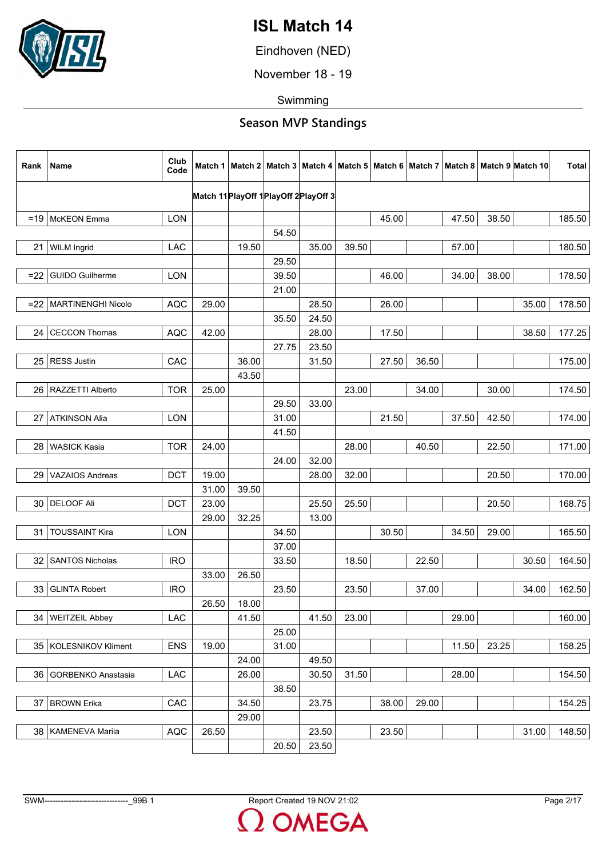

Eindhoven (NED)

November 18 - 19

Swimming

| Rank            | Name                      | Club<br>Code |       |       |       |                                        |       |       |       |       |       | Match 1   Match 2   Match 3   Match 4   Match 5   Match 6   Match 7   Match 8   Match 9   Match 10 | <b>Total</b> |
|-----------------|---------------------------|--------------|-------|-------|-------|----------------------------------------|-------|-------|-------|-------|-------|----------------------------------------------------------------------------------------------------|--------------|
|                 |                           |              |       |       |       | Match 11 PlayOff 1 PlayOff 2 PlayOff 3 |       |       |       |       |       |                                                                                                    |              |
|                 | $=19$ McKEON Emma         | <b>LON</b>   |       |       |       |                                        |       | 45.00 |       | 47.50 | 38.50 |                                                                                                    | 185.50       |
|                 |                           |              |       |       | 54.50 |                                        |       |       |       |       |       |                                                                                                    |              |
| 21              | <b>WILM Ingrid</b>        | LAC          |       | 19.50 |       | 35.00                                  | 39.50 |       |       | 57.00 |       |                                                                                                    | 180.50       |
|                 |                           |              |       |       | 29.50 |                                        |       |       |       |       |       |                                                                                                    |              |
| $=22$           | <b>GUIDO Guilherme</b>    | <b>LON</b>   |       |       | 39.50 |                                        |       | 46.00 |       | 34.00 | 38.00 |                                                                                                    | 178.50       |
|                 |                           |              |       |       | 21.00 |                                        |       |       |       |       |       |                                                                                                    |              |
| $=22$           | <b>MARTINENGHI Nicolo</b> | <b>AQC</b>   | 29.00 |       |       | 28.50                                  |       | 26.00 |       |       |       | 35.00                                                                                              | 178.50       |
|                 |                           |              |       |       | 35.50 | 24.50                                  |       |       |       |       |       |                                                                                                    |              |
| 24              | <b>CECCON Thomas</b>      | <b>AQC</b>   | 42.00 |       |       | 28.00                                  |       | 17.50 |       |       |       | 38.50                                                                                              | 177.25       |
|                 |                           |              |       |       | 27.75 | 23.50                                  |       |       |       |       |       |                                                                                                    |              |
| 25 <sub>1</sub> | <b>RESS Justin</b>        | CAC          |       | 36.00 |       | 31.50                                  |       | 27.50 | 36.50 |       |       |                                                                                                    | 175.00       |
|                 |                           |              |       | 43.50 |       |                                        |       |       |       |       |       |                                                                                                    |              |
|                 | 26   RAZZETTI Alberto     | <b>TOR</b>   | 25.00 |       |       |                                        | 23.00 |       | 34.00 |       | 30.00 |                                                                                                    | 174.50       |
|                 |                           |              |       |       | 29.50 | 33.00                                  |       |       |       |       |       |                                                                                                    |              |
| 27              | <b>ATKINSON Alia</b>      | LON          |       |       | 31.00 |                                        |       | 21.50 |       | 37.50 | 42.50 |                                                                                                    | 174.00       |
|                 |                           |              |       |       | 41.50 |                                        |       |       |       |       |       |                                                                                                    |              |
| 28              | <b>WASICK Kasia</b>       | <b>TOR</b>   | 24.00 |       |       |                                        | 28.00 |       | 40.50 |       | 22.50 |                                                                                                    | 171.00       |
|                 |                           |              |       |       | 24.00 | 32.00                                  |       |       |       |       |       |                                                                                                    |              |
|                 | 29   VAZAIOS Andreas      | <b>DCT</b>   | 19.00 |       |       | 28.00                                  | 32.00 |       |       |       | 20.50 |                                                                                                    | 170.00       |
|                 |                           |              | 31.00 | 39.50 |       |                                        |       |       |       |       |       |                                                                                                    |              |
|                 | 30 DELOOF Ali             | <b>DCT</b>   | 23.00 |       |       | 25.50                                  | 25.50 |       |       |       | 20.50 |                                                                                                    | 168.75       |
|                 |                           |              | 29.00 | 32.25 |       | 13.00                                  |       |       |       |       |       |                                                                                                    |              |
| 31              | <b>TOUSSAINT Kira</b>     | <b>LON</b>   |       |       | 34.50 |                                        |       | 30.50 |       | 34.50 | 29.00 |                                                                                                    | 165.50       |
|                 |                           |              |       |       | 37.00 |                                        |       |       |       |       |       |                                                                                                    |              |
|                 | 32   SANTOS Nicholas      | <b>IRO</b>   |       |       | 33.50 |                                        | 18.50 |       | 22.50 |       |       | 30.50                                                                                              | 164.50       |
|                 |                           |              | 33.00 | 26.50 |       |                                        |       |       |       |       |       |                                                                                                    |              |
| 33              | <b>GLINTA Robert</b>      | <b>IRO</b>   |       |       | 23.50 |                                        | 23.50 |       | 37.00 |       |       | 34.00                                                                                              | 162.50       |
|                 |                           |              | 26.50 | 18.00 |       |                                        |       |       |       |       |       |                                                                                                    |              |
| 34 I            | <b>WEITZEIL Abbey</b>     | <b>LAC</b>   |       | 41.50 |       | 41.50                                  | 23.00 |       |       | 29.00 |       |                                                                                                    | 160.00       |
|                 |                           |              |       |       | 25.00 |                                        |       |       |       |       | 23.25 |                                                                                                    |              |
|                 | 35   KOLESNIKOV Kliment   | <b>ENS</b>   | 19.00 |       | 31.00 |                                        |       |       |       | 11.50 |       |                                                                                                    | 158.25       |
|                 |                           |              |       | 24.00 |       | 49.50                                  |       |       |       |       |       |                                                                                                    |              |
| 36              | GORBENKO Anastasia        | LAC          |       | 26.00 | 38.50 | 30.50                                  | 31.50 |       |       | 28.00 |       |                                                                                                    | 154.50       |
|                 | 37   BROWN Erika          | CAC          |       | 34.50 |       | 23.75                                  |       | 38.00 | 29.00 |       |       |                                                                                                    | 154.25       |
|                 |                           |              |       | 29.00 |       |                                        |       |       |       |       |       |                                                                                                    |              |
|                 | 38   KAMENEVA Marija      | <b>AQC</b>   | 26.50 |       |       | 23.50                                  |       | 23.50 |       |       |       | 31.00                                                                                              | 148.50       |
|                 |                           |              |       |       | 20.50 | 23.50                                  |       |       |       |       |       |                                                                                                    |              |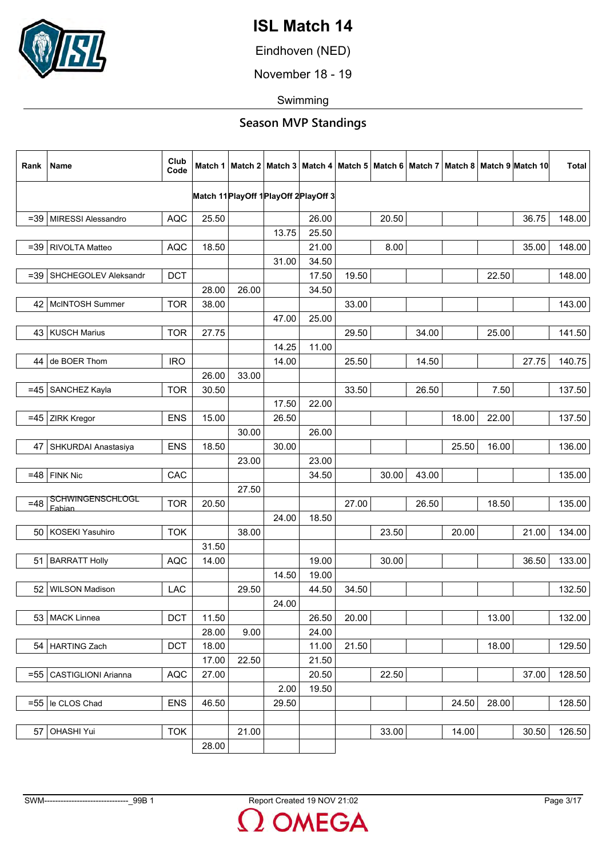

Eindhoven (NED)

November 18 - 19

Swimming

| Rank   | Name                              | Club<br>Code |       |       |       |                                        |       |       |       |       |       | Match 1   Match 2   Match 3   Match 4   Match 5   Match 6   Match 7   Match 8   Match 9   Match 10 | <b>Total</b> |
|--------|-----------------------------------|--------------|-------|-------|-------|----------------------------------------|-------|-------|-------|-------|-------|----------------------------------------------------------------------------------------------------|--------------|
|        |                                   |              |       |       |       | Match 11 PlayOff 1 PlayOff 2 PlayOff 3 |       |       |       |       |       |                                                                                                    |              |
|        | =39   MIRESSI Alessandro          | <b>AQC</b>   | 25.50 |       |       | 26.00                                  |       | 20.50 |       |       |       | 36.75                                                                                              | 148.00       |
|        |                                   |              |       |       | 13.75 | 25.50                                  |       |       |       |       |       |                                                                                                    |              |
| $=39$  | RIVOLTA Matteo                    | <b>AQC</b>   | 18.50 |       |       | 21.00                                  |       | 8.00  |       |       |       | 35.00                                                                                              | 148.00       |
|        |                                   |              |       |       | 31.00 | 34.50                                  |       |       |       |       |       |                                                                                                    |              |
| $= 39$ | SHCHEGOLEV Aleksandr              | <b>DCT</b>   |       |       |       | 17.50                                  | 19.50 |       |       |       | 22.50 |                                                                                                    | 148.00       |
|        |                                   |              | 28.00 | 26.00 |       | 34.50                                  |       |       |       |       |       |                                                                                                    |              |
|        | 42   McINTOSH Summer              | <b>TOR</b>   | 38.00 |       |       |                                        | 33.00 |       |       |       |       |                                                                                                    | 143.00       |
|        |                                   |              |       |       | 47.00 | 25.00                                  |       |       |       |       |       |                                                                                                    |              |
|        | 43   KUSCH Marius                 | <b>TOR</b>   | 27.75 |       |       |                                        | 29.50 |       | 34.00 |       | 25.00 |                                                                                                    | 141.50       |
|        |                                   |              |       |       | 14.25 | 11.00                                  |       |       |       |       |       |                                                                                                    |              |
| 44     | de BOER Thom                      | <b>IRO</b>   |       |       | 14.00 |                                        | 25.50 |       | 14.50 |       |       | 27.75                                                                                              | 140.75       |
|        |                                   |              | 26.00 | 33.00 |       |                                        |       |       |       |       |       |                                                                                                    |              |
| $=45$  | SANCHEZ Kayla                     | <b>TOR</b>   | 30.50 |       |       |                                        | 33.50 |       | 26.50 |       | 7.50  |                                                                                                    | 137.50       |
|        |                                   |              |       |       | 17.50 | 22.00                                  |       |       |       |       |       |                                                                                                    |              |
| $=45$  | ZIRK Kregor                       | <b>ENS</b>   | 15.00 |       | 26.50 |                                        |       |       |       | 18.00 | 22.00 |                                                                                                    | 137.50       |
|        |                                   |              |       | 30.00 |       | 26.00                                  |       |       |       |       |       |                                                                                                    |              |
| 47     | SHKURDAI Anastasiya               | <b>ENS</b>   | 18.50 |       | 30.00 |                                        |       |       |       | 25.50 | 16.00 |                                                                                                    | 136.00       |
|        |                                   |              |       | 23.00 |       | 23.00                                  |       |       |       |       |       |                                                                                                    |              |
|        | $=48$ FINK Nic                    | CAC          |       |       |       | 34.50                                  |       | 30.00 | 43.00 |       |       |                                                                                                    | 135.00       |
|        |                                   |              |       | 27.50 |       |                                        |       |       |       |       |       |                                                                                                    |              |
| $=48$  | <b>SCHWINGENSCHLOGL</b><br>Fabian | <b>TOR</b>   | 20.50 |       |       |                                        | 27.00 |       | 26.50 |       | 18.50 |                                                                                                    | 135.00       |
|        |                                   |              |       |       | 24.00 | 18.50                                  |       |       |       |       |       |                                                                                                    |              |
|        | 50   KOSEKI Yasuhiro              | <b>TOK</b>   |       | 38.00 |       |                                        |       | 23.50 |       | 20.00 |       | 21.00                                                                                              | 134.00       |
|        |                                   |              | 31.50 |       |       |                                        |       |       |       |       |       |                                                                                                    |              |
| 51     | <b>BARRATT Holly</b>              | <b>AQC</b>   | 14.00 |       |       | 19.00                                  |       | 30.00 |       |       |       | 36.50                                                                                              | 133.00       |
|        |                                   |              |       |       | 14.50 | 19.00                                  |       |       |       |       |       |                                                                                                    |              |
| 52     | <b>WILSON Madison</b>             | LAC          |       | 29.50 |       | 44.50                                  | 34.50 |       |       |       |       |                                                                                                    | 132.50       |
|        |                                   |              |       |       | 24.00 |                                        |       |       |       |       |       |                                                                                                    |              |
|        | 53   MACK Linnea                  | <b>DCT</b>   | 11.50 |       |       | 26.50                                  | 20.00 |       |       |       | 13.00 |                                                                                                    | 132.00       |
|        |                                   |              | 28.00 | 9.00  |       | 24.00                                  |       |       |       |       |       |                                                                                                    |              |
|        | 54   HARTING Zach                 | <b>DCT</b>   | 18.00 |       |       | 11.00                                  | 21.50 |       |       |       | 18.00 |                                                                                                    | 129.50       |
|        |                                   |              | 17.00 | 22.50 |       | 21.50                                  |       |       |       |       |       |                                                                                                    |              |
| $= 55$ | <b>CASTIGLIONI Arianna</b>        | <b>AQC</b>   | 27.00 |       |       | 20.50                                  |       | 22.50 |       |       |       | 37.00                                                                                              | 128.50       |
|        |                                   |              |       |       | 2.00  | 19.50                                  |       |       |       |       |       |                                                                                                    |              |
|        | $=55$   le CLOS Chad              | <b>ENS</b>   | 46.50 |       | 29.50 |                                        |       |       |       | 24.50 | 28.00 |                                                                                                    | 128.50       |
|        |                                   |              |       |       |       |                                        |       |       |       |       |       |                                                                                                    |              |
| 57     | <b>OHASHI Yui</b>                 | <b>TOK</b>   |       | 21.00 |       |                                        |       | 33.00 |       | 14.00 |       | 30.50                                                                                              | 126.50       |
|        |                                   |              | 28.00 |       |       |                                        |       |       |       |       |       |                                                                                                    |              |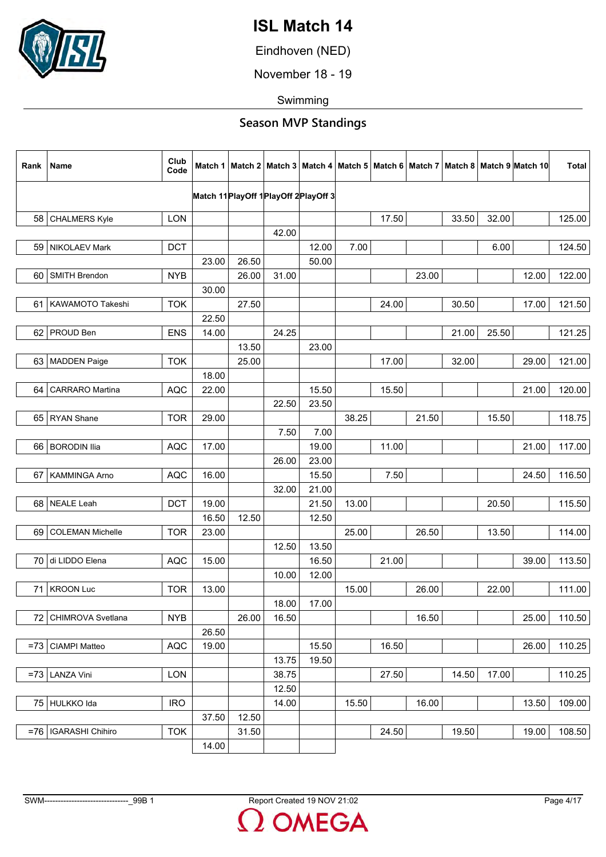

Eindhoven (NED)

November 18 - 19

Swimming

| Rank   | Name                    | Club<br>Code |       |       |       |                                        |       |       |       |       |       | Match 1   Match 2   Match 3   Match 4   Match 5   Match 6   Match 7   Match 8   Match 9   Match 10 | <b>Total</b> |
|--------|-------------------------|--------------|-------|-------|-------|----------------------------------------|-------|-------|-------|-------|-------|----------------------------------------------------------------------------------------------------|--------------|
|        |                         |              |       |       |       | Match 11 PlayOff 1 PlayOff 2 PlayOff 3 |       |       |       |       |       |                                                                                                    |              |
|        | 58 CHALMERS Kyle        | <b>LON</b>   |       |       |       |                                        |       | 17.50 |       | 33.50 | 32.00 |                                                                                                    | 125.00       |
|        |                         |              |       |       | 42.00 |                                        |       |       |       |       |       |                                                                                                    |              |
| 59     | NIKOLAEV Mark           | <b>DCT</b>   |       |       |       | 12.00                                  | 7.00  |       |       |       | 6.00  |                                                                                                    | 124.50       |
|        |                         |              | 23.00 | 26.50 |       | 50.00                                  |       |       |       |       |       |                                                                                                    |              |
| 60     | SMITH Brendon           | <b>NYB</b>   |       | 26.00 | 31.00 |                                        |       |       | 23.00 |       |       | 12.00                                                                                              | 122.00       |
|        |                         |              | 30.00 |       |       |                                        |       |       |       |       |       |                                                                                                    |              |
|        | 61   KAWAMOTO Takeshi   | <b>TOK</b>   |       | 27.50 |       |                                        |       | 24.00 |       | 30.50 |       | 17.00                                                                                              | 121.50       |
|        |                         |              | 22.50 |       |       |                                        |       |       |       |       |       |                                                                                                    |              |
| 62     | <b>PROUD Ben</b>        | <b>ENS</b>   | 14.00 |       | 24.25 |                                        |       |       |       | 21.00 | 25.50 |                                                                                                    | 121.25       |
|        |                         |              |       | 13.50 |       | 23.00                                  |       |       |       |       |       |                                                                                                    |              |
| 63     | MADDEN Paige            | <b>TOK</b>   |       | 25.00 |       |                                        |       | 17.00 |       | 32.00 |       | 29.00                                                                                              | 121.00       |
|        |                         |              | 18.00 |       |       |                                        |       |       |       |       |       |                                                                                                    |              |
| 64     | <b>CARRARO</b> Martina  | <b>AQC</b>   | 22.00 |       |       | 15.50                                  |       | 15.50 |       |       |       | 21.00                                                                                              | 120.00       |
|        |                         |              |       |       | 22.50 | 23.50                                  |       |       |       |       |       |                                                                                                    |              |
|        | 65 RYAN Shane           | <b>TOR</b>   | 29.00 |       |       |                                        | 38.25 |       | 21.50 |       | 15.50 |                                                                                                    | 118.75       |
|        |                         |              |       |       | 7.50  | 7.00                                   |       |       |       |       |       |                                                                                                    |              |
| 66     | <b>BORODIN Ilia</b>     | <b>AQC</b>   | 17.00 |       |       | 19.00                                  |       | 11.00 |       |       |       | 21.00                                                                                              | 117.00       |
|        |                         |              |       |       | 26.00 | 23.00                                  |       |       |       |       |       |                                                                                                    |              |
| 67     | KAMMINGA Arno           | <b>AQC</b>   | 16.00 |       |       | 15.50                                  |       | 7.50  |       |       |       | 24.50                                                                                              | 116.50       |
|        |                         |              |       |       | 32.00 | 21.00                                  |       |       |       |       |       |                                                                                                    |              |
| 68     | NEALE Leah              | <b>DCT</b>   | 19.00 |       |       | 21.50                                  | 13.00 |       |       |       | 20.50 |                                                                                                    | 115.50       |
|        |                         |              | 16.50 | 12.50 |       | 12.50                                  |       |       |       |       |       |                                                                                                    |              |
| 69     | <b>COLEMAN Michelle</b> | <b>TOR</b>   | 23.00 |       |       |                                        | 25.00 |       | 26.50 |       | 13.50 |                                                                                                    | 114.00       |
|        |                         |              |       |       | 12.50 | 13.50                                  |       |       |       |       |       |                                                                                                    |              |
| 70     | di LIDDO Elena          | <b>AQC</b>   | 15.00 |       |       | 16.50                                  |       | 21.00 |       |       |       | 39.00                                                                                              | 113.50       |
|        |                         |              |       |       | 10.00 | 12.00                                  |       |       |       |       |       |                                                                                                    |              |
| 71     | <b>KROON Luc</b>        | <b>TOR</b>   | 13.00 |       |       |                                        | 15.00 |       | 26.00 |       | 22.00 |                                                                                                    | 111.00       |
|        |                         |              |       |       | 18.00 | 17.00                                  |       |       |       |       |       |                                                                                                    |              |
| 72     | CHIMROVA Svetlana       | <b>NYB</b>   |       | 26.00 | 16.50 |                                        |       |       | 16.50 |       |       | 25.00                                                                                              | 110.50       |
|        |                         |              | 26.50 |       |       |                                        |       |       |       |       |       |                                                                                                    |              |
| $= 73$ | CIAMPI Matteo           | <b>AQC</b>   | 19.00 |       |       | 15.50                                  |       | 16.50 |       |       |       | 26.00                                                                                              | 110.25       |
|        |                         |              |       |       | 13.75 | 19.50                                  |       |       |       |       |       |                                                                                                    |              |
|        | $=73$ LANZA Vini        | LON          |       |       | 38.75 |                                        |       | 27.50 |       | 14.50 | 17.00 |                                                                                                    | 110.25       |
|        |                         |              |       |       | 12.50 |                                        |       |       |       |       |       |                                                                                                    |              |
|        | 75 HULKKO Ida           | <b>IRO</b>   |       |       | 14.00 |                                        | 15.50 |       | 16.00 |       |       | 13.50                                                                                              | 109.00       |
|        |                         |              | 37.50 | 12.50 |       |                                        |       |       |       |       |       |                                                                                                    |              |
|        | =76   IGARASHI Chihiro  | <b>TOK</b>   |       | 31.50 |       |                                        |       | 24.50 |       | 19.50 |       | 19.00                                                                                              | 108.50       |
|        |                         |              | 14.00 |       |       |                                        |       |       |       |       |       |                                                                                                    |              |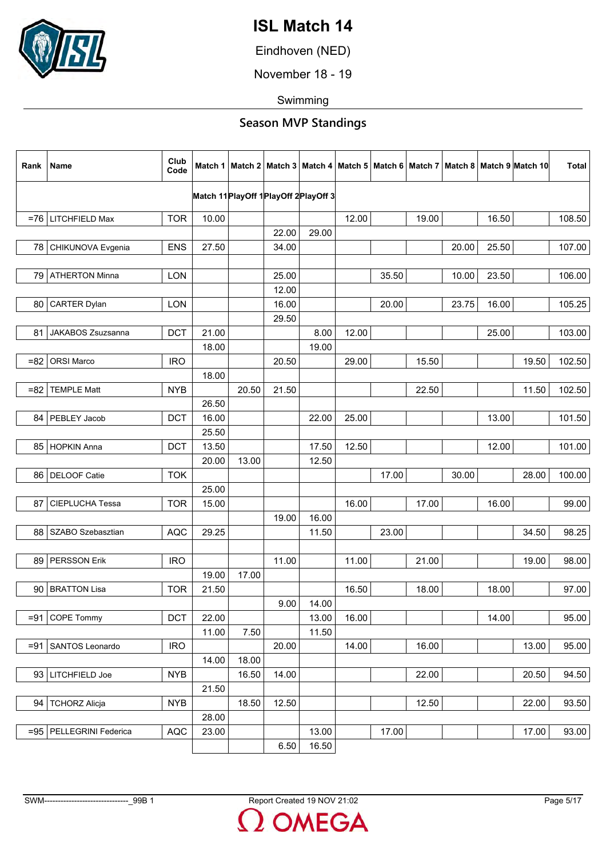

Eindhoven (NED)

November 18 - 19

Swimming

| Rank   | Name                      | Club<br>Code |       |       |                                        |       |       |       |       |       |       | Match 1   Match 2   Match 3   Match 4   Match 5   Match 6   Match 7   Match 8   Match 9  Match 10 | <b>Total</b> |
|--------|---------------------------|--------------|-------|-------|----------------------------------------|-------|-------|-------|-------|-------|-------|---------------------------------------------------------------------------------------------------|--------------|
|        |                           |              |       |       | Match 11 PlayOff 1 PlayOff 2 PlayOff 3 |       |       |       |       |       |       |                                                                                                   |              |
|        |                           |              |       |       |                                        |       |       |       |       |       |       |                                                                                                   |              |
|        | $=76$ LITCHFIELD Max      | <b>TOR</b>   | 10.00 |       |                                        |       | 12.00 |       | 19.00 |       | 16.50 |                                                                                                   | 108.50       |
|        |                           |              |       |       | 22.00                                  | 29.00 |       |       |       |       |       |                                                                                                   |              |
| 78     | CHIKUNOVA Evgenia         | <b>ENS</b>   | 27.50 |       | 34.00                                  |       |       |       |       | 20.00 | 25.50 |                                                                                                   | 107.00       |
|        |                           |              |       |       |                                        |       |       |       |       |       |       |                                                                                                   |              |
|        | 79   ATHERTON Minna       | <b>LON</b>   |       |       | 25.00                                  |       |       | 35.50 |       | 10.00 | 23.50 |                                                                                                   | 106.00       |
|        |                           |              |       |       | 12.00                                  |       |       |       |       |       |       |                                                                                                   |              |
| 80     | CARTER Dylan              | <b>LON</b>   |       |       | 16.00                                  |       |       | 20.00 |       | 23.75 | 16.00 |                                                                                                   | 105.25       |
|        |                           |              |       |       | 29.50                                  |       |       |       |       |       |       |                                                                                                   |              |
| 81     | JAKABOS Zsuzsanna         | <b>DCT</b>   | 21.00 |       |                                        | 8.00  | 12.00 |       |       |       | 25.00 |                                                                                                   | 103.00       |
|        |                           |              | 18.00 |       |                                        | 19.00 |       |       |       |       |       |                                                                                                   |              |
| $= 82$ | <b>ORSI Marco</b>         | <b>IRO</b>   |       |       | 20.50                                  |       | 29.00 |       | 15.50 |       |       | 19.50                                                                                             | 102.50       |
|        |                           |              | 18.00 |       |                                        |       |       |       |       |       |       |                                                                                                   |              |
| $= 82$ | <b>TEMPLE Matt</b>        | <b>NYB</b>   |       | 20.50 | 21.50                                  |       |       |       | 22.50 |       |       | 11.50                                                                                             | 102.50       |
|        |                           |              | 26.50 |       |                                        |       |       |       |       |       |       |                                                                                                   |              |
|        | 84   PEBLEY Jacob         | <b>DCT</b>   | 16.00 |       |                                        | 22.00 | 25.00 |       |       |       | 13.00 |                                                                                                   | 101.50       |
|        |                           |              | 25.50 |       |                                        |       |       |       |       |       |       |                                                                                                   |              |
|        | 85 HOPKIN Anna            | <b>DCT</b>   | 13.50 |       |                                        | 17.50 | 12.50 |       |       |       | 12.00 |                                                                                                   | 101.00       |
|        |                           |              | 20.00 | 13.00 |                                        | 12.50 |       |       |       |       |       |                                                                                                   |              |
| 86     | DELOOF Catie              | <b>TOK</b>   |       |       |                                        |       |       | 17.00 |       | 30.00 |       | 28.00                                                                                             | 100.00       |
|        |                           |              | 25.00 |       |                                        |       |       |       |       |       |       |                                                                                                   |              |
| 87     | CIEPLUCHA Tessa           | <b>TOR</b>   | 15.00 |       |                                        |       | 16.00 |       | 17.00 |       | 16.00 |                                                                                                   | 99.00        |
|        |                           |              |       |       | 19.00                                  | 16.00 |       |       |       |       |       |                                                                                                   |              |
| 88     | SZABO Szebasztian         | <b>AQC</b>   | 29.25 |       |                                        | 11.50 |       | 23.00 |       |       |       | 34.50                                                                                             | 98.25        |
|        |                           |              |       |       |                                        |       |       |       |       |       |       |                                                                                                   |              |
| 89     | PERSSON Erik              | <b>IRO</b>   |       |       | 11.00                                  |       | 11.00 |       | 21.00 |       |       | 19.00                                                                                             | 98.00        |
|        |                           |              | 19.00 | 17.00 |                                        |       |       |       |       |       |       |                                                                                                   |              |
|        |                           | <b>TOR</b>   |       |       |                                        |       |       |       |       |       |       |                                                                                                   | 97.00        |
| 90     | <b>BRATTON Lisa</b>       |              | 21.50 |       |                                        |       | 16.50 |       | 18.00 |       | 18.00 |                                                                                                   |              |
|        |                           |              |       |       | 9.00                                   | 14.00 |       |       |       |       |       |                                                                                                   |              |
| $= 91$ | <b>COPE Tommy</b>         | DCT          | 22.00 |       |                                        | 13.00 | 16.00 |       |       |       | 14.00 |                                                                                                   | 95.00        |
|        |                           |              | 11.00 | 7.50  |                                        | 11.50 |       |       |       |       |       |                                                                                                   |              |
| $= 91$ | SANTOS Leonardo           | <b>IRO</b>   |       |       | 20.00                                  |       | 14.00 |       | 16.00 |       |       | 13.00                                                                                             | 95.00        |
|        |                           |              | 14.00 | 18.00 |                                        |       |       |       |       |       |       |                                                                                                   |              |
|        | 93 LITCHFIELD Joe         | <b>NYB</b>   |       | 16.50 | 14.00                                  |       |       |       | 22.00 |       |       | 20.50                                                                                             | 94.50        |
|        |                           |              | 21.50 |       |                                        |       |       |       |       |       |       |                                                                                                   |              |
|        | 94   TCHORZ Alicja        | <b>NYB</b>   |       | 18.50 | 12.50                                  |       |       |       | 12.50 |       |       | 22.00                                                                                             | 93.50        |
|        |                           |              | 28.00 |       |                                        |       |       |       |       |       |       |                                                                                                   |              |
|        | =95   PELLEGRINI Federica | AQC          | 23.00 |       |                                        | 13.00 |       | 17.00 |       |       |       | 17.00                                                                                             | 93.00        |
|        |                           |              |       |       | 6.50                                   | 16.50 |       |       |       |       |       |                                                                                                   |              |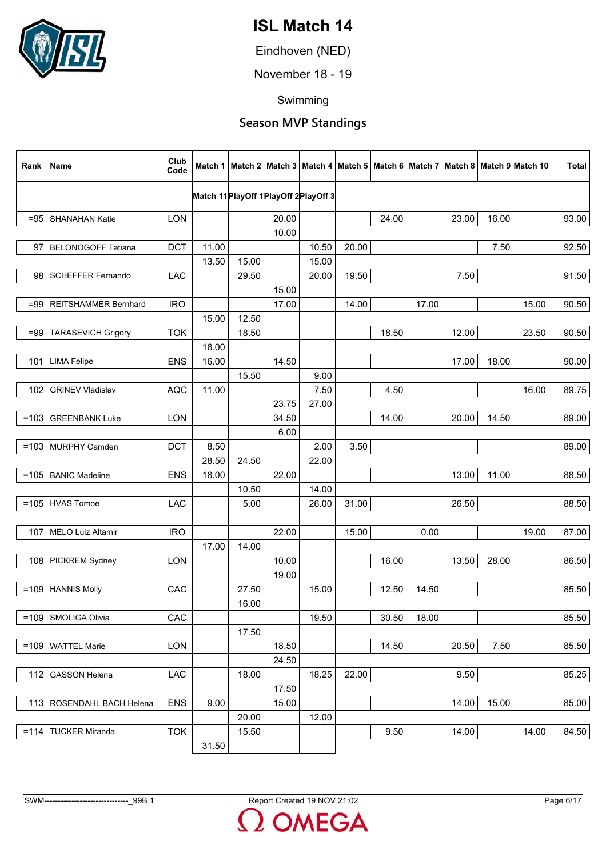

Eindhoven (NED)

November 18 - 19

Swimming

| Rank    | Name                        | Club<br>Code |       |       |       |                                        |       |       |       |       |       | Match 1   Match 2   Match 3   Match 4   Match 5   Match 6   Match 7   Match 8   Match 9   Match 10 | <b>Total</b> |
|---------|-----------------------------|--------------|-------|-------|-------|----------------------------------------|-------|-------|-------|-------|-------|----------------------------------------------------------------------------------------------------|--------------|
|         |                             |              |       |       |       | Match 11 PlayOff 1 PlayOff 2 PlayOff 3 |       |       |       |       |       |                                                                                                    |              |
|         | =95 SHANAHAN Katie          | <b>LON</b>   |       |       | 20.00 |                                        |       | 24.00 |       | 23.00 | 16.00 |                                                                                                    | 93.00        |
|         |                             |              |       |       | 10.00 |                                        |       |       |       |       |       |                                                                                                    |              |
| 97      | <b>BELONOGOFF Tatiana</b>   | <b>DCT</b>   | 11.00 |       |       | 10.50                                  | 20.00 |       |       |       | 7.50  |                                                                                                    | 92.50        |
|         |                             |              | 13.50 | 15.00 |       | 15.00                                  |       |       |       |       |       |                                                                                                    |              |
| 98      | <b>SCHEFFER Fernando</b>    | LAC          |       | 29.50 |       | 20.00                                  | 19.50 |       |       | 7.50  |       |                                                                                                    | 91.50        |
|         |                             |              |       |       | 15.00 |                                        |       |       |       |       |       |                                                                                                    |              |
| $= 99$  | REITSHAMMER Bernhard        | <b>IRO</b>   |       |       | 17.00 |                                        | 14.00 |       | 17.00 |       |       | 15.00                                                                                              | 90.50        |
|         |                             |              | 15.00 | 12.50 |       |                                        |       |       |       |       |       |                                                                                                    |              |
| $= 99$  | <b>TARASEVICH Grigory</b>   | <b>TOK</b>   |       | 18.50 |       |                                        |       | 18.50 |       | 12.00 |       | 23.50                                                                                              | 90.50        |
|         |                             |              | 18.00 |       |       |                                        |       |       |       |       |       |                                                                                                    |              |
|         | 101 LIMA Felipe             | <b>ENS</b>   | 16.00 |       | 14.50 |                                        |       |       |       | 17.00 | 18.00 |                                                                                                    | 90.00        |
|         |                             |              |       | 15.50 |       | 9.00                                   |       |       |       |       |       |                                                                                                    |              |
| 102     | <b>GRINEV Vladislav</b>     | <b>AQC</b>   | 11.00 |       |       | 7.50                                   |       | 4.50  |       |       |       | 16.00                                                                                              | 89.75        |
|         |                             |              |       |       | 23.75 | 27.00                                  |       |       |       |       |       |                                                                                                    |              |
| $=103$  | <b>GREENBANK Luke</b>       | <b>LON</b>   |       |       | 34.50 |                                        |       | 14.00 |       | 20.00 | 14.50 |                                                                                                    | 89.00        |
|         |                             |              |       |       | 6.00  |                                        |       |       |       |       |       |                                                                                                    |              |
|         | $=103$ MURPHY Camden        | <b>DCT</b>   | 8.50  |       |       | 2.00                                   | 3.50  |       |       |       |       |                                                                                                    | 89.00        |
|         |                             |              | 28.50 | 24.50 |       | 22.00                                  |       |       |       |       |       |                                                                                                    |              |
|         | =105   BANIC Madeline       | <b>ENS</b>   | 18.00 |       | 22.00 |                                        |       |       |       | 13.00 | 11.00 |                                                                                                    | 88.50        |
|         |                             |              |       | 10.50 |       | 14.00                                  |       |       |       |       |       |                                                                                                    |              |
|         | $=105$ HVAS Tomoe           | <b>LAC</b>   |       | 5.00  |       | 26.00                                  | 31.00 |       |       | 26.50 |       |                                                                                                    | 88.50        |
|         |                             |              |       |       |       |                                        |       |       |       |       |       |                                                                                                    |              |
| 107     | MELO Luiz Altamir           | <b>IRO</b>   |       |       | 22.00 |                                        | 15.00 |       | 0.00  |       |       | 19.00                                                                                              | 87.00        |
|         |                             |              | 17.00 | 14.00 |       |                                        |       |       |       |       |       |                                                                                                    |              |
|         | 108 PICKREM Sydney          | <b>LON</b>   |       |       | 10.00 |                                        |       | 16.00 |       | 13.50 | 28.00 |                                                                                                    | 86.50        |
|         |                             |              |       |       | 19.00 |                                        |       |       |       |       |       |                                                                                                    |              |
| $=109$  | <b>HANNIS Molly</b>         | CAC          |       | 27.50 |       | 15.00                                  |       | 12.50 | 14.50 |       |       |                                                                                                    | 85.50        |
|         |                             |              |       | 16.00 |       |                                        |       |       |       |       |       |                                                                                                    |              |
| $=109$  | SMOLIGA Olivia              | CAC          |       |       |       | 19.50                                  |       | 30.50 | 18.00 |       |       |                                                                                                    | 85.50        |
|         |                             |              |       | 17.50 |       |                                        |       |       |       |       |       |                                                                                                    |              |
| $=109$  | <b>WATTEL Marie</b>         | <b>LON</b>   |       |       | 18.50 |                                        |       | 14.50 |       | 20.50 | 7.50  |                                                                                                    | 85.50        |
|         |                             |              |       |       | 24.50 |                                        |       |       |       |       |       |                                                                                                    |              |
| 112     | <b>GASSON Helena</b>        | LAC          |       | 18.00 |       | 18.25                                  | 22.00 |       |       | 9.50  |       |                                                                                                    | 85.25        |
|         |                             |              |       |       | 17.50 |                                        |       |       |       |       |       |                                                                                                    |              |
|         | 113   ROSENDAHL BACH Helena | <b>ENS</b>   | 9.00  |       | 15.00 |                                        |       |       |       | 14.00 | 15.00 |                                                                                                    | 85.00        |
|         |                             |              |       | 20.00 |       | 12.00                                  |       |       |       |       |       |                                                                                                    |              |
| $= 114$ | <b>TUCKER Miranda</b>       | <b>TOK</b>   |       | 15.50 |       |                                        |       | 9.50  |       | 14.00 |       | 14.00                                                                                              | 84.50        |
|         |                             |              | 31.50 |       |       |                                        |       |       |       |       |       |                                                                                                    |              |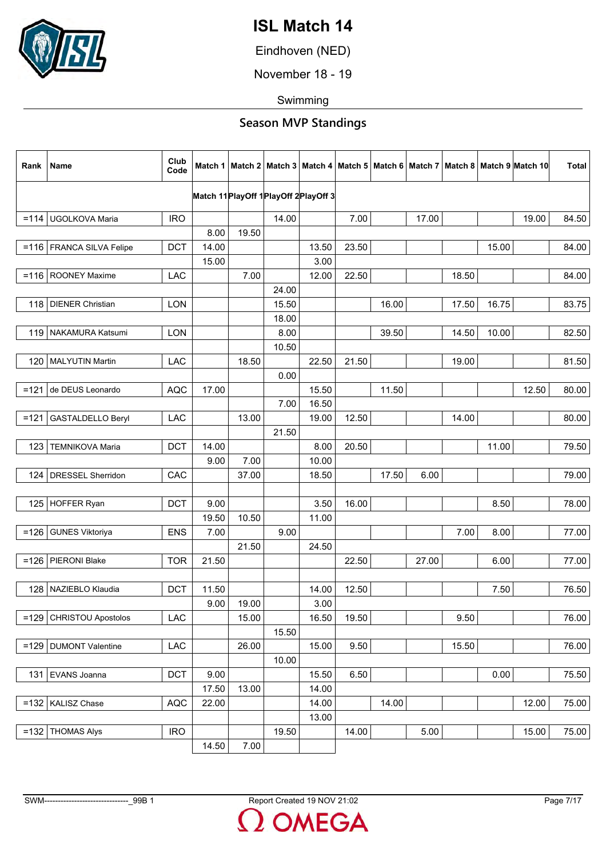

Eindhoven (NED)

November 18 - 19

Swimming

| Rank    | Name                       | Club<br>Code |       |       |       |                                        |       |       |       |       |       | Match 1   Match 2   Match 3   Match 4   Match 5   Match 6   Match 7   Match 8   Match 9   Match 10 | <b>Total</b> |
|---------|----------------------------|--------------|-------|-------|-------|----------------------------------------|-------|-------|-------|-------|-------|----------------------------------------------------------------------------------------------------|--------------|
|         |                            |              |       |       |       | Match 11 PlayOff 1 PlayOff 2 PlayOff 3 |       |       |       |       |       |                                                                                                    |              |
|         |                            |              |       |       |       |                                        |       |       |       |       |       |                                                                                                    |              |
|         | =114   UGOLKOVA Maria      | <b>IRO</b>   | 8.00  | 19.50 | 14.00 |                                        | 7.00  |       | 17.00 |       |       | 19.00                                                                                              | 84.50        |
|         |                            |              |       |       |       |                                        |       |       |       |       |       |                                                                                                    |              |
|         | =116   FRANCA SILVA Felipe | <b>DCT</b>   | 14.00 |       |       | 13.50<br>3.00                          | 23.50 |       |       |       | 15.00 |                                                                                                    | 84.00        |
| $= 116$ |                            | LAC          | 15.00 | 7.00  |       | 12.00                                  | 22.50 |       |       | 18.50 |       |                                                                                                    | 84.00        |
|         | <b>ROONEY Maxime</b>       |              |       |       | 24.00 |                                        |       |       |       |       |       |                                                                                                    |              |
|         | 118   DIENER Christian     | <b>LON</b>   |       |       | 15.50 |                                        |       | 16.00 |       | 17.50 | 16.75 |                                                                                                    | 83.75        |
|         |                            |              |       |       | 18.00 |                                        |       |       |       |       |       |                                                                                                    |              |
|         | 119 NAKAMURA Katsumi       | <b>LON</b>   |       |       | 8.00  |                                        |       | 39.50 |       | 14.50 | 10.00 |                                                                                                    | 82.50        |
|         |                            |              |       |       | 10.50 |                                        |       |       |       |       |       |                                                                                                    |              |
| 120     | <b>MALYUTIN Martin</b>     | <b>LAC</b>   |       | 18.50 |       | 22.50                                  | 21.50 |       |       | 19.00 |       |                                                                                                    | 81.50        |
|         |                            |              |       |       | 0.00  |                                        |       |       |       |       |       |                                                                                                    |              |
| $=121$  | de DEUS Leonardo           | <b>AQC</b>   | 17.00 |       |       | 15.50                                  |       | 11.50 |       |       |       | 12.50                                                                                              | 80.00        |
|         |                            |              |       |       | 7.00  | 16.50                                  |       |       |       |       |       |                                                                                                    |              |
| $=121$  | <b>GASTALDELLO Beryl</b>   | <b>LAC</b>   |       | 13.00 |       | 19.00                                  | 12.50 |       |       | 14.00 |       |                                                                                                    | 80.00        |
|         |                            |              |       |       | 21.50 |                                        |       |       |       |       |       |                                                                                                    |              |
| 123     | <b>TEMNIKOVA Maria</b>     | <b>DCT</b>   | 14.00 |       |       | 8.00                                   | 20.50 |       |       |       | 11.00 |                                                                                                    | 79.50        |
|         |                            |              | 9.00  | 7.00  |       | 10.00                                  |       |       |       |       |       |                                                                                                    |              |
| 124     | <b>DRESSEL Sherridon</b>   | CAC          |       | 37.00 |       | 18.50                                  |       | 17.50 | 6.00  |       |       |                                                                                                    | 79.00        |
|         |                            |              |       |       |       |                                        |       |       |       |       |       |                                                                                                    |              |
|         | 125 HOFFER Ryan            | <b>DCT</b>   | 9.00  |       |       | 3.50                                   | 16.00 |       |       |       | 8.50  |                                                                                                    | 78.00        |
|         |                            |              | 19.50 | 10.50 |       | 11.00                                  |       |       |       |       |       |                                                                                                    |              |
| $=126$  | <b>GUNES Viktoriya</b>     | <b>ENS</b>   | 7.00  |       | 9.00  |                                        |       |       |       | 7.00  | 8.00  |                                                                                                    | 77.00        |
|         |                            |              |       | 21.50 |       | 24.50                                  |       |       |       |       |       |                                                                                                    |              |
|         | =126   PIERONI Blake       | <b>TOR</b>   | 21.50 |       |       |                                        | 22.50 |       | 27.00 |       | 6.00  |                                                                                                    | 77.00        |
|         |                            |              |       |       |       |                                        |       |       |       |       |       |                                                                                                    |              |
| 128     | NAZIEBLO Klaudia           | <b>DCT</b>   | 11.50 |       |       | 14.00                                  | 12.50 |       |       |       | 7.50  |                                                                                                    | 76.50        |
|         |                            |              | 9.00  | 19.00 |       | 3.00                                   |       |       |       |       |       |                                                                                                    |              |
| $=129$  | <b>CHRISTOU Apostolos</b>  | LAC          |       | 15.00 |       | 16.50                                  | 19.50 |       |       | 9.50  |       |                                                                                                    | 76.00        |
|         |                            |              |       |       | 15.50 |                                        |       |       |       |       |       |                                                                                                    |              |
|         | =129   DUMONT Valentine    | LAC          |       | 26.00 |       | 15.00                                  | 9.50  |       |       | 15.50 |       |                                                                                                    | 76.00        |
|         |                            |              |       |       | 10.00 |                                        |       |       |       |       |       |                                                                                                    |              |
| 131     | EVANS Joanna               | <b>DCT</b>   | 9.00  |       |       | 15.50                                  | 6.50  |       |       |       | 0.00  |                                                                                                    | 75.50        |
|         |                            |              | 17.50 | 13.00 |       | 14.00                                  |       |       |       |       |       |                                                                                                    |              |
|         | =132   KALISZ Chase        | <b>AQC</b>   | 22.00 |       |       | 14.00                                  |       | 14.00 |       |       |       | 12.00                                                                                              | 75.00        |
|         |                            |              |       |       |       | 13.00                                  |       |       |       |       |       |                                                                                                    |              |
|         | $=132$ THOMAS Alys         | <b>IRO</b>   |       |       | 19.50 |                                        | 14.00 |       | 5.00  |       |       | 15.00                                                                                              | 75.00        |
|         |                            |              | 14.50 | 7.00  |       |                                        |       |       |       |       |       |                                                                                                    |              |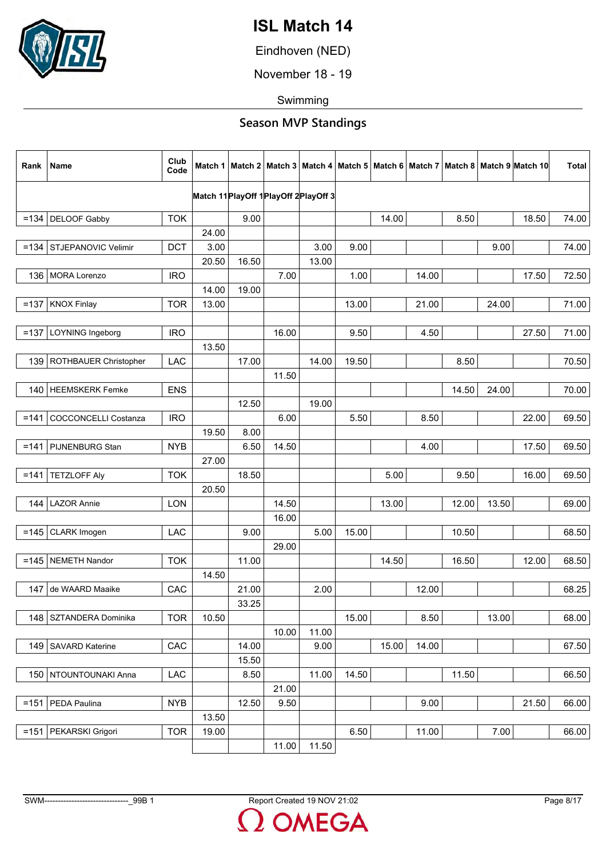

Eindhoven (NED)

November 18 - 19

Swimming

| Rank    | <b>Name</b>                 | Club<br>Code |       |       |       |                                        |       |       |       |       |       | Match 1   Match 2   Match 3   Match 4   Match 5   Match 6   Match 7   Match 8   Match 9   Match 10 | <b>Total</b> |
|---------|-----------------------------|--------------|-------|-------|-------|----------------------------------------|-------|-------|-------|-------|-------|----------------------------------------------------------------------------------------------------|--------------|
|         |                             |              |       |       |       | Match 11 PlayOff 1 PlayOff 2 PlayOff 3 |       |       |       |       |       |                                                                                                    |              |
| $= 134$ | <b>DELOOF Gabby</b>         | <b>TOK</b>   |       | 9.00  |       |                                        |       | 14.00 |       | 8.50  |       | 18.50                                                                                              | 74.00        |
|         |                             |              | 24.00 |       |       |                                        |       |       |       |       |       |                                                                                                    |              |
| $= 134$ | STJEPANOVIC Velimir         | <b>DCT</b>   | 3.00  |       |       | 3.00                                   | 9.00  |       |       |       | 9.00  |                                                                                                    | 74.00        |
|         |                             |              | 20.50 | 16.50 |       | 13.00                                  |       |       |       |       |       |                                                                                                    |              |
| 136     | <b>MORA Lorenzo</b>         | <b>IRO</b>   |       |       | 7.00  |                                        | 1.00  |       | 14.00 |       |       | 17.50                                                                                              | 72.50        |
|         |                             |              | 14.00 | 19.00 |       |                                        |       |       |       |       |       |                                                                                                    |              |
| $=137$  | <b>KNOX Finlay</b>          | <b>TOR</b>   | 13.00 |       |       |                                        | 13.00 |       | 21.00 |       | 24.00 |                                                                                                    | 71.00        |
|         |                             |              |       |       |       |                                        |       |       |       |       |       |                                                                                                    |              |
| $=137$  | LOYNING Ingeborg            | <b>IRO</b>   |       |       | 16.00 |                                        | 9.50  |       | 4.50  |       |       | 27.50                                                                                              | 71.00        |
|         |                             |              | 13.50 |       |       |                                        |       |       |       |       |       |                                                                                                    |              |
| 139     | ROTHBAUER Christopher       | <b>LAC</b>   |       | 17.00 |       | 14.00                                  | 19.50 |       |       | 8.50  |       |                                                                                                    | 70.50        |
|         |                             |              |       |       | 11.50 |                                        |       |       |       |       |       |                                                                                                    |              |
|         | 140   HEEMSKERK Femke       | <b>ENS</b>   |       |       |       |                                        |       |       |       | 14.50 | 24.00 |                                                                                                    | 70.00        |
|         |                             |              |       | 12.50 |       | 19.00                                  |       |       |       |       |       |                                                                                                    |              |
| $=141$  | <b>COCCONCELLI Costanza</b> | <b>IRO</b>   |       |       | 6.00  |                                        | 5.50  |       | 8.50  |       |       | 22.00                                                                                              | 69.50        |
|         |                             |              | 19.50 | 8.00  |       |                                        |       |       |       |       |       |                                                                                                    |              |
| $=141$  | PIJNENBURG Stan             | <b>NYB</b>   |       | 6.50  | 14.50 |                                        |       |       | 4.00  |       |       | 17.50                                                                                              | 69.50        |
| $= 141$ | <b>TETZLOFF Aly</b>         | <b>TOK</b>   | 27.00 | 18.50 |       |                                        |       | 5.00  |       | 9.50  |       | 16.00                                                                                              | 69.50        |
|         |                             |              | 20.50 |       |       |                                        |       |       |       |       |       |                                                                                                    |              |
|         | 144   LAZOR Annie           | <b>LON</b>   |       |       | 14.50 |                                        |       | 13.00 |       | 12.00 | 13.50 |                                                                                                    | 69.00        |
|         |                             |              |       |       | 16.00 |                                        |       |       |       |       |       |                                                                                                    |              |
| $= 145$ | CLARK Imogen                | <b>LAC</b>   |       | 9.00  |       | 5.00                                   | 15.00 |       |       | 10.50 |       |                                                                                                    | 68.50        |
|         |                             |              |       |       | 29.00 |                                        |       |       |       |       |       |                                                                                                    |              |
|         | $=145$ NEMETH Nandor        | <b>TOK</b>   |       | 11.00 |       |                                        |       | 14.50 |       | 16.50 |       | 12.00                                                                                              | 68.50        |
|         |                             |              | 14.50 |       |       |                                        |       |       |       |       |       |                                                                                                    |              |
| 147     | de WAARD Maaike             | CAC          |       | 21.00 |       | 2.00                                   |       |       | 12.00 |       |       |                                                                                                    | 68.25        |
|         |                             |              |       | 33.25 |       |                                        |       |       |       |       |       |                                                                                                    |              |
| 148     | SZTANDERA Dominika          | <b>TOR</b>   | 10.50 |       |       |                                        | 15.00 |       | 8.50  |       | 13.00 |                                                                                                    | 68.00        |
|         |                             |              |       |       | 10.00 | 11.00                                  |       |       |       |       |       |                                                                                                    |              |
| 149     | <b>SAVARD Katerine</b>      | CAC          |       | 14.00 |       | 9.00                                   |       | 15.00 | 14.00 |       |       |                                                                                                    | 67.50        |
|         |                             |              |       | 15.50 |       |                                        |       |       |       |       |       |                                                                                                    |              |
| 150     | NTOUNTOUNAKI Anna           | LAC          |       | 8.50  |       | 11.00                                  | 14.50 |       |       | 11.50 |       |                                                                                                    | 66.50        |
|         |                             |              |       |       | 21.00 |                                        |       |       |       |       |       |                                                                                                    |              |
|         | $=151$ PEDA Paulina         | <b>NYB</b>   |       | 12.50 | 9.50  |                                        |       |       | 9.00  |       |       | 21.50                                                                                              | 66.00        |
|         |                             |              | 13.50 |       |       |                                        |       |       |       |       |       |                                                                                                    |              |
| $= 151$ | PEKARSKI Grigori            | <b>TOR</b>   | 19.00 |       |       |                                        | 6.50  |       | 11.00 |       | 7.00  |                                                                                                    | 66.00        |
|         |                             |              |       |       | 11.00 | 11.50                                  |       |       |       |       |       |                                                                                                    |              |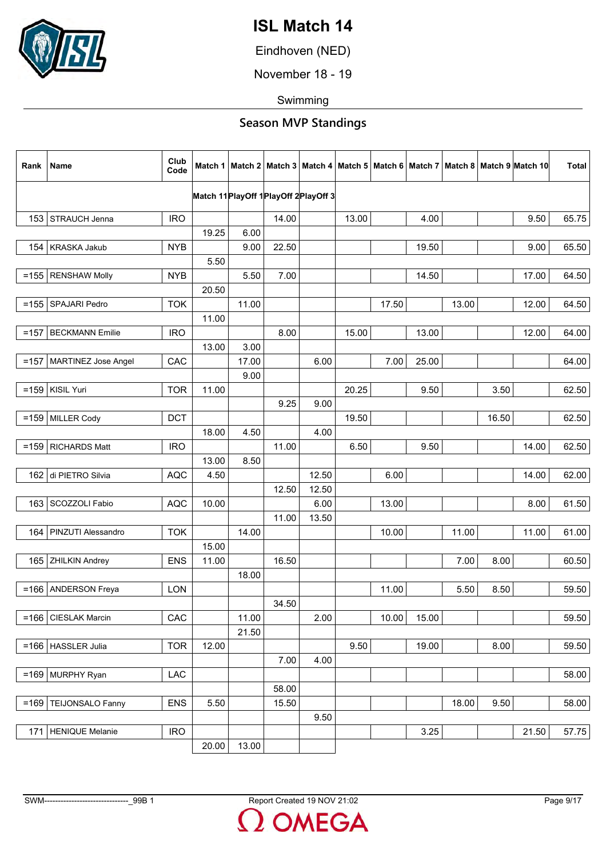

Eindhoven (NED)

November 18 - 19

Swimming

| Rank    | Name                   | Club<br>Code |       |       |                                        |       |       |       |       |       |       | Match 1   Match 2   Match 3   Match 4   Match 5   Match 6   Match 7   Match 8   Match 9   Match 10 | <b>Total</b> |
|---------|------------------------|--------------|-------|-------|----------------------------------------|-------|-------|-------|-------|-------|-------|----------------------------------------------------------------------------------------------------|--------------|
|         |                        |              |       |       | Match 11 PlayOff 1 PlayOff 2 PlayOff 3 |       |       |       |       |       |       |                                                                                                    |              |
|         |                        |              |       |       |                                        |       |       |       |       |       |       |                                                                                                    |              |
|         | 153 STRAUCH Jenna      | <b>IRO</b>   |       |       | 14.00                                  |       | 13.00 |       | 4.00  |       |       | 9.50                                                                                               | 65.75        |
|         |                        |              | 19.25 | 6.00  |                                        |       |       |       |       |       |       |                                                                                                    |              |
| 154     | KRASKA Jakub           | <b>NYB</b>   |       | 9.00  | 22.50                                  |       |       |       | 19.50 |       |       | 9.00                                                                                               | 65.50        |
|         |                        |              | 5.50  |       |                                        |       |       |       |       |       |       |                                                                                                    |              |
| $= 155$ | <b>RENSHAW Molly</b>   | <b>NYB</b>   |       | 5.50  | 7.00                                   |       |       |       | 14.50 |       |       | 17.00                                                                                              | 64.50        |
|         |                        |              | 20.50 |       |                                        |       |       |       |       |       |       |                                                                                                    |              |
|         | =155   SPAJARI Pedro   | <b>TOK</b>   |       | 11.00 |                                        |       |       | 17.50 |       | 13.00 |       | 12.00                                                                                              | 64.50        |
|         |                        |              | 11.00 |       |                                        |       |       |       |       |       |       |                                                                                                    |              |
| $=157$  | <b>BECKMANN Emilie</b> | <b>IRO</b>   |       |       | 8.00                                   |       | 15.00 |       | 13.00 |       |       | 12.00                                                                                              | 64.00        |
|         |                        |              | 13.00 | 3.00  |                                        |       |       |       |       |       |       |                                                                                                    |              |
| $=157$  | MARTINEZ Jose Angel    | CAC          |       | 17.00 |                                        | 6.00  |       | 7.00  | 25.00 |       |       |                                                                                                    | 64.00        |
|         |                        |              |       | 9.00  |                                        |       |       |       |       |       |       |                                                                                                    |              |
|         | $=$ 159   KISIL Yuri   | <b>TOR</b>   | 11.00 |       |                                        |       | 20.25 |       | 9.50  |       | 3.50  |                                                                                                    | 62.50        |
|         |                        |              |       |       | 9.25                                   | 9.00  |       |       |       |       |       |                                                                                                    |              |
|         | $=159$ MILLER Cody     | <b>DCT</b>   |       |       |                                        |       | 19.50 |       |       |       | 16.50 |                                                                                                    | 62.50        |
|         |                        |              | 18.00 | 4.50  |                                        | 4.00  |       |       |       |       |       |                                                                                                    |              |
| $=159$  | <b>RICHARDS Matt</b>   | <b>IRO</b>   |       |       | 11.00                                  |       | 6.50  |       | 9.50  |       |       | 14.00                                                                                              | 62.50        |
|         |                        |              | 13.00 | 8.50  |                                        |       |       |       |       |       |       |                                                                                                    |              |
|         | 162 di PIETRO Silvia   | <b>AQC</b>   | 4.50  |       |                                        | 12.50 |       | 6.00  |       |       |       | 14.00                                                                                              | 62.00        |
|         |                        |              |       |       | 12.50                                  | 12.50 |       |       |       |       |       |                                                                                                    |              |
| 163     | SCOZZOLI Fabio         | <b>AQC</b>   | 10.00 |       |                                        | 6.00  |       | 13.00 |       |       |       | 8.00                                                                                               | 61.50        |
|         |                        |              |       |       | 11.00                                  | 13.50 |       |       |       |       |       |                                                                                                    |              |
| 164     | PINZUTI Alessandro     | <b>TOK</b>   |       | 14.00 |                                        |       |       | 10.00 |       | 11.00 |       | 11.00                                                                                              | 61.00        |
|         |                        |              | 15.00 |       |                                        |       |       |       |       |       |       |                                                                                                    |              |
|         |                        |              |       |       |                                        |       |       |       |       |       |       |                                                                                                    |              |
|         | 165 ZHILKIN Andrey     | <b>ENS</b>   | 11.00 |       | 16.50                                  |       |       |       |       | 7.00  | 8.00  |                                                                                                    | 60.50        |
|         |                        |              |       | 18.00 |                                        |       |       |       |       |       |       |                                                                                                    |              |
| $= 166$ | <b>ANDERSON Freya</b>  | <b>LON</b>   |       |       |                                        |       |       | 11.00 |       | 5.50  | 8.50  |                                                                                                    | 59.50        |
|         |                        |              |       |       | 34.50                                  |       |       |       |       |       |       |                                                                                                    |              |
|         | =166   CIESLAK Marcin  | CAC          |       | 11.00 |                                        | 2.00  |       | 10.00 | 15.00 |       |       |                                                                                                    | 59.50        |
|         |                        |              |       | 21.50 |                                        |       |       |       |       |       |       |                                                                                                    |              |
|         | $=166$   HASSLER Julia | <b>TOR</b>   | 12.00 |       |                                        |       | 9.50  |       | 19.00 |       | 8.00  |                                                                                                    | 59.50        |
|         |                        |              |       |       | 7.00                                   | 4.00  |       |       |       |       |       |                                                                                                    |              |
|         | $=169$ MURPHY Ryan     | LAC          |       |       |                                        |       |       |       |       |       |       |                                                                                                    | 58.00        |
|         |                        |              |       |       | 58.00                                  |       |       |       |       |       |       |                                                                                                    |              |
| $=169$  | TEIJONSALO Fanny       | <b>ENS</b>   | 5.50  |       | 15.50                                  |       |       |       |       | 18.00 | 9.50  |                                                                                                    | 58.00        |
|         |                        |              |       |       |                                        | 9.50  |       |       |       |       |       |                                                                                                    |              |
| 171     | HENIQUE Melanie        | <b>IRO</b>   |       |       |                                        |       |       |       | 3.25  |       |       | 21.50                                                                                              | 57.75        |
|         |                        |              | 20.00 | 13.00 |                                        |       |       |       |       |       |       |                                                                                                    |              |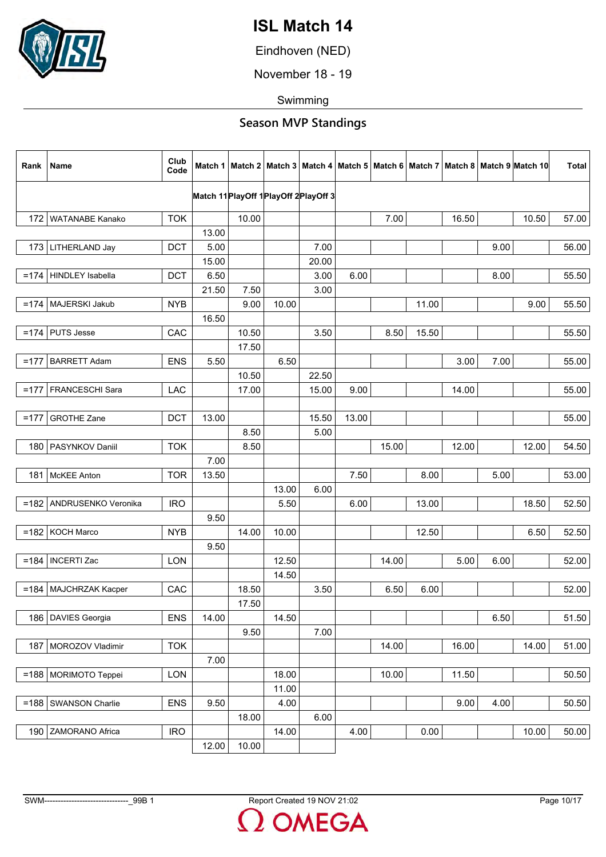

Eindhoven (NED)

November 18 - 19

Swimming

| Rank   | Name                       | Club<br>Code |       |       |       |                                        |       |       |       |       |      | Match 1   Match 2   Match 3   Match 4   Match 5   Match 6   Match 7   Match 8   Match 9  Match 10 | <b>Total</b> |
|--------|----------------------------|--------------|-------|-------|-------|----------------------------------------|-------|-------|-------|-------|------|---------------------------------------------------------------------------------------------------|--------------|
|        |                            |              |       |       |       | Match 11 PlayOff 1 PlayOff 2 PlayOff 3 |       |       |       |       |      |                                                                                                   |              |
|        |                            |              |       |       |       |                                        |       |       |       |       |      |                                                                                                   |              |
| 172    | WATANABE Kanako            | <b>TOK</b>   |       | 10.00 |       |                                        |       | 7.00  |       | 16.50 |      | 10.50                                                                                             | 57.00        |
|        |                            |              | 13.00 |       |       |                                        |       |       |       |       |      |                                                                                                   |              |
|        | 173   LITHERLAND Jay       | <b>DCT</b>   | 5.00  |       |       | 7.00                                   |       |       |       |       | 9.00 |                                                                                                   | 56.00        |
|        |                            |              | 15.00 |       |       | 20.00                                  |       |       |       |       |      |                                                                                                   |              |
| $=174$ | <b>HINDLEY</b> Isabella    | <b>DCT</b>   | 6.50  |       |       | 3.00                                   | 6.00  |       |       |       | 8.00 |                                                                                                   | 55.50        |
|        |                            |              | 21.50 | 7.50  |       | 3.00                                   |       |       |       |       |      |                                                                                                   |              |
| $=174$ | MAJERSKI Jakub             | <b>NYB</b>   |       | 9.00  | 10.00 |                                        |       |       | 11.00 |       |      | 9.00                                                                                              | 55.50        |
|        |                            |              | 16.50 |       |       |                                        |       |       |       |       |      |                                                                                                   |              |
| $=174$ | <b>PUTS Jesse</b>          | CAC          |       | 10.50 |       | 3.50                                   |       | 8.50  | 15.50 |       |      |                                                                                                   | 55.50        |
|        |                            |              |       | 17.50 |       |                                        |       |       |       |       |      |                                                                                                   |              |
| $=177$ | <b>BARRETT Adam</b>        | <b>ENS</b>   | 5.50  |       | 6.50  |                                        |       |       |       | 3.00  | 7.00 |                                                                                                   | 55.00        |
|        |                            |              |       | 10.50 |       | 22.50                                  |       |       |       |       |      |                                                                                                   |              |
| $=177$ | FRANCESCHI Sara            | LAC          |       | 17.00 |       | 15.00                                  | 9.00  |       |       | 14.00 |      |                                                                                                   | 55.00        |
|        |                            |              |       |       |       |                                        |       |       |       |       |      |                                                                                                   |              |
| $=177$ | <b>GROTHE Zane</b>         | <b>DCT</b>   | 13.00 |       |       | 15.50                                  | 13.00 |       |       |       |      |                                                                                                   | 55.00        |
|        |                            |              |       | 8.50  |       | 5.00                                   |       |       |       |       |      |                                                                                                   |              |
|        | 180   PASYNKOV Daniil      | <b>TOK</b>   |       | 8.50  |       |                                        |       | 15.00 |       | 12.00 |      | 12.00                                                                                             | 54.50        |
|        |                            |              | 7.00  |       |       |                                        |       |       |       |       |      |                                                                                                   |              |
|        | 181   McKEE Anton          | <b>TOR</b>   | 13.50 |       |       |                                        | 7.50  |       | 8.00  |       | 5.00 |                                                                                                   | 53.00        |
|        |                            |              |       |       | 13.00 | 6.00                                   |       |       |       |       |      |                                                                                                   |              |
|        | =182   ANDRUSENKO Veronika | <b>IRO</b>   |       |       | 5.50  |                                        | 6.00  |       | 13.00 |       |      | 18.50                                                                                             | 52.50        |
|        |                            |              | 9.50  |       |       |                                        |       |       |       |       |      |                                                                                                   |              |
|        | $=182$ KOCH Marco          | <b>NYB</b>   |       | 14.00 | 10.00 |                                        |       |       | 12.50 |       |      | 6.50                                                                                              | 52.50        |
|        |                            |              | 9.50  |       |       |                                        |       |       |       |       |      |                                                                                                   |              |
|        | $=$ 184   INCERTI Zac      | <b>LON</b>   |       |       | 12.50 |                                        |       | 14.00 |       | 5.00  | 6.00 |                                                                                                   | 52.00        |
|        |                            |              |       |       | 14.50 |                                        |       |       |       |       |      |                                                                                                   |              |
|        | =184   MAJCHRZAK Kacper    | CAC          |       | 18.50 |       | 3.50                                   |       | 6.50  | 6.00  |       |      |                                                                                                   | 52.00        |
|        |                            |              |       | 17.50 |       |                                        |       |       |       |       |      |                                                                                                   |              |
|        |                            |              |       |       |       |                                        |       |       |       |       |      |                                                                                                   |              |
|        | 186   DAVIES Georgia       | <b>ENS</b>   | 14.00 |       | 14.50 |                                        |       |       |       |       | 6.50 |                                                                                                   | 51.50        |
|        |                            |              |       | 9.50  |       | 7.00                                   |       |       |       |       |      |                                                                                                   |              |
| 187    | MOROZOV Vladimir           | <b>TOK</b>   |       |       |       |                                        |       | 14.00 |       | 16.00 |      | 14.00                                                                                             | 51.00        |
|        |                            |              | 7.00  |       |       |                                        |       |       |       |       |      |                                                                                                   |              |
|        | $=188$ MORIMOTO Teppei     | LON          |       |       | 18.00 |                                        |       | 10.00 |       | 11.50 |      |                                                                                                   | 50.50        |
|        |                            |              |       |       | 11.00 |                                        |       |       |       |       |      |                                                                                                   |              |
|        | =188   SWANSON Charlie     | <b>ENS</b>   | 9.50  |       | 4.00  |                                        |       |       |       | 9.00  | 4.00 |                                                                                                   | 50.50        |
|        |                            |              |       | 18.00 |       | 6.00                                   |       |       |       |       |      |                                                                                                   |              |
| 190    | ZAMORANO Africa            | <b>IRO</b>   |       |       | 14.00 |                                        | 4.00  |       | 0.00  |       |      | 10.00                                                                                             | 50.00        |
|        |                            |              | 12.00 | 10.00 |       |                                        |       |       |       |       |      |                                                                                                   |              |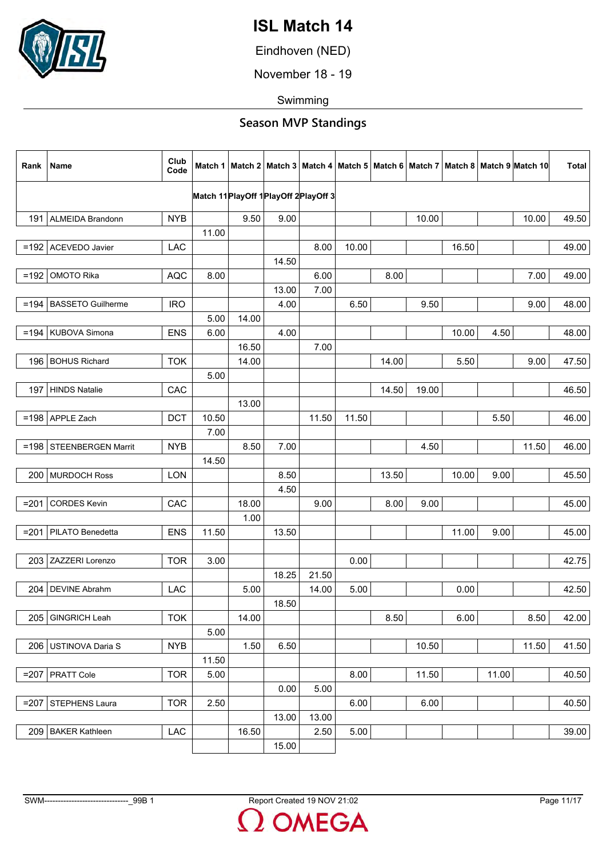

Eindhoven (NED)

November 18 - 19

Swimming

| Rank    | Name                     | Club<br>Code |       |       |       |                                        |       |       |       |       |       | Match 1   Match 2   Match 3   Match 4   Match 5   Match 6   Match 7   Match 8   Match 9  Match 10 | <b>Total</b> |
|---------|--------------------------|--------------|-------|-------|-------|----------------------------------------|-------|-------|-------|-------|-------|---------------------------------------------------------------------------------------------------|--------------|
|         |                          |              |       |       |       | Match 11 PlayOff 1 PlayOff 2 PlayOff 3 |       |       |       |       |       |                                                                                                   |              |
|         |                          |              |       |       |       |                                        |       |       |       |       |       |                                                                                                   |              |
| 191     | <b>ALMEIDA Brandonn</b>  | <b>NYB</b>   |       | 9.50  | 9.00  |                                        |       |       | 10.00 |       |       | 10.00                                                                                             | 49.50        |
|         |                          |              | 11.00 |       |       |                                        |       |       |       |       |       |                                                                                                   |              |
|         | =192 ACEVEDO Javier      | <b>LAC</b>   |       |       |       | 8.00                                   | 10.00 |       |       | 16.50 |       |                                                                                                   | 49.00        |
|         |                          |              |       |       | 14.50 |                                        |       |       |       |       |       |                                                                                                   |              |
| $=192$  | <b>OMOTO Rika</b>        | <b>AQC</b>   | 8.00  |       |       | 6.00                                   |       | 8.00  |       |       |       | 7.00                                                                                              | 49.00        |
|         |                          |              |       |       | 13.00 | 7.00                                   |       |       |       |       |       |                                                                                                   |              |
| $=194$  | <b>BASSETO Guilherme</b> | <b>IRO</b>   |       |       | 4.00  |                                        | 6.50  |       | 9.50  |       |       | 9.00                                                                                              | 48.00        |
|         |                          |              | 5.00  | 14.00 |       |                                        |       |       |       |       |       |                                                                                                   |              |
|         | =194   KUBOVA Simona     | <b>ENS</b>   | 6.00  |       | 4.00  |                                        |       |       |       | 10.00 | 4.50  |                                                                                                   | 48.00        |
|         |                          |              |       | 16.50 |       | 7.00                                   |       |       |       |       |       |                                                                                                   |              |
| 196     | <b>BOHUS Richard</b>     | <b>TOK</b>   |       | 14.00 |       |                                        |       | 14.00 |       | 5.50  |       | 9.00                                                                                              | 47.50        |
|         |                          |              | 5.00  |       |       |                                        |       |       |       |       |       |                                                                                                   |              |
|         | 197 HINDS Natalie        | CAC          |       |       |       |                                        |       | 14.50 | 19.00 |       |       |                                                                                                   | 46.50        |
|         |                          |              |       | 13.00 |       |                                        |       |       |       |       |       |                                                                                                   |              |
| $= 198$ | APPLE Zach               | <b>DCT</b>   | 10.50 |       |       | 11.50                                  | 11.50 |       |       |       | 5.50  |                                                                                                   | 46.00        |
|         |                          |              | 7.00  |       |       |                                        |       |       |       |       |       |                                                                                                   |              |
| $=198$  | STEENBERGEN Marrit       | <b>NYB</b>   |       | 8.50  | 7.00  |                                        |       |       | 4.50  |       |       | 11.50                                                                                             | 46.00        |
|         |                          |              | 14.50 |       |       |                                        |       |       |       |       |       |                                                                                                   |              |
|         | 200 MURDOCH Ross         | <b>LON</b>   |       |       | 8.50  |                                        |       | 13.50 |       | 10.00 | 9.00  |                                                                                                   | 45.50        |
|         |                          |              |       |       | 4.50  |                                        |       |       |       |       |       |                                                                                                   |              |
| $= 201$ | <b>CORDES Kevin</b>      | CAC          |       | 18.00 |       | 9.00                                   |       | 8.00  | 9.00  |       |       |                                                                                                   | 45.00        |
|         |                          |              |       | 1.00  |       |                                        |       |       |       |       |       |                                                                                                   |              |
|         | =201   PILATO Benedetta  | <b>ENS</b>   | 11.50 |       | 13.50 |                                        |       |       |       | 11.00 | 9.00  |                                                                                                   | 45.00        |
|         |                          |              |       |       |       |                                        |       |       |       |       |       |                                                                                                   |              |
| 203     | ZAZZERI Lorenzo          | <b>TOR</b>   | 3.00  |       |       |                                        | 0.00  |       |       |       |       |                                                                                                   | 42.75        |
|         |                          |              |       |       | 18.25 | 21.50                                  |       |       |       |       |       |                                                                                                   |              |
| 204     | <b>DEVINE Abrahm</b>     | <b>LAC</b>   |       | 5.00  |       | 14.00                                  | 5.00  |       |       | 0.00  |       |                                                                                                   | 42.50        |
|         |                          |              |       |       | 18.50 |                                        |       |       |       |       |       |                                                                                                   |              |
| 205     | GINGRICH Leah            | <b>TOK</b>   |       | 14.00 |       |                                        |       | 8.50  |       | 6.00  |       | 8.50                                                                                              | 42.00        |
|         |                          |              | 5.00  |       |       |                                        |       |       |       |       |       |                                                                                                   |              |
|         | 206   USTINOVA Daria S   | <b>NYB</b>   |       | 1.50  | 6.50  |                                        |       |       | 10.50 |       |       | 11.50                                                                                             | 41.50        |
|         |                          |              | 11.50 |       |       |                                        |       |       |       |       |       |                                                                                                   |              |
| $=207$  | <b>PRATT Cole</b>        | <b>TOR</b>   | 5.00  |       |       |                                        | 8.00  |       | 11.50 |       | 11.00 |                                                                                                   | 40.50        |
|         |                          |              |       |       | 0.00  | 5.00                                   |       |       |       |       |       |                                                                                                   |              |
|         | =207 STEPHENS Laura      | <b>TOR</b>   | 2.50  |       |       |                                        | 6.00  |       | 6.00  |       |       |                                                                                                   | 40.50        |
|         |                          |              |       |       | 13.00 | 13.00                                  |       |       |       |       |       |                                                                                                   |              |
| 209     | <b>BAKER Kathleen</b>    | LAC          |       | 16.50 |       | 2.50                                   | 5.00  |       |       |       |       |                                                                                                   | 39.00        |
|         |                          |              |       |       | 15.00 |                                        |       |       |       |       |       |                                                                                                   |              |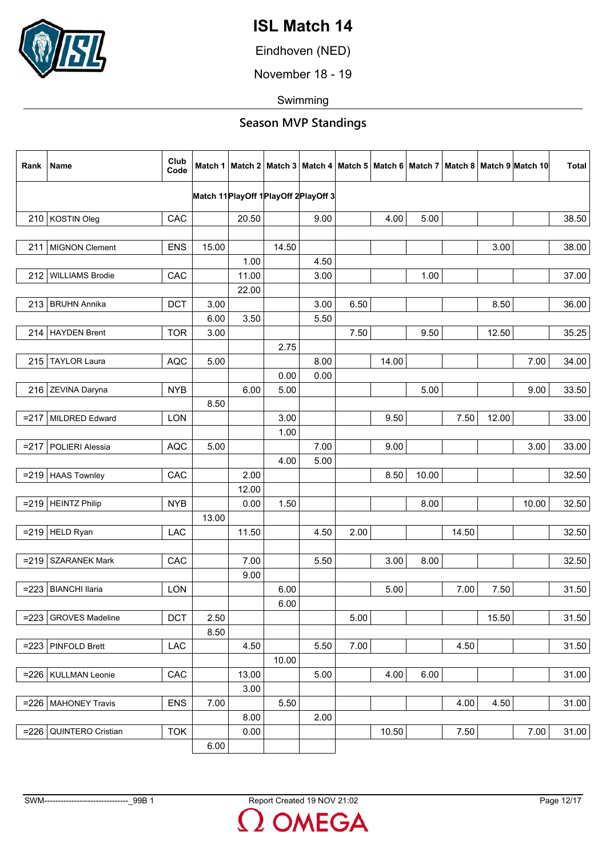

Eindhoven (NED)

November 18 - 19

Swimming

| Rank    | Name                     | Club<br>Code |                                        |       |       |      |      |       |       |       |       | Match 1   Match 2   Match 3   Match 4   Match 5   Match 6   Match 7   Match 8   Match 9  Match 10 | <b>Total</b> |
|---------|--------------------------|--------------|----------------------------------------|-------|-------|------|------|-------|-------|-------|-------|---------------------------------------------------------------------------------------------------|--------------|
|         |                          |              | Match 11 PlayOff 1 PlayOff 2 PlayOff 3 |       |       |      |      |       |       |       |       |                                                                                                   |              |
|         | 210 KOSTIN Oleg          | CAC          |                                        | 20.50 |       | 9.00 |      | 4.00  | 5.00  |       |       |                                                                                                   | 38.50        |
|         |                          |              |                                        |       |       |      |      |       |       |       |       |                                                                                                   |              |
|         | 211   MIGNON Clement     | <b>ENS</b>   | 15.00                                  |       | 14.50 |      |      |       |       |       | 3.00  |                                                                                                   | 38.00        |
|         |                          |              |                                        | 1.00  |       | 4.50 |      |       |       |       |       |                                                                                                   |              |
| 212     | <b>WILLIAMS Brodie</b>   | CAC          |                                        | 11.00 |       | 3.00 |      |       | 1.00  |       |       |                                                                                                   | 37.00        |
|         |                          |              |                                        | 22.00 |       |      |      |       |       |       |       |                                                                                                   |              |
|         | 213 BRUHN Annika         | <b>DCT</b>   | 3.00                                   |       |       | 3.00 | 6.50 |       |       |       | 8.50  |                                                                                                   | 36.00        |
|         |                          |              | 6.00                                   | 3.50  |       | 5.50 |      |       |       |       |       |                                                                                                   |              |
|         | 214 HAYDEN Brent         | <b>TOR</b>   | 3.00                                   |       |       |      | 7.50 |       | 9.50  |       | 12.50 |                                                                                                   | 35.25        |
|         |                          |              |                                        |       | 2.75  |      |      |       |       |       |       |                                                                                                   |              |
| 215     | <b>TAYLOR Laura</b>      | <b>AQC</b>   | 5.00                                   |       |       | 8.00 |      | 14.00 |       |       |       | 7.00                                                                                              | 34.00        |
|         |                          |              |                                        |       | 0.00  | 0.00 |      |       |       |       |       |                                                                                                   |              |
|         | 216 ZEVINA Daryna        | <b>NYB</b>   |                                        | 6.00  | 5.00  |      |      |       | 5.00  |       |       | 9.00                                                                                              | 33.50        |
|         |                          |              | 8.50                                   |       |       |      |      |       |       |       |       |                                                                                                   |              |
|         | =217   MILDRED Edward    | LON          |                                        |       | 3.00  |      |      | 9.50  |       | 7.50  | 12.00 |                                                                                                   | 33.00        |
|         |                          |              |                                        |       | 1.00  |      |      |       |       |       |       |                                                                                                   |              |
| $= 217$ | POLIERI Alessia          | <b>AQC</b>   | 5.00                                   |       |       | 7.00 |      | 9.00  |       |       |       | 3.00                                                                                              | 33.00        |
|         |                          |              |                                        |       | 4.00  | 5.00 |      |       |       |       |       |                                                                                                   |              |
|         | $= 219$ HAAS Townley     | CAC          |                                        | 2.00  |       |      |      | 8.50  | 10.00 |       |       |                                                                                                   | 32.50        |
|         |                          |              |                                        | 12.00 |       |      |      |       |       |       |       |                                                                                                   |              |
|         | $=$ 219 HEINTZ Philip    | <b>NYB</b>   |                                        | 0.00  | 1.50  |      |      |       | 8.00  |       |       | 10.00                                                                                             | 32.50        |
|         |                          |              | 13.00                                  |       |       |      |      |       |       |       |       |                                                                                                   |              |
|         | $=$ 219 HELD Ryan        | LAC          |                                        | 11.50 |       | 4.50 | 2.00 |       |       | 14.50 |       |                                                                                                   | 32.50        |
| $= 219$ | <b>SZARANEK Mark</b>     | CAC          |                                        | 7.00  |       | 5.50 |      | 3.00  | 8.00  |       |       |                                                                                                   | 32.50        |
|         |                          |              |                                        | 9.00  |       |      |      |       |       |       |       |                                                                                                   |              |
| $= 223$ | <b>BIANCHI llaria</b>    | LON          |                                        |       | 6.00  |      |      | 5.00  |       | 7.00  | 7.50  |                                                                                                   | 31.50        |
|         |                          |              |                                        |       | 6.00  |      |      |       |       |       |       |                                                                                                   |              |
| $= 223$ | <b>GROVES Madeline</b>   | DCT          | 2.50                                   |       |       |      | 5.00 |       |       |       | 15.50 |                                                                                                   | 31.50        |
|         |                          |              | 8.50                                   |       |       |      |      |       |       |       |       |                                                                                                   |              |
| $= 223$ | PINFOLD Brett            | LAC          |                                        | 4.50  |       | 5.50 | 7.00 |       |       | 4.50  |       |                                                                                                   | 31.50        |
|         |                          |              |                                        |       | 10.00 |      |      |       |       |       |       |                                                                                                   |              |
|         | =226   KULLMAN Leonie    | CAC          |                                        | 13.00 |       | 5.00 |      | 4.00  | 6.00  |       |       |                                                                                                   | 31.00        |
|         |                          |              |                                        | 3.00  |       |      |      |       |       |       |       |                                                                                                   |              |
|         | $= 226$ MAHONEY Travis   | <b>ENS</b>   | 7.00                                   |       | 5.50  |      |      |       |       | 4.00  | 4.50  |                                                                                                   | 31.00        |
|         |                          |              |                                        | 8.00  |       | 2.00 |      |       |       |       |       |                                                                                                   |              |
| $= 226$ | <b>QUINTERO Cristian</b> | <b>TOK</b>   |                                        | 0.00  |       |      |      | 10.50 |       | 7.50  |       | 7.00                                                                                              | 31.00        |
|         |                          |              | 6.00                                   |       |       |      |      |       |       |       |       |                                                                                                   |              |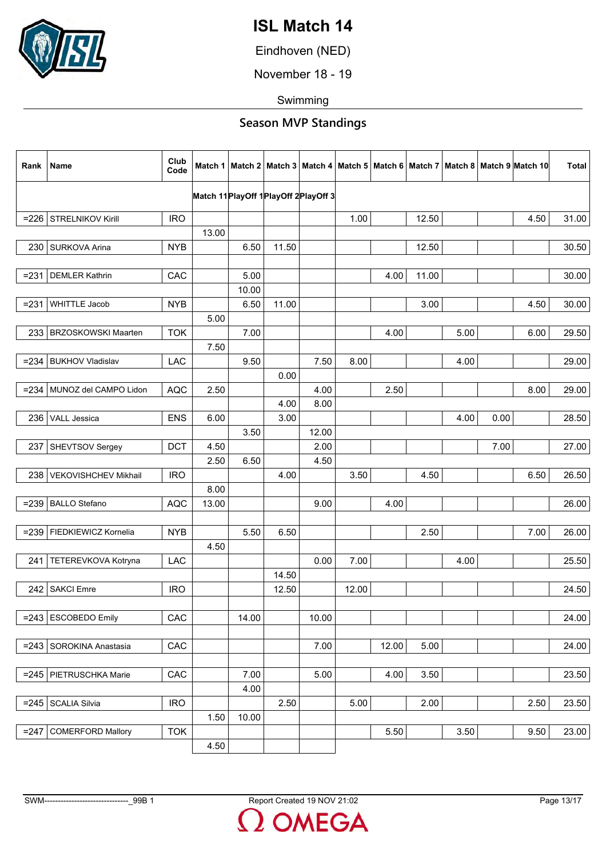

Eindhoven (NED)

November 18 - 19

Swimming

| Rank    | Name                       | Club<br>Code |       |       |       |                                           |       |       |       |      |      | Match 1   Match 2   Match 3   Match 4   Match 5   Match 6   Match 7   Match 8   Match 9   Match 10 | <b>Total</b> |
|---------|----------------------------|--------------|-------|-------|-------|-------------------------------------------|-------|-------|-------|------|------|----------------------------------------------------------------------------------------------------|--------------|
|         |                            |              |       |       |       | Match 11 Play Off 1 Play Off 2 Play Off 3 |       |       |       |      |      |                                                                                                    |              |
| $= 226$ | STRELNIKOV Kirill          | <b>IRO</b>   |       |       |       |                                           | 1.00  |       | 12.50 |      |      | 4.50                                                                                               | 31.00        |
|         |                            |              | 13.00 |       |       |                                           |       |       |       |      |      |                                                                                                    |              |
| 230     | SURKOVA Arina              | <b>NYB</b>   |       | 6.50  | 11.50 |                                           |       |       | 12.50 |      |      |                                                                                                    | 30.50        |
|         |                            |              |       |       |       |                                           |       |       |       |      |      |                                                                                                    |              |
| $= 231$ | <b>DEMLER Kathrin</b>      | CAC          |       | 5.00  |       |                                           |       | 4.00  | 11.00 |      |      |                                                                                                    | 30.00        |
|         |                            |              |       | 10.00 |       |                                           |       |       |       |      |      |                                                                                                    |              |
| $= 231$ | <b>WHITTLE Jacob</b>       | <b>NYB</b>   |       | 6.50  | 11.00 |                                           |       |       | 3.00  |      |      | 4.50                                                                                               | 30.00        |
|         |                            |              | 5.00  |       |       |                                           |       |       |       |      |      |                                                                                                    |              |
| 233     | <b>BRZOSKOWSKI Maarten</b> | <b>TOK</b>   |       | 7.00  |       |                                           |       | 4.00  |       | 5.00 |      | 6.00                                                                                               | 29.50        |
|         |                            |              | 7.50  |       |       |                                           |       |       |       |      |      |                                                                                                    |              |
| $= 234$ | <b>BUKHOV Vladislav</b>    | <b>LAC</b>   |       | 9.50  |       | 7.50                                      | 8.00  |       |       | 4.00 |      |                                                                                                    | 29.00        |
|         |                            |              |       |       | 0.00  |                                           |       |       |       |      |      |                                                                                                    |              |
| =2341   | MUNOZ del CAMPO Lidon      | <b>AQC</b>   | 2.50  |       |       | 4.00                                      |       | 2.50  |       |      |      | 8.00                                                                                               | 29.00        |
|         |                            |              |       |       | 4.00  | 8.00                                      |       |       |       |      |      |                                                                                                    |              |
| 236     | VALL Jessica               | <b>ENS</b>   | 6.00  |       | 3.00  |                                           |       |       |       | 4.00 | 0.00 |                                                                                                    | 28.50        |
|         |                            |              |       | 3.50  |       | 12.00                                     |       |       |       |      |      |                                                                                                    |              |
| 237     | SHEVTSOV Sergey            | <b>DCT</b>   | 4.50  |       |       | 2.00                                      |       |       |       |      | 7.00 |                                                                                                    | 27.00        |
|         |                            |              | 2.50  | 6.50  |       | 4.50                                      |       |       |       |      |      |                                                                                                    |              |
| 238     | VEKOVISHCHEV Mikhail       | <b>IRO</b>   |       |       | 4.00  |                                           | 3.50  |       | 4.50  |      |      | 6.50                                                                                               | 26.50        |
|         |                            |              | 8.00  |       |       |                                           |       |       |       |      |      |                                                                                                    |              |
| $= 239$ | <b>BALLO</b> Stefano       | <b>AQC</b>   | 13.00 |       |       | 9.00                                      |       | 4.00  |       |      |      |                                                                                                    | 26.00        |
|         |                            |              |       |       |       |                                           |       |       |       |      |      |                                                                                                    |              |
| $= 239$ | FIEDKIEWICZ Kornelia       | <b>NYB</b>   |       | 5.50  | 6.50  |                                           |       |       | 2.50  |      |      | 7.00                                                                                               | 26.00        |
|         |                            |              | 4.50  |       |       |                                           |       |       |       |      |      |                                                                                                    |              |
| 241     | TETEREVKOVA Kotryna        | <b>LAC</b>   |       |       |       | 0.00                                      | 7.00  |       |       | 4.00 |      |                                                                                                    | 25.50        |
|         |                            |              |       |       | 14.50 |                                           |       |       |       |      |      |                                                                                                    |              |
| 242     | <b>SAKCI Emre</b>          | <b>IRO</b>   |       |       | 12.50 |                                           | 12.00 |       |       |      |      |                                                                                                    | 24.50        |
|         |                            |              |       |       |       |                                           |       |       |       |      |      |                                                                                                    |              |
| $= 243$ | <b>ESCOBEDO Emily</b>      | CAC          |       | 14.00 |       | 10.00                                     |       |       |       |      |      |                                                                                                    | 24.00        |
|         |                            |              |       |       |       |                                           |       |       |       |      |      |                                                                                                    |              |
| $= 243$ | SOROKINA Anastasia         | CAC          |       |       |       | 7.00                                      |       | 12.00 | 5.00  |      |      |                                                                                                    | 24.00        |
|         |                            |              |       |       |       |                                           |       |       |       |      |      |                                                                                                    |              |
| $= 245$ | PIETRUSCHKA Marie          | CAC          |       | 7.00  |       | 5.00                                      |       | 4.00  | 3.50  |      |      |                                                                                                    | 23.50        |
|         |                            |              |       | 4.00  |       |                                           |       |       |       |      |      |                                                                                                    |              |
| $= 245$ | <b>SCALIA Silvia</b>       | <b>IRO</b>   |       |       | 2.50  |                                           | 5.00  |       | 2.00  |      |      | 2.50                                                                                               | 23.50        |
|         |                            |              | 1.50  | 10.00 |       |                                           |       |       |       |      |      |                                                                                                    |              |
| $= 247$ | <b>COMERFORD Mallory</b>   | <b>TOK</b>   |       |       |       |                                           |       | 5.50  |       | 3.50 |      | 9.50                                                                                               | 23.00        |
|         |                            |              | 4.50  |       |       |                                           |       |       |       |      |      |                                                                                                    |              |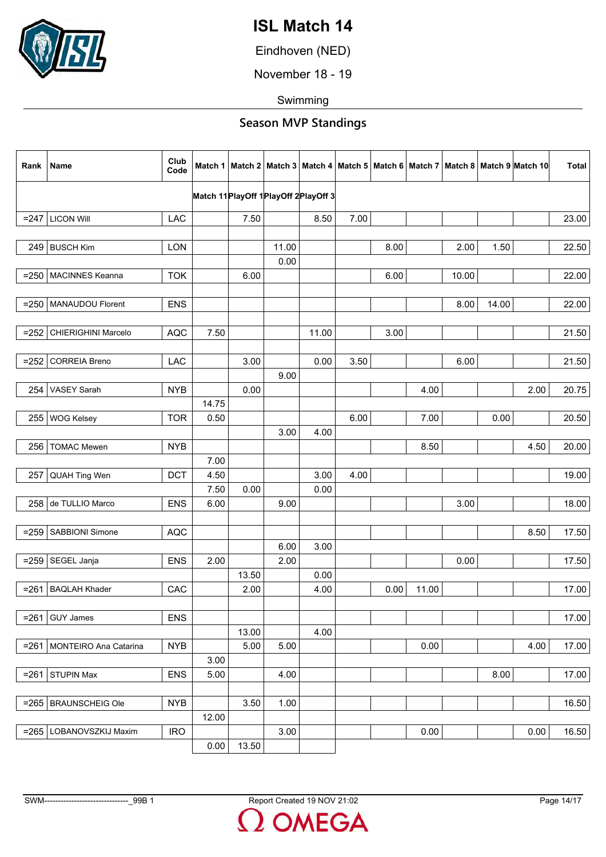

Eindhoven (NED)

November 18 - 19

Swimming

| Rank    | Name                         | Club<br>Code |       |       |       |                                        |      |      |       |       |       | Match 1   Match 2   Match 3   Match 4   Match 5   Match 6   Match 7   Match 8   Match 9  Match 10 | <b>Total</b> |
|---------|------------------------------|--------------|-------|-------|-------|----------------------------------------|------|------|-------|-------|-------|---------------------------------------------------------------------------------------------------|--------------|
|         |                              |              |       |       |       | Match 11 PlayOff 1 PlayOff 2 PlayOff 3 |      |      |       |       |       |                                                                                                   |              |
|         | $= 247$ LICON Will           | LAC          |       | 7.50  |       | 8.50                                   | 7.00 |      |       |       |       |                                                                                                   | 23.00        |
|         |                              |              |       |       |       |                                        |      |      |       |       |       |                                                                                                   |              |
|         | 249   BUSCH Kim              | LON          |       |       | 11.00 |                                        |      | 8.00 |       | 2.00  | 1.50  |                                                                                                   | 22.50        |
|         |                              |              |       |       | 0.00  |                                        |      |      |       |       |       |                                                                                                   |              |
| $= 250$ | MACINNES Keanna              | <b>TOK</b>   |       | 6.00  |       |                                        |      | 6.00 |       | 10.00 |       |                                                                                                   | 22.00        |
|         |                              |              |       |       |       |                                        |      |      |       |       |       |                                                                                                   |              |
| $= 250$ | MANAUDOU Florent             | <b>ENS</b>   |       |       |       |                                        |      |      |       | 8.00  | 14.00 |                                                                                                   | 22.00        |
| $= 252$ | CHIERIGHINI Marcelo          | <b>AQC</b>   | 7.50  |       |       | 11.00                                  |      | 3.00 |       |       |       |                                                                                                   | 21.50        |
|         |                              |              |       |       |       |                                        |      |      |       |       |       |                                                                                                   |              |
| $= 252$ | <b>CORREIA Breno</b>         | <b>LAC</b>   |       | 3.00  |       | 0.00                                   | 3.50 |      |       | 6.00  |       |                                                                                                   | 21.50        |
|         |                              |              |       |       | 9.00  |                                        |      |      |       |       |       |                                                                                                   |              |
| 254     | <b>VASEY Sarah</b>           | <b>NYB</b>   |       | 0.00  |       |                                        |      |      | 4.00  |       |       | 2.00                                                                                              | 20.75        |
|         |                              |              | 14.75 |       |       |                                        |      |      |       |       |       |                                                                                                   |              |
| 255     | <b>WOG Kelsey</b>            | <b>TOR</b>   | 0.50  |       |       |                                        | 6.00 |      | 7.00  |       | 0.00  |                                                                                                   | 20.50        |
|         |                              |              |       |       | 3.00  | 4.00                                   |      |      |       |       |       |                                                                                                   |              |
| 256     | <b>TOMAC Mewen</b>           | <b>NYB</b>   |       |       |       |                                        |      |      | 8.50  |       |       | 4.50                                                                                              | 20.00        |
|         |                              |              | 7.00  |       |       |                                        |      |      |       |       |       |                                                                                                   |              |
| 257     | QUAH Ting Wen                | <b>DCT</b>   | 4.50  |       |       | 3.00                                   | 4.00 |      |       |       |       |                                                                                                   | 19.00        |
|         |                              |              | 7.50  | 0.00  |       | 0.00                                   |      |      |       |       |       |                                                                                                   |              |
| 258     | de TULLIO Marco              | <b>ENS</b>   | 6.00  |       | 9.00  |                                        |      |      |       | 3.00  |       |                                                                                                   | 18.00        |
|         |                              |              |       |       |       |                                        |      |      |       |       |       |                                                                                                   |              |
| $= 259$ | SABBIONI Simone              | <b>AQC</b>   |       |       |       |                                        |      |      |       |       |       | 8.50                                                                                              | 17.50        |
|         |                              |              |       |       | 6.00  | 3.00                                   |      |      |       |       |       |                                                                                                   |              |
| $= 259$ | SEGEL Janja                  | <b>ENS</b>   | 2.00  |       | 2.00  |                                        |      |      |       | 0.00  |       |                                                                                                   | 17.50        |
|         |                              |              |       | 13.50 |       | 0.00                                   |      |      |       |       |       |                                                                                                   |              |
| $= 261$ | <b>BAQLAH Khader</b>         | CAC          |       | 2.00  |       | 4.00                                   |      | 0.00 | 11.00 |       |       |                                                                                                   | 17.00        |
| $= 261$ | <b>GUY James</b>             | <b>ENS</b>   |       |       |       |                                        |      |      |       |       |       |                                                                                                   | 17.00        |
|         |                              |              |       | 13.00 |       | 4.00                                   |      |      |       |       |       |                                                                                                   |              |
|         | =261   MONTEIRO Ana Catarina | <b>NYB</b>   |       | 5.00  | 5.00  |                                        |      |      | 0.00  |       |       | 4.00                                                                                              | 17.00        |
|         |                              |              | 3.00  |       |       |                                        |      |      |       |       |       |                                                                                                   |              |
| $= 261$ | <b>STUPIN Max</b>            | <b>ENS</b>   | 5.00  |       | 4.00  |                                        |      |      |       |       | 8.00  |                                                                                                   | 17.00        |
|         |                              |              |       |       |       |                                        |      |      |       |       |       |                                                                                                   |              |
|         | $= 265$ BRAUNSCHEIG Ole      | <b>NYB</b>   |       | 3.50  | 1.00  |                                        |      |      |       |       |       |                                                                                                   | 16.50        |
|         |                              |              | 12.00 |       |       |                                        |      |      |       |       |       |                                                                                                   |              |
|         | =265   LOBANOVSZKIJ Maxim    | <b>IRO</b>   |       |       | 3.00  |                                        |      |      | 0.00  |       |       | 0.00                                                                                              | 16.50        |
|         |                              |              | 0.00  | 13.50 |       |                                        |      |      |       |       |       |                                                                                                   |              |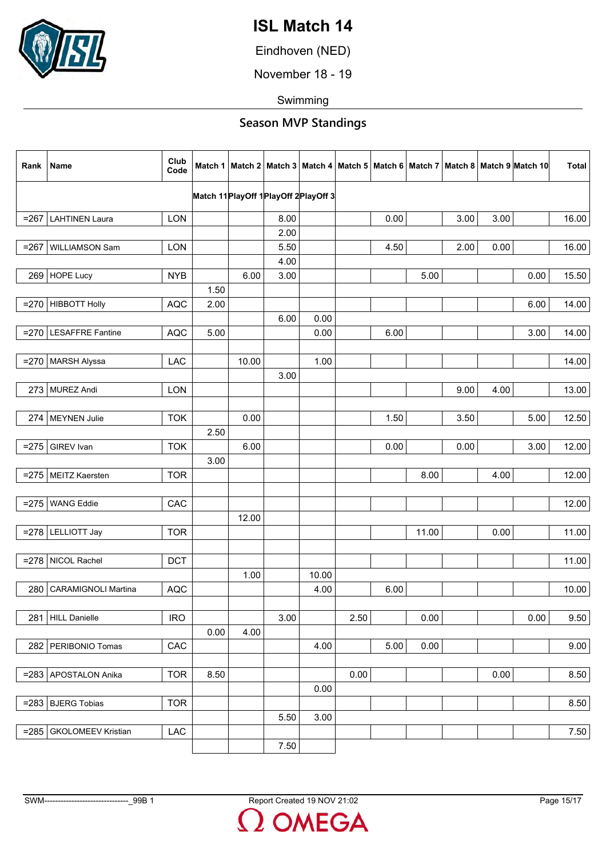

Eindhoven (NED)

November 18 - 19

Swimming

| Rank    | Name                       | Club<br>Code |      |       |                                           |       |      |      |       |      |      | Match 1   Match 2   Match 3   Match 4   Match 5   Match 6   Match 7   Match 8   Match 9   Match 10 | <b>Total</b> |
|---------|----------------------------|--------------|------|-------|-------------------------------------------|-------|------|------|-------|------|------|----------------------------------------------------------------------------------------------------|--------------|
|         |                            |              |      |       | Match 11 Play Off 1 Play Off 2 Play Off 3 |       |      |      |       |      |      |                                                                                                    |              |
|         |                            |              |      |       |                                           |       |      |      |       |      |      |                                                                                                    |              |
| $= 267$ | <b>LAHTINEN Laura</b>      | <b>LON</b>   |      |       | 8.00                                      |       |      | 0.00 |       | 3.00 | 3.00 |                                                                                                    | 16.00        |
|         |                            |              |      |       | 2.00                                      |       |      |      |       |      |      |                                                                                                    |              |
| $= 267$ | WILLIAMSON Sam             | LON          |      |       | 5.50                                      |       |      | 4.50 |       | 2.00 | 0.00 |                                                                                                    | 16.00        |
|         |                            |              |      |       | 4.00                                      |       |      |      |       |      |      |                                                                                                    |              |
|         | 269 HOPE Lucy              | <b>NYB</b>   |      | 6.00  | 3.00                                      |       |      |      | 5.00  |      |      | 0.00                                                                                               | 15.50        |
|         |                            |              | 1.50 |       |                                           |       |      |      |       |      |      |                                                                                                    |              |
|         | $= 270$ HIBBOTT Holly      | <b>AQC</b>   | 2.00 |       |                                           |       |      |      |       |      |      | 6.00                                                                                               | 14.00        |
|         |                            |              |      |       | 6.00                                      | 0.00  |      |      |       |      |      |                                                                                                    |              |
| $= 270$ | <b>LESAFFRE Fantine</b>    | <b>AQC</b>   | 5.00 |       |                                           | 0.00  |      | 6.00 |       |      |      | 3.00                                                                                               | 14.00        |
|         |                            |              |      |       |                                           |       |      |      |       |      |      |                                                                                                    |              |
|         | =270   MARSH Alyssa        | <b>LAC</b>   |      | 10.00 |                                           | 1.00  |      |      |       |      |      |                                                                                                    | 14.00        |
|         |                            |              |      |       | 3.00                                      |       |      |      |       |      |      |                                                                                                    |              |
|         | 273 MUREZ Andi             | <b>LON</b>   |      |       |                                           |       |      |      |       | 9.00 | 4.00 |                                                                                                    | 13.00        |
|         |                            |              |      |       |                                           |       |      |      |       |      |      |                                                                                                    |              |
|         | 274   MEYNEN Julie         | <b>TOK</b>   |      | 0.00  |                                           |       |      | 1.50 |       | 3.50 |      | 5.00                                                                                               | 12.50        |
|         |                            |              | 2.50 |       |                                           |       |      |      |       |      |      |                                                                                                    |              |
| $= 275$ | GIREV Ivan                 | <b>TOK</b>   |      | 6.00  |                                           |       |      | 0.00 |       | 0.00 |      | 3.00                                                                                               | 12.00        |
|         |                            |              | 3.00 |       |                                           |       |      |      |       |      |      |                                                                                                    |              |
|         | =275   MEITZ Kaersten      | <b>TOR</b>   |      |       |                                           |       |      |      | 8.00  |      | 4.00 |                                                                                                    | 12.00        |
|         |                            |              |      |       |                                           |       |      |      |       |      |      |                                                                                                    |              |
|         | <b>WANG Eddie</b>          | CAC          |      |       |                                           |       |      |      |       |      |      |                                                                                                    | 12.00        |
| $= 275$ |                            |              |      | 12.00 |                                           |       |      |      |       |      |      |                                                                                                    |              |
|         |                            |              |      |       |                                           |       |      |      |       |      |      |                                                                                                    |              |
|         | $= 278$ LELLIOTT Jay       | <b>TOR</b>   |      |       |                                           |       |      |      | 11.00 |      | 0.00 |                                                                                                    | 11.00        |
|         |                            |              |      |       |                                           |       |      |      |       |      |      |                                                                                                    |              |
| $= 278$ | NICOL Rachel               | <b>DCT</b>   |      |       |                                           |       |      |      |       |      |      |                                                                                                    | 11.00        |
|         |                            |              |      | 1.00  |                                           | 10.00 |      |      |       |      |      |                                                                                                    |              |
| 280     | <b>CARAMIGNOLI Martina</b> | <b>AQC</b>   |      |       |                                           | 4.00  |      | 6.00 |       |      |      |                                                                                                    | 10.00        |
|         |                            |              |      |       |                                           |       |      |      |       |      |      |                                                                                                    |              |
| 281     | <b>HILL Danielle</b>       | <b>IRO</b>   |      |       | 3.00                                      |       | 2.50 |      | 0.00  |      |      | 0.00                                                                                               | 9.50         |
|         |                            |              | 0.00 | 4.00  |                                           |       |      |      |       |      |      |                                                                                                    |              |
| 282     | PERIBONIO Tomas            | CAC          |      |       |                                           | 4.00  |      | 5.00 | 0.00  |      |      |                                                                                                    | 9.00         |
|         |                            |              |      |       |                                           |       |      |      |       |      |      |                                                                                                    |              |
| $= 283$ | <b>APOSTALON Anika</b>     | <b>TOR</b>   | 8.50 |       |                                           |       | 0.00 |      |       |      | 0.00 |                                                                                                    | 8.50         |
|         |                            |              |      |       |                                           | 0.00  |      |      |       |      |      |                                                                                                    |              |
|         | $= 283$ BJERG Tobias       | <b>TOR</b>   |      |       |                                           |       |      |      |       |      |      |                                                                                                    | 8.50         |
|         |                            |              |      |       | 5.50                                      | 3.00  |      |      |       |      |      |                                                                                                    |              |
| $= 285$ | <b>GKOLOMEEV Kristian</b>  | LAC          |      |       |                                           |       |      |      |       |      |      |                                                                                                    | 7.50         |
|         |                            |              |      |       | 7.50                                      |       |      |      |       |      |      |                                                                                                    |              |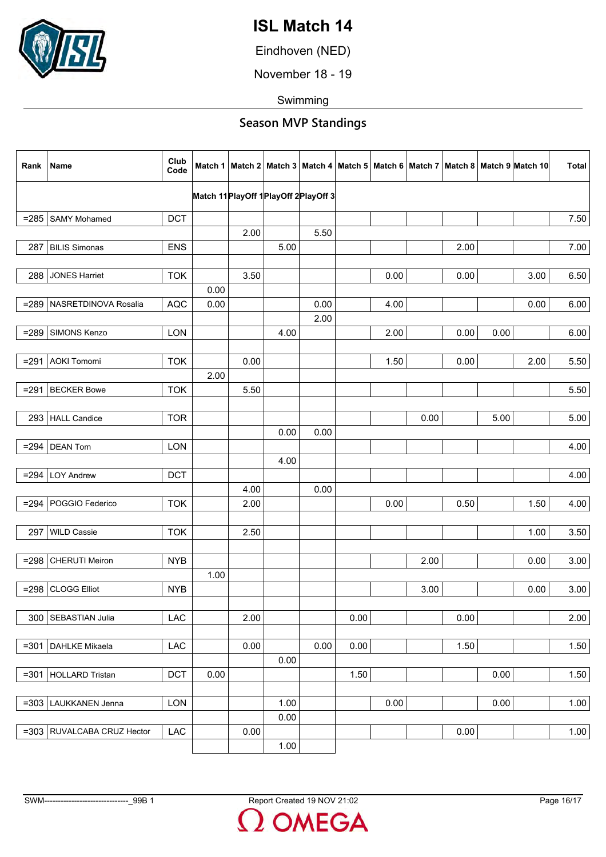

Eindhoven (NED)

November 18 - 19

Swimming

| Rank    | Name                         | Club<br>Code |      |      |      |                                           |      |      |      |      |      | Match 1   Match 2   Match 3   Match 4   Match 5   Match 6   Match 7   Match 8   Match 9   Match 10 | <b>Total</b> |
|---------|------------------------------|--------------|------|------|------|-------------------------------------------|------|------|------|------|------|----------------------------------------------------------------------------------------------------|--------------|
|         |                              |              |      |      |      | Match 11 Play Off 1 Play Off 2 Play Off 3 |      |      |      |      |      |                                                                                                    |              |
| $= 285$ | <b>SAMY Mohamed</b>          | <b>DCT</b>   |      |      |      |                                           |      |      |      |      |      |                                                                                                    | 7.50         |
|         |                              |              |      | 2.00 |      | 5.50                                      |      |      |      |      |      |                                                                                                    |              |
| 287     | <b>BILIS Simonas</b>         | <b>ENS</b>   |      |      | 5.00 |                                           |      |      |      | 2.00 |      |                                                                                                    | 7.00         |
|         |                              |              |      |      |      |                                           |      |      |      |      |      |                                                                                                    |              |
| 288     | <b>JONES Harriet</b>         | <b>TOK</b>   |      | 3.50 |      |                                           |      | 0.00 |      | 0.00 |      | 3.00                                                                                               | 6.50         |
|         |                              |              | 0.00 |      |      |                                           |      |      |      |      |      |                                                                                                    |              |
|         | =289   NASRETDINOVA Rosalia  | <b>AQC</b>   | 0.00 |      |      | 0.00                                      |      | 4.00 |      |      |      | 0.00                                                                                               | 6.00         |
|         |                              |              |      |      |      | 2.00                                      |      |      |      |      |      |                                                                                                    |              |
| $= 289$ | SIMONS Kenzo                 | LON          |      |      | 4.00 |                                           |      | 2.00 |      | 0.00 | 0.00 |                                                                                                    | 6.00         |
|         |                              |              |      |      |      |                                           |      |      |      |      |      |                                                                                                    |              |
| $= 291$ | <b>AOKI Tomomi</b>           | <b>TOK</b>   |      | 0.00 |      |                                           |      | 1.50 |      | 0.00 |      | 2.00                                                                                               | 5.50         |
|         |                              |              | 2.00 |      |      |                                           |      |      |      |      |      |                                                                                                    |              |
|         | $= 291$ BECKER Bowe          | <b>TOK</b>   |      | 5.50 |      |                                           |      |      |      |      |      |                                                                                                    | 5.50         |
|         |                              |              |      |      |      |                                           |      |      |      |      |      |                                                                                                    |              |
|         | 293   HALL Candice           | <b>TOR</b>   |      |      |      |                                           |      |      | 0.00 |      | 5.00 |                                                                                                    | 5.00         |
|         |                              |              |      |      | 0.00 | 0.00                                      |      |      |      |      |      |                                                                                                    |              |
| $= 294$ | <b>DEAN Tom</b>              | <b>LON</b>   |      |      |      |                                           |      |      |      |      |      |                                                                                                    | 4.00         |
|         |                              |              |      |      | 4.00 |                                           |      |      |      |      |      |                                                                                                    |              |
|         | $= 294$ LOY Andrew           | <b>DCT</b>   |      |      |      |                                           |      |      |      |      |      |                                                                                                    | 4.00         |
|         |                              |              |      | 4.00 |      | 0.00                                      |      |      |      |      |      |                                                                                                    |              |
|         | $= 294$ POGGIO Federico      | <b>TOK</b>   |      | 2.00 |      |                                           |      | 0.00 |      | 0.50 |      | 1.50                                                                                               | 4.00         |
|         |                              |              |      |      |      |                                           |      |      |      |      |      |                                                                                                    |              |
| 297     | <b>WILD Cassie</b>           | <b>TOK</b>   |      | 2.50 |      |                                           |      |      |      |      |      | 1.00                                                                                               | 3.50         |
|         |                              |              |      |      |      |                                           |      |      |      |      |      |                                                                                                    |              |
| $= 298$ | <b>CHERUTI Meiron</b>        | <b>NYB</b>   |      |      |      |                                           |      |      | 2.00 |      |      | 0.00                                                                                               | 3.00         |
|         |                              |              | 1.00 |      |      |                                           |      |      |      |      |      |                                                                                                    |              |
| $= 298$ | <b>CLOGG Elliot</b>          | <b>NYB</b>   |      |      |      |                                           |      |      | 3.00 |      |      | 0.00                                                                                               | 3.00         |
|         |                              |              |      |      |      |                                           |      |      |      |      |      |                                                                                                    |              |
| 300     | SEBASTIAN Julia              | LAC          |      | 2.00 |      |                                           | 0.00 |      |      | 0.00 |      |                                                                                                    | 2.00         |
|         |                              |              |      |      |      |                                           |      |      |      |      |      |                                                                                                    |              |
| $= 301$ | DAHLKE Mikaela               | LAC          |      | 0.00 |      | 0.00                                      | 0.00 |      |      | 1.50 |      |                                                                                                    | 1.50         |
|         |                              |              |      |      | 0.00 |                                           |      |      |      |      |      |                                                                                                    |              |
| $= 301$ | <b>HOLLARD Tristan</b>       | <b>DCT</b>   | 0.00 |      |      |                                           | 1.50 |      |      |      | 0.00 |                                                                                                    | 1.50         |
|         |                              |              |      |      |      |                                           |      |      |      |      |      |                                                                                                    |              |
| $= 303$ | LAUKKANEN Jenna              | <b>LON</b>   |      |      | 1.00 |                                           |      | 0.00 |      |      | 0.00 |                                                                                                    | 1.00         |
|         |                              |              |      |      | 0.00 |                                           |      |      |      |      |      |                                                                                                    |              |
|         | $=303$ RUVALCABA CRUZ Hector | LAC          |      | 0.00 |      |                                           |      |      |      | 0.00 |      |                                                                                                    | 1.00         |
|         |                              |              |      |      | 1.00 |                                           |      |      |      |      |      |                                                                                                    |              |